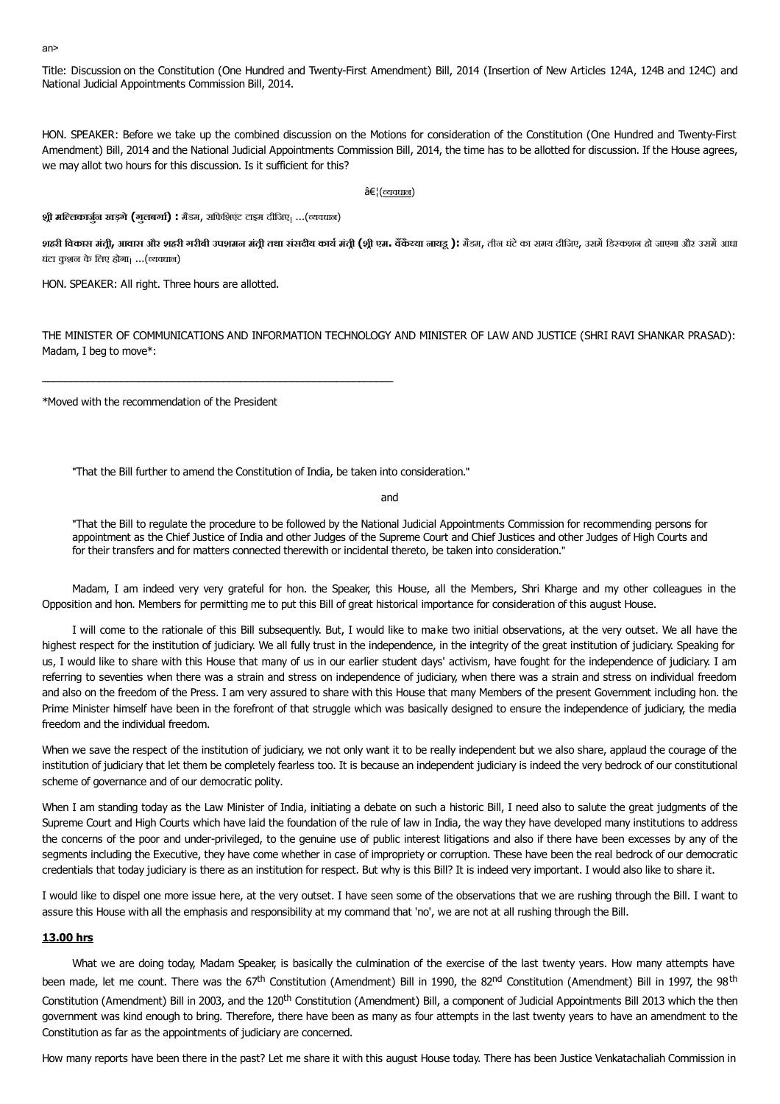#### an>

Title: Discussion on the Constitution (One Hundred and Twenty-First Amendment) Bill, 2014 (Insertion of New Articles 124A, 124B and 124C) and National Judicial Appointments Commission Bill, 2014.

HON. SPEAKER: Before we take up the combined discussion on the Motions for consideration of the Constitution (One Hundred and Twenty-First Amendment) Bill, 2014 and the National Judicial Appointments Commission Bill, 2014, the time has to be allotted for discussion. If the House agrees, we may allot two hours for this discussion. Is it sufficient for this?

 $â€!$ (त्यवधान)

**श-ी मिलकाजनु खड़गे(गुलबगा) :** मडैम, सिफिशएंट टाइम दीिजए ...(यवधान)

\_\_\_\_\_\_\_\_\_\_\_\_\_\_\_\_\_\_\_\_\_\_\_\_\_\_\_\_\_\_\_\_\_\_\_\_\_\_\_\_\_\_\_\_\_\_\_\_\_\_\_\_\_\_\_\_\_\_\_\_\_\_

शहरी विकास मंत्री, आवास और शहरी गरीबी उपशमन मंत्री तथा संसदीय कार्य मंत्री (श्री एम. वैंकैय्या नायडू ): मैडम, तीन घंटे का समय दीजिए, उसमें डिस्कशन हो जाएगा और उसमें आधा घटं ा कुशन के िलए होगा ...(यवधान)

HON. SPEAKER: All right. Three hours are allotted.

THE MINISTER OF COMMUNICATIONS AND INFORMATION TECHNOLOGY AND MINISTER OF LAW AND JUSTICE (SHRI RAVI SHANKAR PRASAD): Madam, I beg to move\*:

\*Moved with the recommendation of the President

"That the Bill further to amend the Constitution of India, be taken into consideration."

and

"That the Bill to regulate the procedure to be followed by the National Judicial Appointments Commission for recommending persons for appointment as the Chief Justice of India and other Judges of the Supreme Court and Chief Justices and other Judges of High Courts and for their transfers and for matters connected therewith or incidental thereto, be taken into consideration."

Madam, I am indeed very very grateful for hon. the Speaker, this House, all the Members, Shri Kharge and my other colleagues in the Opposition and hon. Members for permitting me to put this Bill of great historical importance for consideration of this august House.

I will come to the rationale of this Bill subsequently. But, I would like to make two initial observations, at the very outset. We all have the highest respect for the institution of judiciary. We all fully trust in the independence, in the integrity of the great institution of judiciary. Speaking for us, I would like to share with this House that many of us in our earlier student days' activism, have fought for the independence of judiciary. I am referring to seventies when there was a strain and stress on independence of judiciary, when there was a strain and stress on individual freedom and also on the freedom of the Press. I am very assured to share with this House that many Members of the present Government including hon. the Prime Minister himself have been in the forefront of that struggle which was basically designed to ensure the independence of judiciary, the media freedom and the individual freedom.

When we save the respect of the institution of judiciary, we not only want it to be really independent but we also share, applaud the courage of the institution of judiciary that let them be completely fearless too. It is because an independent judiciary is indeed the very bedrock of our constitutional scheme of governance and of our democratic polity.

When I am standing today as the Law Minister of India, initiating a debate on such a historic Bill, I need also to salute the great judgments of the Supreme Court and High Courts which have laid the foundation of the rule of law in India, the way they have developed many institutions to address the concerns of the poor and under-privileged, to the genuine use of public interest litigations and also if there have been excesses by any of the segments including the Executive, they have come whether in case of impropriety or corruption. These have been the real bedrock of our democratic credentials that today judiciary is there as an institution for respect. But why is this Bill? It is indeed very important. I would also like to share it.

I would like to dispel one more issue here, at the very outset. I have seen some of the observations that we are rushing through the Bill. I want to assure this House with all the emphasis and responsibility at my command that 'no', we are not at all rushing through the Bill.

## **13.00 hrs**

What we are doing today, Madam Speaker, is basically the culmination of the exercise of the last twenty years. How many attempts have been made, let me count. There was the 67<sup>th</sup> Constitution (Amendment) Bill in 1990, the 82<sup>nd</sup> Constitution (Amendment) Bill in 1997, the 98<sup>th</sup> Constitution (Amendment) Bill in 2003, and the 120<sup>th</sup> Constitution (Amendment) Bill, a component of Judicial Appointments Bill 2013 which the then government was kind enough to bring. Therefore, there have been as many as four attempts in the last twenty years to have an amendment to the Constitution as far as the appointments of judiciary are concerned.

How many reports have been there in the past? Let me share it with this august House today. There has been Justice Venkatachaliah Commission in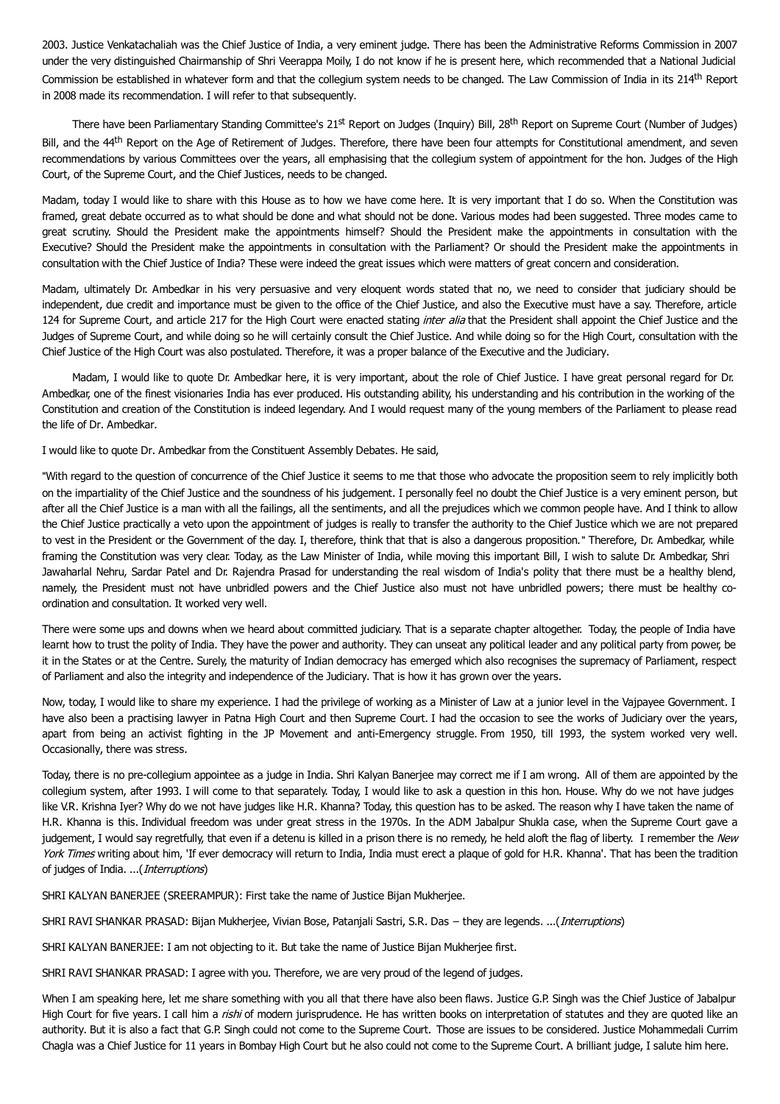2003. Justice Venkatachaliah was the Chief Justice of India, a very eminent judge. There has been the Administrative Reforms Commission in 2007 under the very distinguished Chairmanship of Shri Veerappa Moily, I do not know if he is present here, which recommended that a National Judicial Commission be established in whatever form and that the collegium system needs to be changed. The Law Commission of India in its 214<sup>th</sup> Report in 2008 made its recommendation. I will refer to that subsequently.

There have been Parliamentary Standing Committee's 21st Report on Judges (Inquiry) Bill, 28<sup>th</sup> Report on Supreme Court (Number of Judges) Bill, and the 44<sup>th</sup> Report on the Age of Retirement of Judges. Therefore, there have been four attempts for Constitutional amendment, and seven recommendations by various Committees over the years, all emphasising that the collegium system of appointment for the hon. Judges of the High Court, of the Supreme Court, and the Chief Justices, needs to be changed.

Madam, today I would like to share with this House as to how we have come here. It is very important that I do so. When the Constitution was framed, great debate occurred as to what should be done and what should not be done. Various modes had been suggested. Three modes came to great scrutiny. Should the President make the appointments himself? Should the President make the appointments in consultation with the Executive? Should the President make the appointments in consultation with the Parliament? Or should the President make the appointments in consultation with the Chief Justice of India? These were indeed the great issues which were matters of great concern and consideration.

Madam, ultimately Dr. Ambedkar in his very persuasive and very eloquent words stated that no, we need to consider that judiciary should be independent, due credit and importance must be given to the office of the Chief Justice, and also the Executive must have a say. Therefore, article 124 for Supreme Court, and article 217 for the High Court were enacted stating inter alia that the President shall appoint the Chief Justice and the Judges of Supreme Court, and while doing so he will certainly consult the Chief Justice. And while doing so for the High Court, consultation with the Chief Justice of the High Court was also postulated. Therefore, it was a proper balance of the Executive and the Judiciary.

Madam, I would like to quote Dr. Ambedkar here, it is very important, about the role of Chief Justice. I have great personal regard for Dr. Ambedkar, one of the finest visionaries India has ever produced. His outstanding ability, his understanding and his contribution in the working of the Constitution and creation of the Constitution is indeed legendary. And I would request many of the young members of the Parliament to please read the life of Dr. Ambedkar.

I would like to quote Dr. Ambedkar from the Constituent Assembly Debates. He said,

"With regard to the question of concurrence of the Chief Justice it seems to me that those who advocate the proposition seem to rely implicitly both on the impartiality of the Chief Justice and the soundness of his judgement. I personally feel no doubt the Chief Justice is a very eminent person, but after all the Chief Justice is a man with all the failings, all the sentiments, and all the prejudices which we common people have. And I think to allow the Chief Justice practically a veto upon the appointment of judges is really to transfer the authority to the Chief Justice which we are not prepared to vest in the President or the Government of the day. I, therefore, think that that is also a dangerous proposition." Therefore, Dr. Ambedkar, while framing the Constitution was very clear. Today, as the Law Minister of India, while moving this important Bill, I wish to salute Dr. Ambedkar, Shri Jawaharlal Nehru, Sardar Patel and Dr. Rajendra Prasad for understanding the real wisdom of India's polity that there must be a healthy blend, namely, the President must not have unbridled powers and the Chief Justice also must not have unbridled powers; there must be healthy coordination and consultation. It worked very well.

There were some ups and downs when we heard about committed judiciary. That is a separate chapter altogether. Today, the people of India have learnt how to trust the polity of India. They have the power and authority. They can unseat any political leader and any political party from power, be it in the States or at the Centre. Surely, the maturity of Indian democracy has emerged which also recognises the supremacy of Parliament, respect of Parliament and also the integrity and independence of the Judiciary. That is how it has grown over the years.

Now, today, I would like to share my experience. I had the privilege of working as a Minister of Law at a junior level in the Vajpayee Government. I have also been a practising lawyer in Patna High Court and then Supreme Court. I had the occasion to see the works of Judiciary over the years, apart from being an activist fighting in the JP Movement and anti-Emergency struggle. From 1950, till 1993, the system worked very well. Occasionally, there was stress.

Today, there is no pre-collegium appointee as a judge in India. Shri Kalyan Banerjee may correct me if I am wrong. All of them are appointed by the collegium system, after 1993. I will come to that separately. Today, I would like to ask a question in this hon. House. Why do we not have judges like V.R. Krishna Iyer? Why do we not have judges like H.R. Khanna? Today, this question has to be asked. The reason why I have taken the name of H.R. Khanna is this. Individual freedom was under great stress in the 1970s. In the ADM Jabalpur Shukla case, when the Supreme Court gave a judgement, I would say regretfully, that even if a detenu is killed in a prison there is no remedy, he held aloft the flag of liberty. I remember the New York Times writing about him, 'If ever democracy will return to India, India must erect a plaque of gold for H.R. Khanna'. That has been the tradition of judges of India. ...(Interruptions)

SHRI KALYAN BANERJEE (SREERAMPUR): First take the name of Justice Bijan Mukherjee.

SHRI RAVI SHANKAR PRASAD: Bijan Mukherjee, Vivian Bose, Patanjali Sastri, S.R. Das − they are legends. ...(Interruptions)

SHRI KALYAN BANERJEE: I am not objecting to it. But take the name of Justice Bijan Mukherjee first.

SHRI RAVI SHANKAR PRASAD: I agree with you. Therefore, we are very proud of the legend of judges.

When I am speaking here, let me share something with you all that there have also been flaws. Justice G.P. Singh was the Chief Justice of Jabalpur High Court for five years. I call him a *rishi* of modern jurisprudence. He has written books on interpretation of statutes and they are quoted like an authority. But it is also a fact that G.P. Singh could not come to the Supreme Court. Those are issues to be considered. Justice Mohammedali Currim Chagla was a Chief Justice for 11 years in Bombay High Court but he also could not come to the Supreme Court. A brilliant judge, I salute him here.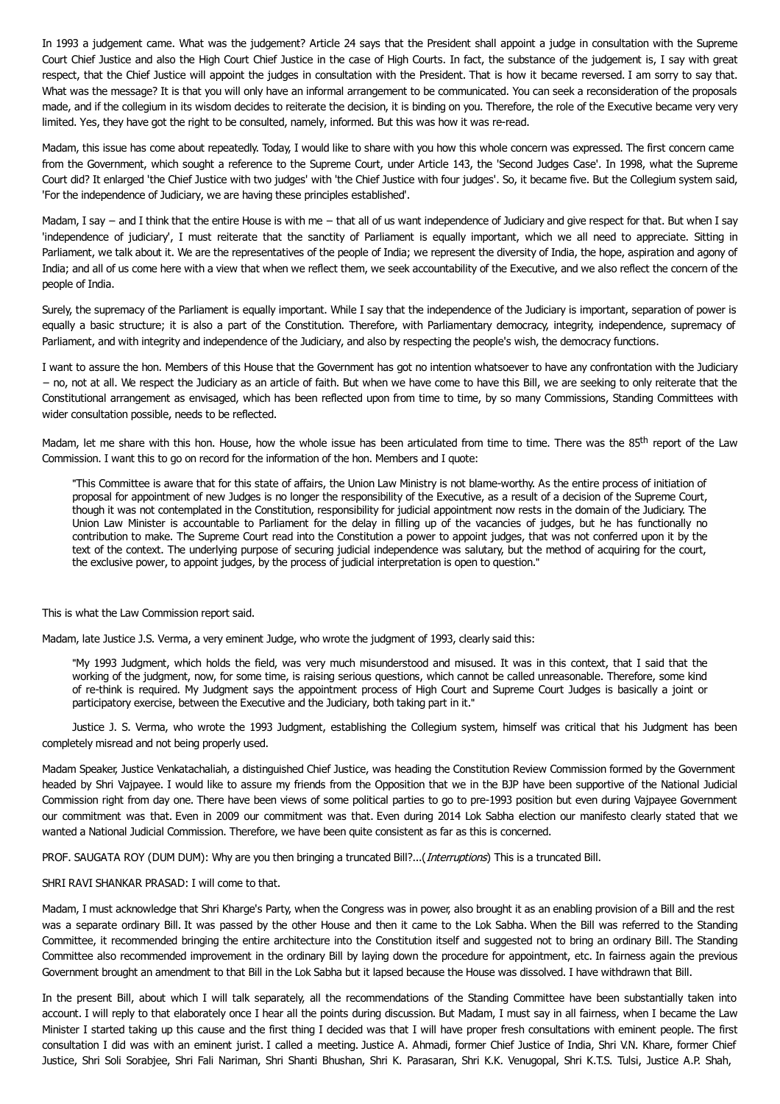In 1993 a judgement came. What was the judgement? Article 24 says that the President shall appoint a judge in consultation with the Supreme Court Chief Justice and also the High Court Chief Justice in the case of High Courts. In fact, the substance of the judgement is, I say with great respect, that the Chief Justice will appoint the judges in consultation with the President. That is how it became reversed. I am sorry to say that. What was the message? It is that you will only have an informal arrangement to be communicated. You can seek a reconsideration of the proposals made, and if the collegium in its wisdom decides to reiterate the decision, it is binding on you. Therefore, the role of the Executive became very very limited. Yes, they have got the right to be consulted, namely, informed. But this was how it was re-read.

Madam, this issue has come about repeatedly. Today, I would like to share with you how this whole concern was expressed. The first concern came from the Government, which sought a reference to the Supreme Court, under Article 143, the 'Second Judges Case'. In 1998, what the Supreme Court did? It enlarged 'the Chief Justice with two judges' with 'the Chief Justice with four judges'. So, it became five. But the Collegium system said, 'For the independence of Judiciary, we are having these principles established'.

Madam, I say − and I think that the entire House is with me - that all of us want independence of Judiciary and give respect for that. But when I say 'independence of judiciary', I must reiterate that the sanctity of Parliament is equally important, which we all need to appreciate. Sitting in Parliament, we talk about it. We are the representatives of the people of India; we represent the diversity of India, the hope, aspiration and agony of India; and all of us come here with a view that when we reflect them, we seek accountability of the Executive, and we also reflect the concern of the people of India.

Surely, the supremacy of the Parliament is equally important. While I say that the independence of the Judiciary is important, separation of power is equally a basic structure; it is also a part of the Constitution. Therefore, with Parliamentary democracy, integrity, independence, supremacy of Parliament, and with integrity and independence of the Judiciary, and also by respecting the people's wish, the democracy functions.

I want to assure the hon. Members of this House that the Government has got no intention whatsoever to have any confrontation with the Judiciary − no, not at all. We respect the Judiciary as an article of faith. But when we have come to have this Bill, we are seeking to only reiterate that the Constitutional arrangement as envisaged, which has been reflected upon from time to time, by so many Commissions, Standing Committees with wider consultation possible, needs to be reflected.

Madam, let me share with this hon. House, how the whole issue has been articulated from time to time. There was the 85<sup>th</sup> report of the Law Commission. I want this to go on record for the information of the hon. Members and I quote:

"This Committee is aware that for this state of affairs, the Union Law Ministry is not blame-worthy. As the entire process of initiation of proposal for appointment of new Judges is no longer the responsibility of the Executive, as a result of a decision of the Supreme Court, though it was not contemplated in the Constitution, responsibility for judicial appointment now rests in the domain of the Judiciary. The Union Law Minister is accountable to Parliament for the delay in filling up of the vacancies of judges, but he has functionally no contribution to make. The Supreme Court read into the Constitution a power to appoint judges, that was not conferred upon it by the text of the context. The underlying purpose of securing judicial independence was salutary, but the method of acquiring for the court, the exclusive power, to appoint judges, by the process of judicial interpretation is open to question."

This is what the Law Commission report said.

Madam, late Justice J.S. Verma, a very eminent Judge, who wrote the judgment of 1993, clearly said this:

"My 1993 Judgment, which holds the field, was very much misunderstood and misused. It was in this context, that I said that the working of the judgment, now, for some time, is raising serious questions, which cannot be called unreasonable. Therefore, some kind of re-think is required. My Judgment says the appointment process of High Court and Supreme Court Judges is basically a joint or participatory exercise, between the Executive and the Judiciary, both taking part in it."

Justice J. S. Verma, who wrote the 1993 Judgment, establishing the Collegium system, himself was critical that his Judgment has been completely misread and not being properly used.

Madam Speaker, Justice Venkatachaliah, a distinguished Chief Justice, was heading the Constitution Review Commission formed by the Government headed by Shri Vajpayee. I would like to assure my friends from the Opposition that we in the BJP have been supportive of the National Judicial Commission right from day one. There have been views of some political parties to go to pre-1993 position but even during Vajpayee Government our commitment was that. Even in 2009 our commitment was that. Even during 2014 Lok Sabha election our manifesto clearly stated that we wanted a National Judicial Commission. Therefore, we have been quite consistent as far as this is concerned.

PROF. SAUGATA ROY (DUM DUM): Why are you then bringing a truncated Bill?...(*Interruptions*) This is a truncated Bill.

## SHRI RAVI SHANKAR PRASAD: I will come to that.

Madam, I must acknowledge that Shri Kharge's Party, when the Congress was in power, also brought it as an enabling provision of a Bill and the rest was a separate ordinary Bill. It was passed by the other House and then it came to the Lok Sabha. When the Bill was referred to the Standing Committee, it recommended bringing the entire architecture into the Constitution itself and suggested not to bring an ordinary Bill. The Standing Committee also recommended improvement in the ordinary Bill by laying down the procedure for appointment, etc. In fairness again the previous Government brought an amendment to that Bill in the Lok Sabha but it lapsed because the House was dissolved. I have withdrawn that Bill.

In the present Bill, about which I will talk separately, all the recommendations of the Standing Committee have been substantially taken into account. I will reply to that elaborately once I hear all the points during discussion. But Madam, I must say in all fairness, when I became the Law Minister I started taking up this cause and the first thing I decided was that I will have proper fresh consultations with eminent people. The first consultation I did was with an eminent jurist. I called a meeting. Justice A. Ahmadi, former Chief Justice of India, Shri V.N. Khare, former Chief Justice, Shri Soli Sorabjee, Shri Fali Nariman, Shri Shanti Bhushan, Shri K. Parasaran, Shri K.K. Venugopal, Shri K.T.S. Tulsi, Justice A.P. Shah,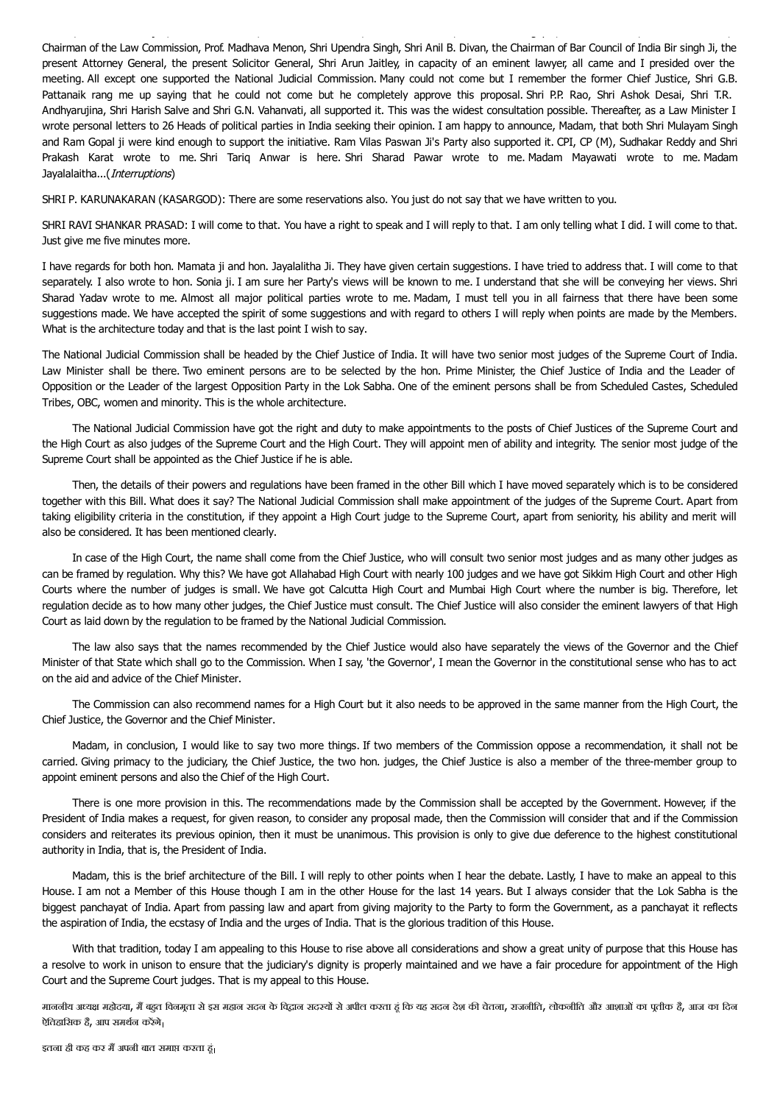Chairman of the Law Commission, Prof. Madhava Menon, Shri Upendra Singh, Shri Anil B. Divan, the Chairman of Bar Council of India Bir singh Ji, the present Attorney General, the present Solicitor General, Shri Arun Jaitley, in capacity of an eminent lawyer, all came and I presided over the meeting. All except one supported the National Judicial Commission. Many could not come but I remember the former Chief Justice, Shri G.B. Pattanaik rang me up saying that he could not come but he completely approve this proposal. Shri P.P. Rao, Shri Ashok Desai, Shri T.R. Andhyarujina, Shri Harish Salve and Shri G.N. Vahanvati, all supported it. This was the widest consultation possible. Thereafter, as a Law Minister I wrote personal letters to 26 Heads of political parties in India seeking their opinion. I am happy to announce, Madam, that both Shri Mulayam Singh and Ram Gopal ji were kind enough to support the initiative. Ram Vilas Paswan Ji's Party also supported it. CPI, CP (M), Sudhakar Reddy and Shri Prakash Karat wrote to me. Shri Tariq Anwar is here. Shri Sharad Pawar wrote to me. Madam Mayawati wrote to me. Madam Jayalalaitha...(*Interruptions*)

Justice, Shri Soli Sorabjee, Shri Fali Nariman, Shri Shanti Bhushan, Shri K. Parasaran, Shri K.K. Venugopal, Shri K.T.S. Tulsi, Justice A.P. Shah,

SHRI P. KARUNAKARAN (KASARGOD): There are some reservations also. You just do not say that we have written to you.

SHRI RAVI SHANKAR PRASAD: I will come to that. You have a right to speak and I will reply to that. I am only telling what I did. I will come to that. Just give me five minutes more.

I have regards for both hon. Mamata ji and hon. Jayalalitha Ji. They have given certain suggestions. I have tried to address that. I will come to that separately. I also wrote to hon. Sonia ji. I am sure her Party's views will be known to me. I understand that she will be conveying her views. Shri Sharad Yadav wrote to me. Almost all major political parties wrote to me. Madam, I must tell you in all fairness that there have been some suggestions made. We have accepted the spirit of some suggestions and with regard to others I will reply when points are made by the Members. What is the architecture today and that is the last point I wish to say.

The National Judicial Commission shall be headed by the Chief Justice of India. It will have two senior most judges of the Supreme Court of India. Law Minister shall be there. Two eminent persons are to be selected by the hon. Prime Minister, the Chief Justice of India and the Leader of Opposition or the Leader of the largest Opposition Party in the Lok Sabha. One of the eminent persons shall be from Scheduled Castes, Scheduled Tribes, OBC, women and minority. This is the whole architecture.

The National Judicial Commission have got the right and duty to make appointments to the posts of Chief Justices of the Supreme Court and the High Court as also judges of the Supreme Court and the High Court. They will appoint men of ability and integrity. The senior most judge of the Supreme Court shall be appointed as the Chief Justice if he is able.

Then, the details of their powers and regulations have been framed in the other Bill which I have moved separately which is to be considered together with this Bill. What does it say? The National Judicial Commission shall make appointment of the judges of the Supreme Court. Apart from taking eligibility criteria in the constitution, if they appoint a High Court judge to the Supreme Court, apart from seniority, his ability and merit will also be considered. It has been mentioned clearly.

In case of the High Court, the name shall come from the Chief Justice, who will consult two senior most judges and as many other judges as can be framed by regulation. Why this? We have got Allahabad High Court with nearly 100 judges and we have got Sikkim High Court and other High Courts where the number of judges is small. We have got Calcutta High Court and Mumbai High Court where the number is big. Therefore, let regulation decide as to how many other judges, the Chief Justice must consult. The Chief Justice will also consider the eminent lawyers of that High Court as laid down by the regulation to be framed by the National Judicial Commission.

The law also says that the names recommended by the Chief Justice would also have separately the views of the Governor and the Chief Minister of that State which shall go to the Commission. When I say, 'the Governor', I mean the Governor in the constitutional sense who has to act on the aid and advice of the Chief Minister.

The Commission can also recommend names for a High Court but it also needs to be approved in the same manner from the High Court, the Chief Justice, the Governor and the Chief Minister.

Madam, in conclusion, I would like to say two more things. If two members of the Commission oppose a recommendation, it shall not be carried. Giving primacy to the judiciary, the Chief Justice, the two hon. judges, the Chief Justice is also a member of the three-member group to appoint eminent persons and also the Chief of the High Court.

There is one more provision in this. The recommendations made by the Commission shall be accepted by the Government. However, if the President of India makes a request, for given reason, to consider any proposal made, then the Commission will consider that and if the Commission considers and reiterates its previous opinion, then it must be unanimous. This provision is only to give due deference to the highest constitutional authority in India, that is, the President of India.

Madam, this is the brief architecture of the Bill. I will reply to other points when I hear the debate. Lastly, I have to make an appeal to this House. I am not a Member of this House though I am in the other House for the last 14 years. But I always consider that the Lok Sabha is the biggest panchayat of India. Apart from passing law and apart from giving majority to the Party to form the Government, as a panchayat it reflects the aspiration of India, the ecstasy of India and the urges of India. That is the glorious tradition of this House.

With that tradition, today I am appealing to this House to rise above all considerations and show a great unity of purpose that this House has a resolve to work in unison to ensure that the judiciary's dignity is properly maintained and we have a fair procedure for appointment of the High Court and the Supreme Court judges. That is my appeal to this House.

माननीय अध्यक्ष महोदया, मैं बहुत विनमूता से इस महान सदन के केदिदान सदर से अपील करता है कि यह बाज से अपने सदन करत ऐतिहासिक है, आप समर्थन करेंगे।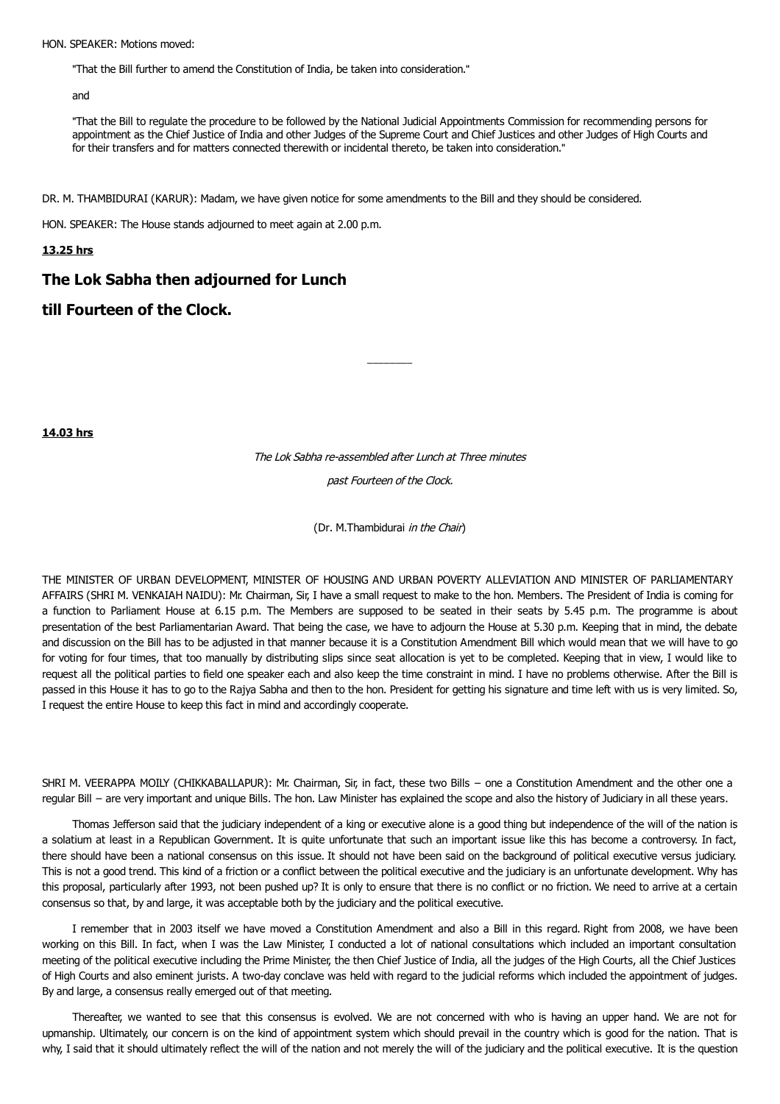#### HON. SPEAKER: Motions moved:

"That the Bill further to amend the Constitution of India, be taken into consideration."

and

"That the Bill to regulate the procedure to be followed by the National Judicial Appointments Commission for recommending persons for appointment as the Chief Justice of India and other Judges of the Supreme Court and Chief Justices and other Judges of High Courts and for their transfers and for matters connected therewith or incidental thereto, be taken into consideration."

DR. M. THAMBIDURAI (KARUR): Madam, we have given notice for some amendments to the Bill and they should be considered.

HON. SPEAKER: The House stands adjourned to meet again at 2.00 p.m.

## **13.25 hrs**

# **The Lok Sabha then adjourned for Lunch**

# **till Fourteen of the Clock.**

**14.03 hrs**

The Lok Sabha re-assembled after Lunch at Three minutes past Fourteen of the Clock.

 $\overline{\phantom{a}}$   $\overline{\phantom{a}}$   $\overline{\phantom{a}}$   $\overline{\phantom{a}}$   $\overline{\phantom{a}}$   $\overline{\phantom{a}}$   $\overline{\phantom{a}}$   $\overline{\phantom{a}}$   $\overline{\phantom{a}}$   $\overline{\phantom{a}}$   $\overline{\phantom{a}}$   $\overline{\phantom{a}}$   $\overline{\phantom{a}}$   $\overline{\phantom{a}}$   $\overline{\phantom{a}}$   $\overline{\phantom{a}}$   $\overline{\phantom{a}}$   $\overline{\phantom{a}}$   $\overline{\$ 

(Dr. M.Thambidurai in the Chair)

THE MINISTER OF URBAN DEVELOPMENT, MINISTER OF HOUSING AND URBAN POVERTY ALLEVIATION AND MINISTER OF PARLIAMENTARY AFFAIRS (SHRI M. VENKAIAH NAIDU): Mr. Chairman, Sir, I have a small request to make to the hon. Members. The President of India is coming for a function to Parliament House at 6.15 p.m. The Members are supposed to be seated in their seats by 5.45 p.m. The programme is about presentation of the best Parliamentarian Award. That being the case, we have to adjourn the House at 5.30 p.m. Keeping that in mind, the debate and discussion on the Bill has to be adjusted in that manner because it is a Constitution Amendment Bill which would mean that we will have to go for voting for four times, that too manually by distributing slips since seat allocation is yet to be completed. Keeping that in view, I would like to request all the political parties to field one speaker each and also keep the time constraint in mind. I have no problems otherwise. After the Bill is passed in this House it has to go to the Rajya Sabha and then to the hon. President for getting his signature and time left with us is very limited. So, I request the entire House to keep this fact in mind and accordingly cooperate.

SHRI M. VEERAPPA MOILY (CHIKKABALLAPUR): Mr. Chairman, Sir, in fact, these two Bills − one a Constitution Amendment and the other one a regular Bill − are very important and unique Bills. The hon. Law Minister has explained the scope and also the history of Judiciary in all these years.

Thomas Jefferson said that the judiciary independent of a king or executive alone is a good thing but independence of the will of the nation is a solatium at least in a Republican Government. It is quite unfortunate that such an important issue like this has become a controversy. In fact, there should have been a national consensus on this issue. It should not have been said on the background of political executive versus judiciary. This is not a good trend. This kind of a friction or a conflict between the political executive and the judiciary is an unfortunate development. Why has this proposal, particularly after 1993, not been pushed up? It is only to ensure that there is no conflict or no friction. We need to arrive at a certain consensus so that, by and large, it was acceptable both by the judiciary and the political executive.

I remember that in 2003 itself we have moved a Constitution Amendment and also a Bill in this regard. Right from 2008, we have been working on this Bill. In fact, when I was the Law Minister, I conducted a lot of national consultations which included an important consultation meeting of the political executive including the Prime Minister, the then Chief Justice of India, all the judges of the High Courts, all the Chief Justices of High Courts and also eminent jurists. A two-day conclave was held with regard to the judicial reforms which included the appointment of judges. By and large, a consensus really emerged out of that meeting.

Thereafter, we wanted to see that this consensus is evolved. We are not concerned with who is having an upper hand. We are not for upmanship. Ultimately, our concern is on the kind of appointment system which should prevail in the country which is good for the nation. That is why, I said that it should ultimately reflect the will of the nation and not merely the will of the judiciary and the political executive. It is the question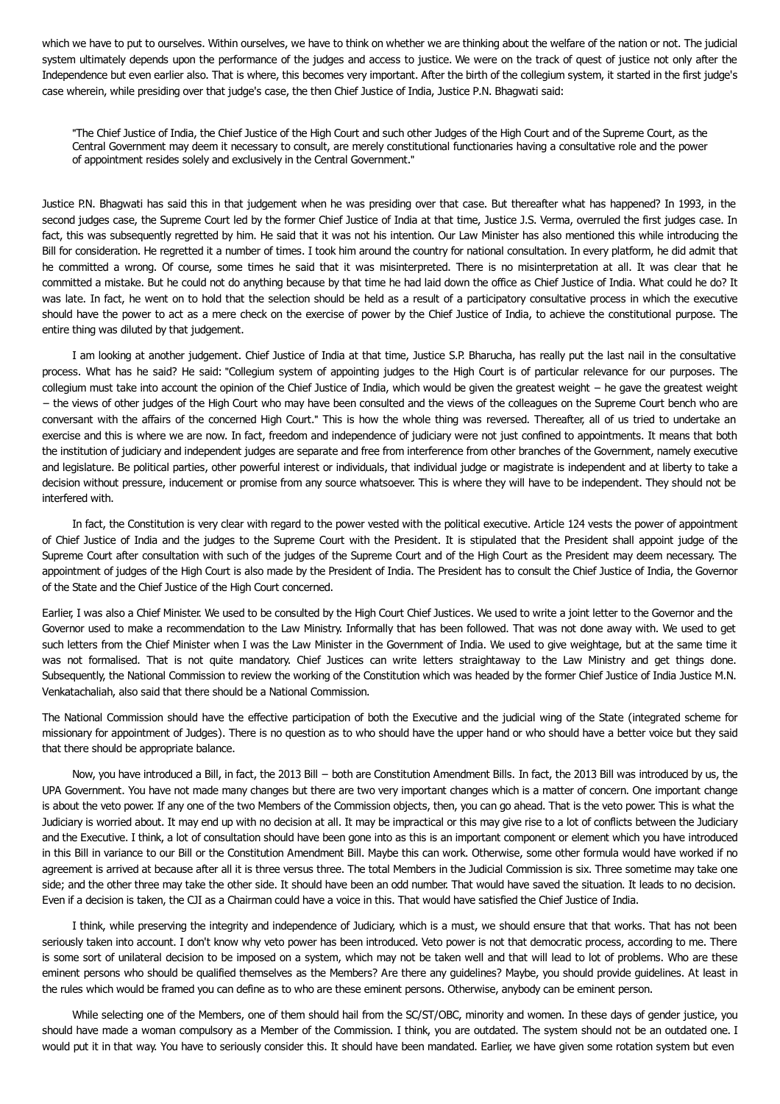which we have to put to ourselves. Within ourselves, we have to think on whether we are thinking about the welfare of the nation or not. The judicial system ultimately depends upon the performance of the judges and access to justice. We were on the track of quest of justice not only after the Independence but even earlier also. That is where, this becomes very important. After the birth of the collegium system, it started in the first judge's case wherein, while presiding over that judge's case, the then Chief Justice of India, Justice P.N. Bhagwati said:

"The Chief Justice of India, the Chief Justice of the High Court and such other Judges of the High Court and of the Supreme Court, as the Central Government may deem it necessary to consult, are merely constitutional functionaries having a consultative role and the power of appointment resides solely and exclusively in the Central Government."

Justice P.N. Bhagwati has said this in that judgement when he was presiding over that case. But thereafter what has happened? In 1993, in the second judges case, the Supreme Court led by the former Chief Justice of India at that time, Justice J.S. Verma, overruled the first judges case. In fact, this was subsequently regretted by him. He said that it was not his intention. Our Law Minister has also mentioned this while introducing the Bill for consideration. He regretted it a number of times. I took him around the country for national consultation. In every platform, he did admit that he committed a wrong. Of course, some times he said that it was misinterpreted. There is no misinterpretation at all. It was clear that he committed a mistake. But he could not do anything because by that time he had laid down the office as Chief Justice of India. What could he do? It was late. In fact, he went on to hold that the selection should be held as a result of a participatory consultative process in which the executive should have the power to act as a mere check on the exercise of power by the Chief Justice of India, to achieve the constitutional purpose. The entire thing was diluted by that judgement.

I am looking at another judgement. Chief Justice of India at that time, Justice S.P. Bharucha, has really put the last nail in the consultative process. What has he said? He said: "Collegium system of appointing judges to the High Court is of particular relevance for our purposes. The collegium must take into account the opinion of the Chief Justice of India, which would be given the greatest weight − he gave the greatest weight − the views of other judges of the High Court who may have been consulted and the views of the colleagues on the Supreme Court bench who are conversant with the affairs of the concerned High Court." This is how the whole thing was reversed. Thereafter, all of us tried to undertake an exercise and this is where we are now. In fact, freedom and independence of judiciary were not just confined to appointments. It means that both the institution of judiciary and independent judges are separate and free from interference from other branches of the Government, namely executive and legislature. Be political parties, other powerful interest or individuals, that individual judge or magistrate is independent and at liberty to take a decision without pressure, inducement or promise from any source whatsoever. This is where they will have to be independent. They should not be interfered with.

In fact, the Constitution is very clear with regard to the power vested with the political executive. Article 124 vests the power of appointment of Chief Justice of India and the judges to the Supreme Court with the President. It is stipulated that the President shall appoint judge of the Supreme Court after consultation with such of the judges of the Supreme Court and of the High Court as the President may deem necessary. The appointment of judges of the High Court is also made by the President of India. The President has to consult the Chief Justice of India, the Governor of the State and the Chief Justice of the High Court concerned.

Earlier, I was also a Chief Minister. We used to be consulted by the High Court Chief Justices. We used to write a joint letter to the Governor and the Governor used to make a recommendation to the Law Ministry. Informally that has been followed. That was not done away with. We used to get such letters from the Chief Minister when I was the Law Minister in the Government of India. We used to give weightage, but at the same time it was not formalised. That is not quite mandatory. Chief Justices can write letters straightaway to the Law Ministry and get things done. Subsequently, the National Commission to review the working of the Constitution which was headed by the former Chief Justice of India Justice M.N. Venkatachaliah, also said that there should be a National Commission.

The National Commission should have the effective participation of both the Executive and the judicial wing of the State (integrated scheme for missionary for appointment of Judges). There is no question as to who should have the upper hand or who should have a better voice but they said that there should be appropriate balance.

Now, you have introduced a Bill, in fact, the 2013 Bill − both are Constitution Amendment Bills. In fact, the 2013 Bill was introduced by us, the UPA Government. You have not made many changes but there are two very important changes which is a matter of concern. One important change is about the veto power. If any one of the two Members of the Commission objects, then, you can go ahead. That is the veto power. This is what the Judiciary is worried about. It may end up with no decision at all. It may be impractical or this may give rise to a lot of conflicts between the Judiciary and the Executive. I think, a lot of consultation should have been gone into as this is an important component or element which you have introduced in this Bill in variance to our Bill or the Constitution Amendment Bill. Maybe this can work. Otherwise, some other formula would have worked if no agreement is arrived at because after all it is three versus three. The total Members in the Judicial Commission is six. Three sometime may take one side; and the other three may take the other side. It should have been an odd number. That would have saved the situation. It leads to no decision. Even if a decision is taken, the CJI as a Chairman could have a voice in this. That would have satisfied the Chief Justice of India.

I think, while preserving the integrity and independence of Judiciary, which is a must, we should ensure that that works. That has not been seriously taken into account. I don't know why veto power has been introduced. Veto power is not that democratic process, according to me. There is some sort of unilateral decision to be imposed on a system, which may not be taken well and that will lead to lot of problems. Who are these eminent persons who should be qualified themselves as the Members? Are there any guidelines? Maybe, you should provide guidelines. At least in the rules which would be framed you can define as to who are these eminent persons. Otherwise, anybody can be eminent person.

While selecting one of the Members, one of them should hail from the SC/ST/OBC, minority and women. In these days of gender justice, you should have made a woman compulsory as a Member of the Commission. I think, you are outdated. The system should not be an outdated one. I would put it in that way. You have to seriously consider this. It should have been mandated. Earlier, we have given some rotation system but even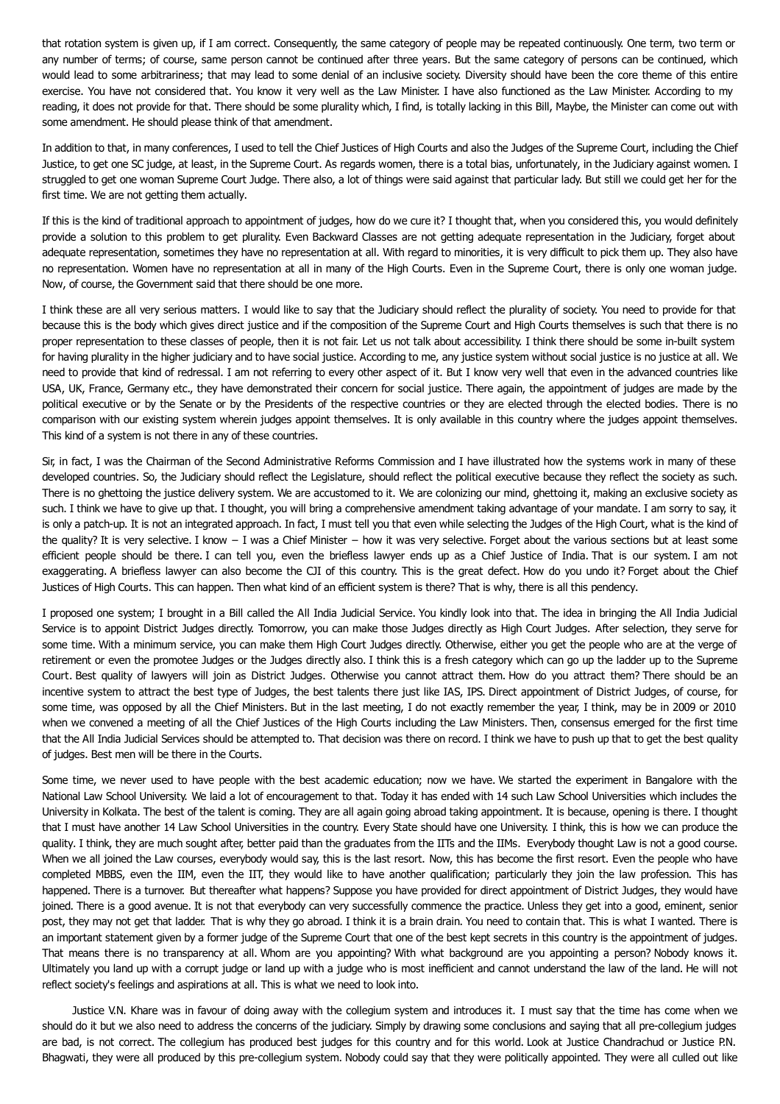that rotation system is given up, if I am correct. Consequently, the same category of people may be repeated continuously. One term, two term or any number of terms; of course, same person cannot be continued after three years. But the same category of persons can be continued, which would lead to some arbitrariness; that may lead to some denial of an inclusive society. Diversity should have been the core theme of this entire exercise. You have not considered that. You know it very well as the Law Minister. I have also functioned as the Law Minister. According to my reading, it does not provide for that. There should be some plurality which, I find, is totally lacking in this Bill, Maybe, the Minister can come out with some amendment. He should please think of that amendment.

In addition to that, in many conferences, I used to tell the Chief Justices of High Courts and also the Judges of the Supreme Court, including the Chief Justice, to get one SC judge, at least, in the Supreme Court. As regards women, there is a total bias, unfortunately, in the Judiciary against women. I struggled to get one woman Supreme Court Judge. There also, a lot of things were said against that particular lady. But still we could get her for the first time. We are not getting them actually.

If this is the kind of traditional approach to appointment of judges, how do we cure it? I thought that, when you considered this, you would definitely provide a solution to this problem to get plurality. Even Backward Classes are not getting adequate representation in the Judiciary, forget about adequate representation, sometimes they have no representation at all. With regard to minorities, it is very difficult to pick them up. They also have no representation. Women have no representation at all in many of the High Courts. Even in the Supreme Court, there is only one woman judge. Now, of course, the Government said that there should be one more.

I think these are all very serious matters. I would like to say that the Judiciary should reflect the plurality of society. You need to provide for that because this is the body which gives direct justice and if the composition of the Supreme Court and High Courts themselves is such that there is no proper representation to these classes of people, then it is not fair. Let us not talk about accessibility. I think there should be some in-built system for having plurality in the higher judiciary and to have social justice. According to me, any justice system without social justice is no justice at all. We need to provide that kind of redressal. I am not referring to every other aspect of it. But I know very well that even in the advanced countries like USA, UK, France, Germany etc., they have demonstrated their concern for social justice. There again, the appointment of judges are made by the political executive or by the Senate or by the Presidents of the respective countries or they are elected through the elected bodies. There is no comparison with our existing system wherein judges appoint themselves. It is only available in this country where the judges appoint themselves. This kind of a system is not there in any of these countries.

Sir, in fact, I was the Chairman of the Second Administrative Reforms Commission and I have illustrated how the systems work in many of these developed countries. So, the Judiciary should reflect the Legislature, should reflect the political executive because they reflect the society as such. There is no ghettoing the justice delivery system. We are accustomed to it. We are colonizing our mind, ghettoing it, making an exclusive society as such. I think we have to give up that. I thought, you will bring a comprehensive amendment taking advantage of your mandate. I am sorry to say, it is only a patch-up. It is not an integrated approach. In fact, I must tell you that even while selecting the Judges of the High Court, what is the kind of the quality? It is very selective. I know − I was a Chief Minister − how it was very selective. Forget about the various sections but at least some efficient people should be there. I can tell you, even the briefless lawyer ends up as a Chief Justice of India. That is our system. I am not exaggerating. A briefless lawyer can also become the CJI of this country. This is the great defect. How do you undo it? Forget about the Chief Justices of High Courts. This can happen. Then what kind of an efficient system is there? That is why, there is all this pendency.

I proposed one system; I brought in a Bill called the All India Judicial Service. You kindly look into that. The idea in bringing the All India Judicial Service is to appoint District Judges directly. Tomorrow, you can make those Judges directly as High Court Judges. After selection, they serve for some time. With a minimum service, you can make them High Court Judges directly. Otherwise, either you get the people who are at the verge of retirement or even the promotee Judges or the Judges directly also. I think this is a fresh category which can go up the ladder up to the Supreme Court. Best quality of lawyers will join as District Judges. Otherwise you cannot attract them. How do you attract them? There should be an incentive system to attract the best type of Judges, the best talents there just like IAS, IPS. Direct appointment of District Judges, of course, for some time, was opposed by all the Chief Ministers. But in the last meeting, I do not exactly remember the year, I think, may be in 2009 or 2010 when we convened a meeting of all the Chief Justices of the High Courts including the Law Ministers. Then, consensus emerged for the first time that the All India Judicial Services should be attempted to. That decision was there on record. I think we have to push up that to get the best quality of judges. Best men will be there in the Courts.

Some time, we never used to have people with the best academic education; now we have. We started the experiment in Bangalore with the National Law School University. We laid a lot of encouragement to that. Today it has ended with 14 such Law School Universities which includes the University in Kolkata. The best of the talent is coming. They are all again going abroad taking appointment. It is because, opening is there. I thought that I must have another 14 Law School Universities in the country. Every State should have one University. I think, this is how we can produce the quality. I think, they are much sought after, better paid than the graduates from the IITs and the IIMs. Everybody thought Law is not a good course. When we all joined the Law courses, everybody would say, this is the last resort. Now, this has become the first resort. Even the people who have completed MBBS, even the IIM, even the IIT, they would like to have another qualification; particularly they join the law profession. This has happened. There is a turnover. But thereafter what happens? Suppose you have provided for direct appointment of District Judges, they would have joined. There is a good avenue. It is not that everybody can very successfully commence the practice. Unless they get into a good, eminent, senior post, they may not get that ladder. That is why they go abroad. I think it is a brain drain. You need to contain that. This is what I wanted. There is an important statement given by a former judge of the Supreme Court that one of the best kept secrets in this country is the appointment of judges. That means there is no transparency at all. Whom are you appointing? With what background are you appointing a person? Nobody knows it. Ultimately you land up with a corrupt judge or land up with a judge who is most inefficient and cannot understand the law of the land. He will not reflect society's feelings and aspirations at all. This is what we need to look into.

Justice V.N. Khare was in favour of doing away with the collegium system and introduces it. I must say that the time has come when we should do it but we also need to address the concerns of the judiciary. Simply by drawing some conclusions and saying that all pre-collegium judges are bad, is not correct. The collegium has produced best judges for this country and for this world. Look at Justice Chandrachud or Justice P.N. Bhagwati, they were all produced by this pre-collegium system. Nobody could say that they were politically appointed. They were all culled out like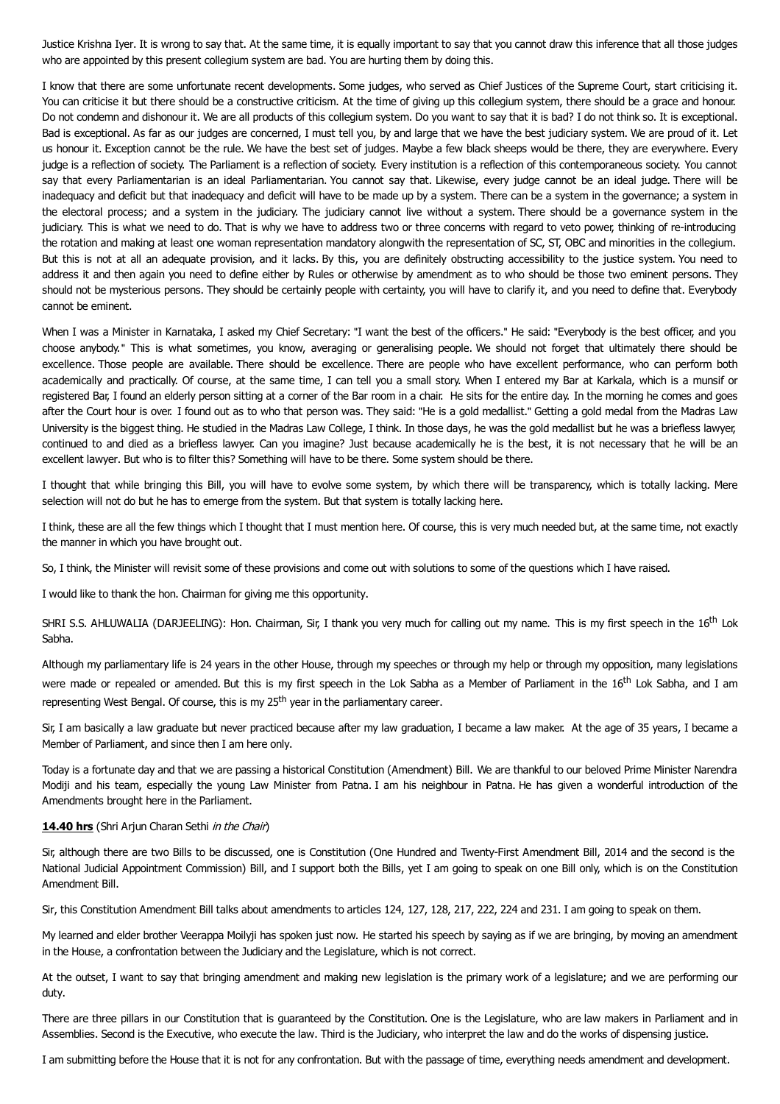Justice Krishna Iyer. It is wrong to say that. At the same time, it is equally important to say that you cannot draw this inference that all those judges who are appointed by this present collegium system are bad. You are hurting them by doing this.

I know that there are some unfortunate recent developments. Some judges, who served as Chief Justices of the Supreme Court, start criticising it. You can criticise it but there should be a constructive criticism. At the time of giving up this collegium system, there should be a grace and honour. Do not condemn and dishonour it. We are all products of this collegium system. Do you want to say that it is bad? I do not think so. It is exceptional. Bad is exceptional. As far as our judges are concerned, I must tell you, by and large that we have the best judiciary system. We are proud of it. Let us honour it. Exception cannot be the rule. We have the best set of judges. Maybe a few black sheeps would be there, they are everywhere. Every judge is a reflection of society. The Parliament is a reflection of society. Every institution is a reflection of this contemporaneous society. You cannot say that every Parliamentarian is an ideal Parliamentarian. You cannot say that. Likewise, every judge cannot be an ideal judge. There will be inadequacy and deficit but that inadequacy and deficit will have to be made up by a system. There can be a system in the governance: a system in the electoral process; and a system in the judiciary. The judiciary cannot live without a system. There should be a governance system in the judiciary. This is what we need to do. That is why we have to address two or three concerns with regard to veto power, thinking of re-introducing the rotation and making at least one woman representation mandatory alongwith the representation of SC, ST, OBC and minorities in the collegium. But this is not at all an adequate provision, and it lacks. By this, you are definitely obstructing accessibility to the justice system. You need to address it and then again you need to define either by Rules or otherwise by amendment as to who should be those two eminent persons. They should not be mysterious persons. They should be certainly people with certainty, you will have to clarify it, and you need to define that. Everybody cannot be eminent.

When I was a Minister in Karnataka, I asked my Chief Secretary: "I want the best of the officers." He said: "Everybody is the best officer, and you choose anybody." This is what sometimes, you know, averaging or generalising people. We should not forget that ultimately there should be excellence. Those people are available. There should be excellence. There are people who have excellent performance, who can perform both academically and practically. Of course, at the same time, I can tell you a small story. When I entered my Bar at Karkala, which is a munsif or registered Bar, I found an elderly person sitting at a corner of the Bar room in a chair. He sits for the entire day. In the morning he comes and goes after the Court hour is over. I found out as to who that person was. They said: "He is a gold medallist." Getting a gold medal from the Madras Law University is the biggest thing. He studied in the Madras Law College, I think. In those days, he was the gold medallist but he was a briefless lawyer, continued to and died as a briefless lawyer. Can you imagine? Just because academically he is the best, it is not necessary that he will be an excellent lawyer. But who is to filter this? Something will have to be there. Some system should be there.

I thought that while bringing this Bill, you will have to evolve some system, by which there will be transparency, which is totally lacking. Mere selection will not do but he has to emerge from the system. But that system is totally lacking here.

I think, these are all the few things which I thought that I must mention here. Of course, this is very much needed but, at the same time, not exactly the manner in which you have brought out.

So, I think, the Minister will revisit some of these provisions and come out with solutions to some of the questions which I have raised.

I would like to thank the hon. Chairman for giving me this opportunity.

SHRI S.S. AHLUWALIA (DARJEELING): Hon. Chairman, Sir, I thank you very much for calling out my name. This is my first speech in the 16<sup>th</sup> Lok Sabha.

Although my parliamentary life is 24 years in the other House, through my speeches or through my help or through my opposition, many legislations were made or repealed or amended. But this is my first speech in the Lok Sabha as a Member of Parliament in the 16<sup>th</sup> Lok Sabha, and I am representing West Bengal. Of course, this is my 25<sup>th</sup> year in the parliamentary career.

Sir, I am basically a law graduate but never practiced because after my law graduation, I became a law maker. At the age of 35 years, I became a Member of Parliament, and since then I am here only.

Today is a fortunate day and that we are passing a historical Constitution (Amendment) Bill. We are thankful to our beloved Prime Minister Narendra Modiji and his team, especially the young Law Minister from Patna. I am his neighbour in Patna. He has given a wonderful introduction of the Amendments brought here in the Parliament.

### **14.40 hrs** (Shri Arjun Charan Sethi in the Chair)

Sir, although there are two Bills to be discussed, one is Constitution (One Hundred and Twenty-First Amendment Bill, 2014 and the second is the National Judicial Appointment Commission) Bill, and I support both the Bills, yet I am going to speak on one Bill only, which is on the Constitution Amendment Bill.

Sir, this Constitution Amendment Bill talks about amendments to articles 124, 127, 128, 217, 222, 224 and 231. I am going to speak on them.

My learned and elder brother Veerappa Moilyji has spoken just now. He started his speech by saying as if we are bringing, by moving an amendment in the House, a confrontation between the Judiciary and the Legislature, which is not correct.

At the outset, I want to say that bringing amendment and making new legislation is the primary work of a legislature; and we are performing our duty.

There are three pillars in our Constitution that is guaranteed by the Constitution. One is the Legislature, who are law makers in Parliament and in Assemblies. Second is the Executive, who execute the law. Third is the Judiciary, who interpret the law and do the works of dispensing justice.

I am submitting before the House that it is not for any confrontation. But with the passage of time, everything needs amendment and development.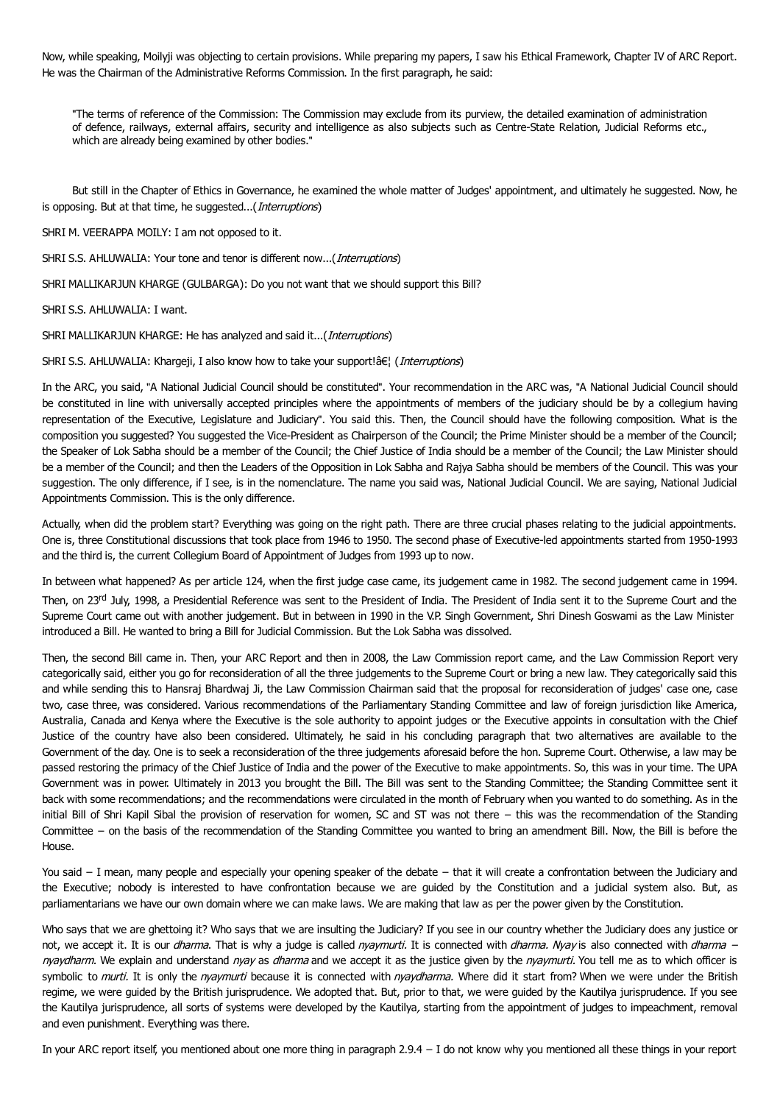Now, while speaking, Moilyji was objecting to certain provisions. While preparing my papers, I saw his Ethical Framework, Chapter IV of ARC Report. He was the Chairman of the Administrative Reforms Commission. In the first paragraph, he said:

"The terms of reference of the Commission: The Commission may exclude from its purview, the detailed examination of administration of defence, railways, external affairs, security and intelligence as also subjects such as Centre-State Relation, Judicial Reforms etc., which are already being examined by other bodies."

But still in the Chapter of Ethics in Governance, he examined the whole matter of Judges' appointment, and ultimately he suggested. Now, he is opposing. But at that time, he suggested...(*Interruptions*)

SHRI M. VEERAPPA MOILY: I am not opposed to it.

SHRI S.S. AHLUWALIA: Your tone and tenor is different now...(*Interruptions*)

SHRI MALLIKARJUN KHARGE (GULBARGA): Do you not want that we should support this Bill?

SHRI S.S. AHLUWALIA: I want.

SHRI MALLIKARJUN KHARGE: He has analyzed and said it...(*Interruptions*)

SHRI S.S. AHLUWALIA: Khargeji, I also know how to take your support!â€| (Interruptions)

In the ARC, you said, "A National Judicial Council should be constituted". Your recommendation in the ARC was, "A National Judicial Council should be constituted in line with universally accepted principles where the appointments of members of the judiciary should be by a collegium having representation of the Executive, Legislature and Judiciary". You said this. Then, the Council should have the following composition. What is the composition you suggested? You suggested the Vice-President as Chairperson of the Council; the Prime Minister should be a member of the Council; the Speaker of Lok Sabha should be a member of the Council; the Chief Justice of India should be a member of the Council; the Law Minister should be a member of the Council; and then the Leaders of the Opposition in Lok Sabha and Rajya Sabha should be members of the Council. This was your suggestion. The only difference, if I see, is in the nomenclature. The name you said was, National Judicial Council. We are saying, National Judicial Appointments Commission. This is the only difference.

Actually, when did the problem start? Everything was going on the right path. There are three crucial phases relating to the judicial appointments. One is, three Constitutional discussions that took place from 1946 to 1950. The second phase of Executive-led appointments started from 1950-1993 and the third is, the current Collegium Board of Appointment of Judges from 1993 up to now.

In between what happened? As per article 124, when the first judge case came, its judgement came in 1982. The second judgement came in 1994. Then, on 23<sup>rd</sup> July, 1998, a Presidential Reference was sent to the President of India. The President of India sent it to the Supreme Court and the Supreme Court came out with another judgement. But in between in 1990 in the V.P. Singh Government, Shri Dinesh Goswami as the Law Minister introduced a Bill. He wanted to bring a Bill for Judicial Commission. But the Lok Sabha was dissolved.

Then, the second Bill came in. Then, your ARC Report and then in 2008, the Law Commission report came, and the Law Commission Report very categorically said, either you go for reconsideration of all the three judgements to the Supreme Court or bring a new law. They categorically said this and while sending this to Hansraj Bhardwaj Ji, the Law Commission Chairman said that the proposal for reconsideration of judges' case one, case two, case three, was considered. Various recommendations of the Parliamentary Standing Committee and law of foreign jurisdiction like America, Australia, Canada and Kenya where the Executive is the sole authority to appoint judges or the Executive appoints in consultation with the Chief Justice of the country have also been considered. Ultimately, he said in his concluding paragraph that two alternatives are available to the Government of the day. One is to seek a reconsideration of the three judgements aforesaid before the hon. Supreme Court. Otherwise, a law may be passed restoring the primacy of the Chief Justice of India and the power of the Executive to make appointments. So, this was in your time. The UPA Government was in power. Ultimately in 2013 you brought the Bill. The Bill was sent to the Standing Committee; the Standing Committee sent it back with some recommendations; and the recommendations were circulated in the month of February when you wanted to do something. As in the initial Bill of Shri Kapil Sibal the provision of reservation for women, SC and ST was not there − this was the recommendation of the Standing Committee − on the basis of the recommendation of the Standing Committee you wanted to bring an amendment Bill. Now, the Bill is before the House.

You said − I mean, many people and especially your opening speaker of the debate − that it will create a confrontation between the Judiciary and the Executive; nobody is interested to have confrontation because we are guided by the Constitution and a judicial system also. But, as parliamentarians we have our own domain where we can make laws. We are making that law as per the power given by the Constitution.

Who says that we are ghettoing it? Who says that we are insulting the Judiciary? If you see in our country whether the Judiciary does any justice or not, we accept it. It is our *dharma*. That is why a judge is called nyaymurti. It is connected with dharma. Nyay is also connected with dharma − nyaydharm. We explain and understand nyay as dharma and we accept it as the justice given by the nyaymurti. You tell me as to which officer is symbolic to murti. It is only the nyaymurti because it is connected with nyaydharma. Where did it start from? When we were under the British regime, we were guided by the British jurisprudence. We adopted that. But, prior to that, we were guided by the Kautilya jurisprudence. If you see the Kautilya jurisprudence, all sorts of systems were developed by the Kautilya, starting from the appointment of judges to impeachment, removal and even punishment. Everything was there.

In your ARC report itself, you mentioned about one more thing in paragraph 2.9.4 − I do not know why you mentioned all these things in your report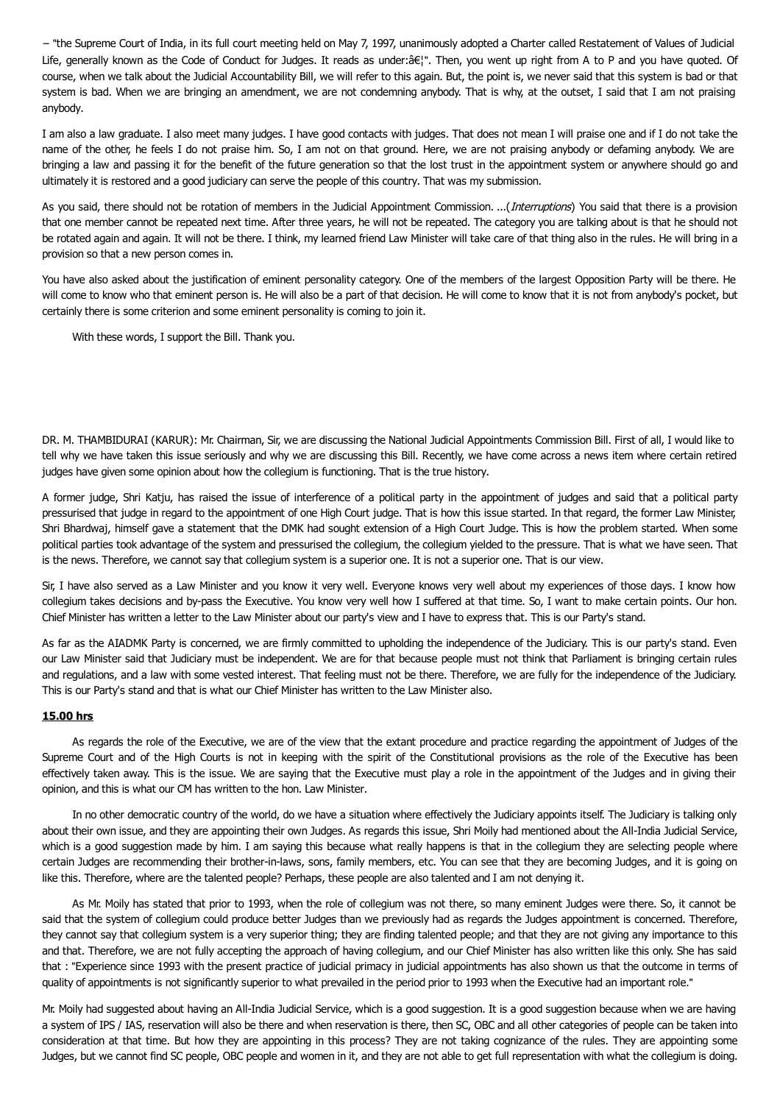− "the Supreme Court of India, in its full court meeting held on May 7, 1997, unanimously adopted a Charter called Restatement of Values of Judicial Life, generally known as the Code of Conduct for Judges. It reads as under: a E|". Then, you went up right from A to P and you have quoted. Of course, when we talk about the Judicial Accountability Bill, we will refer to this again. But, the point is, we never said that this system is bad or that system is bad. When we are bringing an amendment, we are not condemning anybody. That is why, at the outset, I said that I am not praising anybody.

I am also a law graduate. I also meet many judges. I have good contacts with judges. That does not mean I will praise one and if I do not take the name of the other, he feels I do not praise him. So, I am not on that ground. Here, we are not praising anybody or defaming anybody. We are bringing a law and passing it for the benefit of the future generation so that the lost trust in the appointment system or anywhere should go and ultimately it is restored and a good judiciary can serve the people of this country. That was my submission.

As you said, there should not be rotation of members in the Judicial Appointment Commission. ...(*Interruptions*) You said that there is a provision that one member cannot be repeated next time. After three years, he will not be repeated. The category you are talking about is that he should not be rotated again and again. It will not be there. I think, my learned friend Law Minister will take care of that thing also in the rules. He will bring in a provision so that a new person comes in.

You have also asked about the justification of eminent personality category. One of the members of the largest Opposition Party will be there. He will come to know who that eminent person is. He will also be a part of that decision. He will come to know that it is not from anybody's pocket, but certainly there is some criterion and some eminent personality is coming to join it.

With these words, I support the Bill. Thank you.

DR. M. THAMBIDURAI (KARUR): Mr. Chairman, Sir, we are discussing the National Judicial Appointments Commission Bill. First of all, I would like to tell why we have taken this issue seriously and why we are discussing this Bill. Recently, we have come across a news item where certain retired judges have given some opinion about how the collegium is functioning. That is the true history.

A former judge, Shri Katju, has raised the issue of interference of a political party in the appointment of judges and said that a political party pressurised that judge in regard to the appointment of one High Court judge. That is how this issue started. In that regard, the former Law Minister, Shri Bhardwaj, himself gave a statement that the DMK had sought extension of a High Court Judge. This is how the problem started. When some political parties took advantage of the system and pressurised the collegium, the collegium yielded to the pressure. That is what we have seen. That is the news. Therefore, we cannot say that collegium system is a superior one. It is not a superior one. That is our view.

Sir, I have also served as a Law Minister and you know it very well. Everyone knows very well about my experiences of those days. I know how collegium takes decisions and by-pass the Executive. You know very well how I suffered at that time. So, I want to make certain points. Our hon. Chief Minister has written a letter to the Law Minister about our party's view and I have to express that. This is our Party's stand.

As far as the AIADMK Party is concerned, we are firmly committed to upholding the independence of the Judiciary. This is our party's stand. Even our Law Minister said that Judiciary must be independent. We are for that because people must not think that Parliament is bringing certain rules and regulations, and a law with some vested interest. That feeling must not be there. Therefore, we are fully for the independence of the Judiciary. This is our Party's stand and that is what our Chief Minister has written to the Law Minister also.

## **15.00 hrs**

As regards the role of the Executive, we are of the view that the extant procedure and practice regarding the appointment of Judges of the Supreme Court and of the High Courts is not in keeping with the spirit of the Constitutional provisions as the role of the Executive has been effectively taken away. This is the issue. We are saying that the Executive must play a role in the appointment of the Judges and in giving their opinion, and this is what our CM has written to the hon. Law Minister.

In no other democratic country of the world, do we have a situation where effectively the Judiciary appoints itself. The Judiciary is talking only about their own issue, and they are appointing their own Judges. As regards this issue, Shri Moily had mentioned about the All-India Judicial Service, which is a good suggestion made by him. I am saying this because what really happens is that in the collegium they are selecting people where certain Judges are recommending their brother-in-laws, sons, family members, etc. You can see that they are becoming Judges, and it is going on like this. Therefore, where are the talented people? Perhaps, these people are also talented and I am not denying it.

As Mr. Moily has stated that prior to 1993, when the role of collegium was not there, so many eminent Judges were there. So, it cannot be said that the system of collegium could produce better Judges than we previously had as regards the Judges appointment is concerned. Therefore, they cannot say that collegium system is a very superior thing; they are finding talented people; and that they are not giving any importance to this and that. Therefore, we are not fully accepting the approach of having collegium, and our Chief Minister has also written like this only. She has said that : "Experience since 1993 with the present practice of judicial primacy in judicial appointments has also shown us that the outcome in terms of quality of appointments is not significantly superior to what prevailed in the period prior to 1993 when the Executive had an important role."

Mr. Moily had suggested about having an All-India Judicial Service, which is a good suggestion. It is a good suggestion because when we are having a system of IPS / IAS, reservation will also be there and when reservation is there, then SC, OBC and all other categories of people can be taken into consideration at that time. But how they are appointing in this process? They are not taking cognizance of the rules. They are appointing some Judges, but we cannot find SC people, OBC people and women in it, and they are not able to get full representation with what the collegium is doing.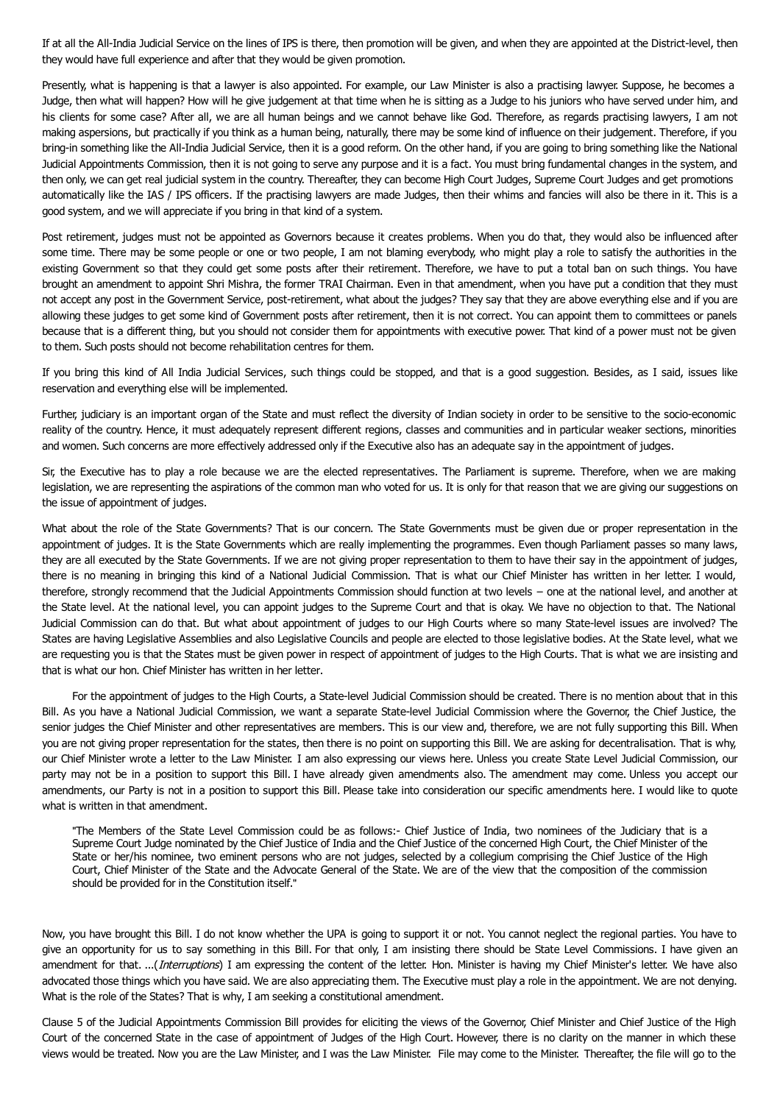If at all the All-India Judicial Service on the lines of IPS is there, then promotion will be given, and when they are appointed at the District-level, then they would have full experience and after that they would be given promotion.

Presently, what is happening is that a lawyer is also appointed. For example, our Law Minister is also a practising lawyer. Suppose, he becomes a Judge, then what will happen? How will he give judgement at that time when he is sitting as a Judge to his juniors who have served under him, and his clients for some case? After all, we are all human beings and we cannot behave like God. Therefore, as regards practising lawyers, I am not making aspersions, but practically if you think as a human being, naturally, there may be some kind of influence on their judgement. Therefore, if you bring-in something like the All-India Judicial Service, then it is a good reform. On the other hand, if you are going to bring something like the National Judicial Appointments Commission, then it is not going to serve any purpose and it is a fact. You must bring fundamental changes in the system, and then only, we can get real judicial system in the country. Thereafter, they can become High Court Judges, Supreme Court Judges and get promotions automatically like the IAS / IPS officers. If the practising lawyers are made Judges, then their whims and fancies will also be there in it. This is a good system, and we will appreciate if you bring in that kind of a system.

Post retirement, judges must not be appointed as Governors because it creates problems. When you do that, they would also be influenced after some time. There may be some people or one or two people, I am not blaming everybody, who might play a role to satisfy the authorities in the existing Government so that they could get some posts after their retirement. Therefore, we have to put a total ban on such things. You have brought an amendment to appoint Shri Mishra, the former TRAI Chairman. Even in that amendment, when you have put a condition that they must not accept any post in the Government Service, post-retirement, what about the judges? They say that they are above everything else and if you are allowing these judges to get some kind of Government posts after retirement, then it is not correct. You can appoint them to committees or panels because that is a different thing, but you should not consider them for appointments with executive power. That kind of a power must not be given to them. Such posts should not become rehabilitation centres for them.

If you bring this kind of All India Judicial Services, such things could be stopped, and that is a good suggestion. Besides, as I said, issues like reservation and everything else will be implemented.

Further, judiciary is an important organ of the State and must reflect the diversity of Indian society in order to be sensitive to the socio-economic reality of the country. Hence, it must adequately represent different regions, classes and communities and in particular weaker sections, minorities and women. Such concerns are more effectively addressed only if the Executive also has an adequate say in the appointment of judges.

Sir, the Executive has to play a role because we are the elected representatives. The Parliament is supreme. Therefore, when we are making legislation, we are representing the aspirations of the common man who voted for us. It is only for that reason that we are giving our suggestions on the issue of appointment of judges.

What about the role of the State Governments? That is our concern. The State Governments must be given due or proper representation in the appointment of judges. It is the State Governments which are really implementing the programmes. Even though Parliament passes so many laws, they are all executed by the State Governments. If we are not giving proper representation to them to have their say in the appointment of judges, there is no meaning in bringing this kind of a National Judicial Commission. That is what our Chief Minister has written in her letter. I would, therefore, strongly recommend that the Judicial Appointments Commission should function at two levels − one at the national level, and another at the State level. At the national level, you can appoint judges to the Supreme Court and that is okay. We have no objection to that. The National Judicial Commission can do that. But what about appointment of judges to our High Courts where so many State-level issues are involved? The States are having Legislative Assemblies and also Legislative Councils and people are elected to those legislative bodies. At the State level, what we are requesting you is that the States must be given power in respect of appointment of judges to the High Courts. That is what we are insisting and that is what our hon. Chief Minister has written in her letter.

For the appointment of judges to the High Courts, a State-level Judicial Commission should be created. There is no mention about that in this Bill. As you have a National Judicial Commission, we want a separate State-level Judicial Commission where the Governor, the Chief Justice, the senior judges the Chief Minister and other representatives are members. This is our view and, therefore, we are not fully supporting this Bill. When you are not giving proper representation for the states, then there is no point on supporting this Bill. We are asking for decentralisation. That is why, our Chief Minister wrote a letter to the Law Minister. I am also expressing our views here. Unless you create State Level Judicial Commission, our party may not be in a position to support this Bill. I have already given amendments also. The amendment may come. Unless you accept our amendments, our Party is not in a position to support this Bill. Please take into consideration our specific amendments here. I would like to quote what is written in that amendment.

"The Members of the State Level Commission could be as follows:- Chief Justice of India, two nominees of the Judiciary that is a Supreme Court Judge nominated by the Chief Justice of India and the Chief Justice of the concerned High Court, the Chief Minister of the State or her/his nominee, two eminent persons who are not judges, selected by a collegium comprising the Chief Justice of the High Court, Chief Minister of the State and the Advocate General of the State. We are of the view that the composition of the commission should be provided for in the Constitution itself."

Now, you have brought this Bill. I do not know whether the UPA is going to support it or not. You cannot neglect the regional parties. You have to give an opportunity for us to say something in this Bill. For that only, I am insisting there should be State Level Commissions. I have given an amendment for that. ...(Interruptions) I am expressing the content of the letter. Hon. Minister is having my Chief Minister's letter. We have also advocated those things which you have said. We are also appreciating them. The Executive must play a role in the appointment. We are not denying. What is the role of the States? That is why, I am seeking a constitutional amendment.

Clause 5 of the Judicial Appointments Commission Bill provides for eliciting the views of the Governor, Chief Minister and Chief Justice of the High Court of the concerned State in the case of appointment of Judges of the High Court. However, there is no clarity on the manner in which these views would be treated. Now you are the Law Minister, and I was the Law Minister. File may come to the Minister. Thereafter, the file will go to the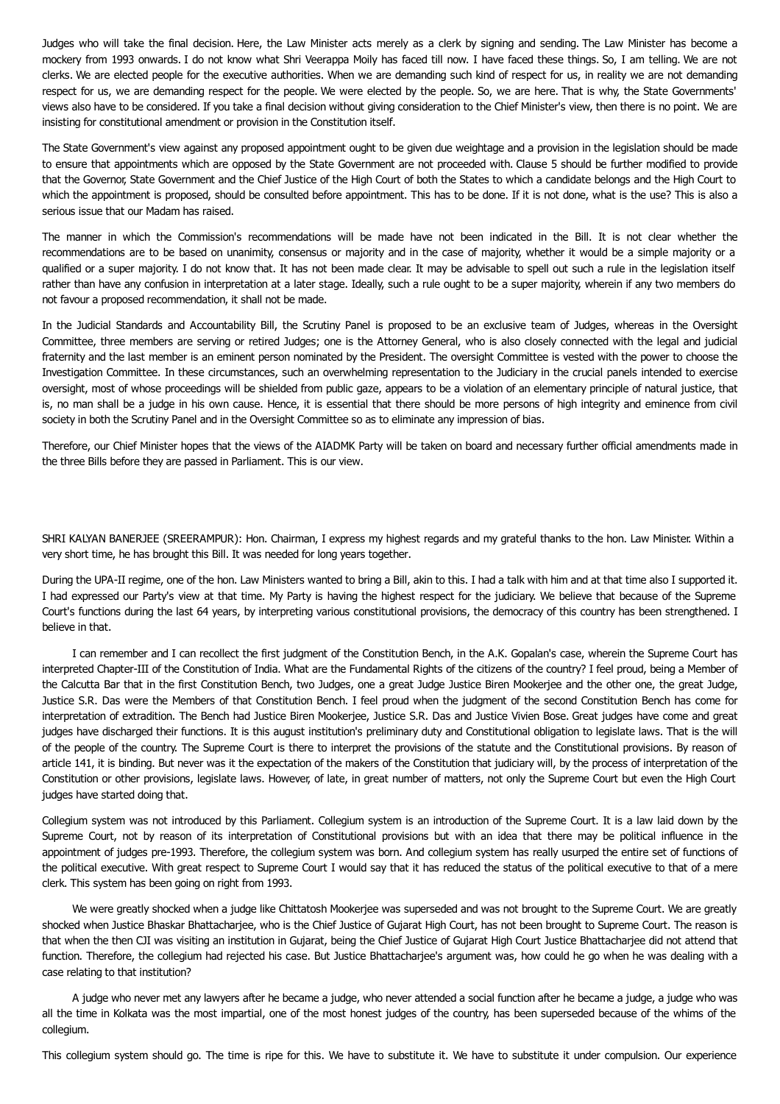Judges who will take the final decision. Here, the Law Minister acts merely as a clerk by signing and sending. The Law Minister has become a mockery from 1993 onwards. I do not know what Shri Veerappa Moily has faced till now. I have faced these things. So, I am telling. We are not clerks. We are elected people for the executive authorities. When we are demanding such kind of respect for us, in reality we are not demanding respect for us, we are demanding respect for the people. We were elected by the people. So, we are here. That is why, the State Governments' views also have to be considered. If you take a final decision without giving consideration to the Chief Minister's view, then there is no point. We are insisting for constitutional amendment or provision in the Constitution itself.

The State Government's view against any proposed appointment ought to be given due weightage and a provision in the legislation should be made to ensure that appointments which are opposed by the State Government are not proceeded with. Clause 5 should be further modified to provide that the Governor, State Government and the Chief Justice of the High Court of both the States to which a candidate belongs and the High Court to which the appointment is proposed, should be consulted before appointment. This has to be done. If it is not done, what is the use? This is also a serious issue that our Madam has raised.

The manner in which the Commission's recommendations will be made have not been indicated in the Bill. It is not clear whether the recommendations are to be based on unanimity, consensus or majority and in the case of majority, whether it would be a simple majority or a qualified or a super majority. I do not know that. It has not been made clear. It may be advisable to spell out such a rule in the legislation itself rather than have any confusion in interpretation at a later stage. Ideally, such a rule ought to be a super majority, wherein if any two members do not favour a proposed recommendation, it shall not be made.

In the Judicial Standards and Accountability Bill, the Scrutiny Panel is proposed to be an exclusive team of Judges, whereas in the Oversight Committee, three members are serving or retired Judges; one is the Attorney General, who is also closely connected with the legal and judicial fraternity and the last member is an eminent person nominated by the President. The oversight Committee is vested with the power to choose the Investigation Committee. In these circumstances, such an overwhelming representation to the Judiciary in the crucial panels intended to exercise oversight, most of whose proceedings will be shielded from public gaze, appears to be a violation of an elementary principle of natural justice, that is, no man shall be a judge in his own cause. Hence, it is essential that there should be more persons of high integrity and eminence from civil society in both the Scrutiny Panel and in the Oversight Committee so as to eliminate any impression of bias.

Therefore, our Chief Minister hopes that the views of the AIADMK Party will be taken on board and necessary further official amendments made in the three Bills before they are passed in Parliament. This is our view.

SHRI KALYAN BANERJEE (SREERAMPUR): Hon. Chairman, I express my highest regards and my grateful thanks to the hon. Law Minister. Within a very short time, he has brought this Bill. It was needed for long years together.

During the UPA-II regime, one of the hon. Law Ministers wanted to bring a Bill, akin to this. I had a talk with him and at that time also I supported it. I had expressed our Party's view at that time. My Party is having the highest respect for the judiciary. We believe that because of the Supreme Court's functions during the last 64 years, by interpreting various constitutional provisions, the democracy of this country has been strengthened. I believe in that.

I can remember and I can recollect the first judgment of the Constitution Bench, in the A.K. Gopalan's case, wherein the Supreme Court has interpreted Chapter-III of the Constitution of India. What are the Fundamental Rights of the citizens of the country? I feel proud, being a Member of the Calcutta Bar that in the first Constitution Bench, two Judges, one a great Judge Justice Biren Mookerjee and the other one, the great Judge, Justice S.R. Das were the Members of that Constitution Bench. I feel proud when the judgment of the second Constitution Bench has come for interpretation of extradition. The Bench had Justice Biren Mookerjee, Justice S.R. Das and Justice Vivien Bose. Great judges have come and great judges have discharged their functions. It is this august institution's preliminary duty and Constitutional obligation to legislate laws. That is the will of the people of the country. The Supreme Court is there to interpret the provisions of the statute and the Constitutional provisions. By reason of article 141, it is binding. But never was it the expectation of the makers of the Constitution that judiciary will, by the process of interpretation of the Constitution or other provisions, legislate laws. However, of late, in great number of matters, not only the Supreme Court but even the High Court judges have started doing that.

Collegium system was not introduced by this Parliament. Collegium system is an introduction of the Supreme Court. It is a law laid down by the Supreme Court, not by reason of its interpretation of Constitutional provisions but with an idea that there may be political influence in the appointment of judges pre-1993. Therefore, the collegium system was born. And collegium system has really usurped the entire set of functions of the political executive. With great respect to Supreme Court I would say that it has reduced the status of the political executive to that of a mere clerk. This system has been going on right from 1993.

We were greatly shocked when a judge like Chittatosh Mookerjee was superseded and was not brought to the Supreme Court. We are greatly shocked when Justice Bhaskar Bhattacharjee, who is the Chief Justice of Gujarat High Court, has not been brought to Supreme Court. The reason is that when the then CJI was visiting an institution in Gujarat, being the Chief Justice of Gujarat High Court Justice Bhattacharjee did not attend that function. Therefore, the collegium had rejected his case. But Justice Bhattacharjee's argument was, how could he go when he was dealing with a case relating to that institution?

A judge who never met any lawyers after he became a judge, who never attended a social function after he became a judge, a judge who was all the time in Kolkata was the most impartial, one of the most honest judges of the country, has been superseded because of the whims of the collegium.

This collegium system should go. The time is ripe for this. We have to substitute it. We have to substitute it under compulsion. Our experience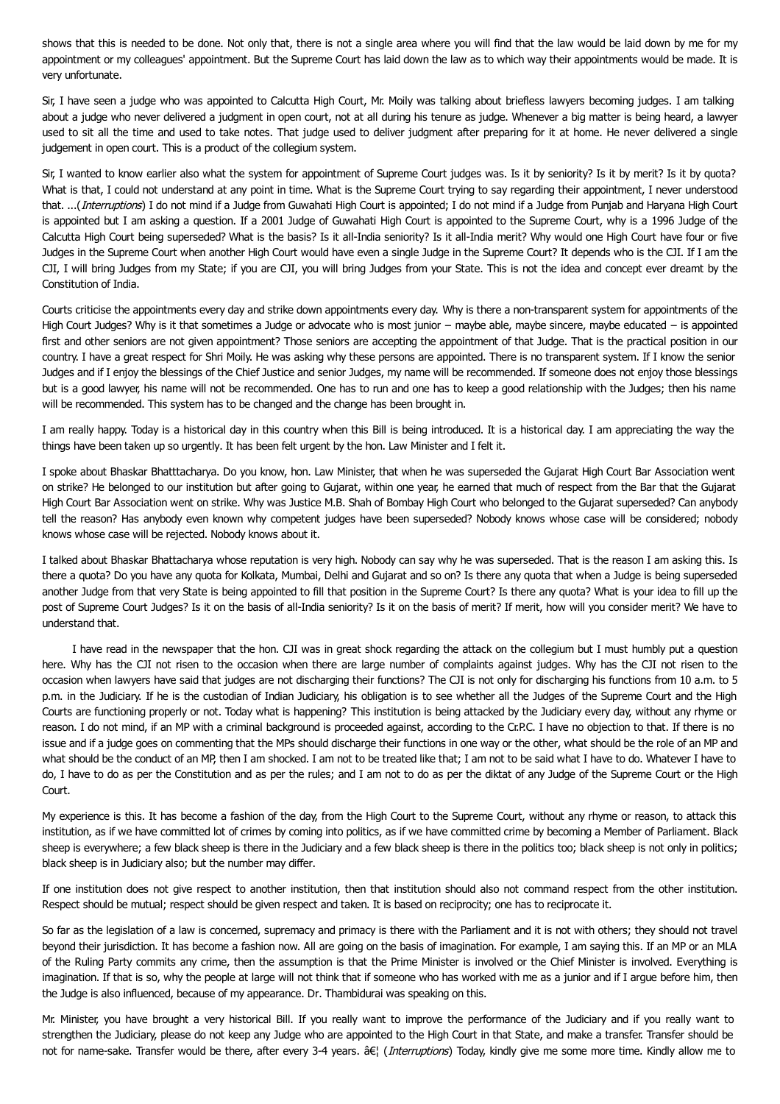shows that this is needed to be done. Not only that, there is not a single area where you will find that the law would be laid down by me for my appointment or my colleagues' appointment. But the Supreme Court has laid down the law as to which way their appointments would be made. It is very unfortunate.

Sir, I have seen a judge who was appointed to Calcutta High Court, Mr. Moily was talking about briefless lawyers becoming judges. I am talking about a judge who never delivered a judgment in open court, not at all during his tenure as judge. Whenever a big matter is being heard, a lawyer used to sit all the time and used to take notes. That judge used to deliver judgment after preparing for it at home. He never delivered a single judgement in open court. This is a product of the collegium system.

Sir, I wanted to know earlier also what the system for appointment of Supreme Court judges was. Is it by seniority? Is it by merit? Is it by quota? What is that, I could not understand at any point in time. What is the Supreme Court trying to say regarding their appointment, I never understood that. ...(Interruptions) I do not mind if a Judge from Guwahati High Court is appointed; I do not mind if a Judge from Punjab and Haryana High Court is appointed but I am asking a question. If a 2001 Judge of Guwahati High Court is appointed to the Supreme Court, why is a 1996 Judge of the Calcutta High Court being superseded? What is the basis? Is it all-India seniority? Is it all-India merit? Why would one High Court have four or five Judges in the Supreme Court when another High Court would have even a single Judge in the Supreme Court? It depends who is the CJI. If I am the CJI, I will bring Judges from my State; if you are CJI, you will bring Judges from your State. This is not the idea and concept ever dreamt by the Constitution of India.

Courts criticise the appointments every day and strike down appointments every day. Why is there a non-transparent system for appointments of the High Court Judges? Why is it that sometimes a Judge or advocate who is most junior − maybe able, maybe sincere, maybe educated − is appointed first and other seniors are not given appointment? Those seniors are accepting the appointment of that Judge. That is the practical position in our country. I have a great respect for Shri Moily. He was asking why these persons are appointed. There is no transparent system. If I know the senior Judges and if I enjoy the blessings of the Chief Justice and senior Judges, my name will be recommended. If someone does not enjoy those blessings but is a good lawyer, his name will not be recommended. One has to run and one has to keep a good relationship with the Judges; then his name will be recommended. This system has to be changed and the change has been brought in.

I am really happy. Today is a historical day in this country when this Bill is being introduced. It is a historical day. I am appreciating the way the things have been taken up so urgently. It has been felt urgent by the hon. Law Minister and I felt it.

I spoke about Bhaskar Bhatttacharya. Do you know, hon. Law Minister, that when he was superseded the Gujarat High Court Bar Association went on strike? He belonged to our institution but after going to Gujarat, within one year, he earned that much of respect from the Bar that the Gujarat High Court Bar Association went on strike. Why was Justice M.B. Shah of Bombay High Court who belonged to the Gujarat superseded? Can anybody tell the reason? Has anybody even known why competent judges have been superseded? Nobody knows whose case will be considered; nobody knows whose case will be rejected. Nobody knows about it.

I talked about Bhaskar Bhattacharya whose reputation is very high. Nobody can say why he was superseded. That is the reason I am asking this. Is there a quota? Do you have any quota for Kolkata, Mumbai, Delhi and Gujarat and so on? Is there any quota that when a Judge is being superseded another Judge from that very State is being appointed to fill that position in the Supreme Court? Is there any quota? What is your idea to fill up the post of Supreme Court Judges? Is it on the basis of all-India seniority? Is it on the basis of merit? If merit, how will you consider merit? We have to understand that.

I have read in the newspaper that the hon. CJI was in great shock regarding the attack on the collegium but I must humbly put a question here. Why has the CJI not risen to the occasion when there are large number of complaints against judges. Why has the CJI not risen to the occasion when lawyers have said that judges are not discharging their functions? The CJI is not only for discharging his functions from 10 a.m. to 5 p.m. in the Judiciary. If he is the custodian of Indian Judiciary, his obligation is to see whether all the Judges of the Supreme Court and the High Courts are functioning properly or not. Today what is happening? This institution is being attacked by the Judiciary every day, without any rhyme or reason. I do not mind, if an MP with a criminal background is proceeded against, according to the Cr.P.C. I have no objection to that. If there is no issue and if a judge goes on commenting that the MPs should discharge their functions in one way or the other, what should be the role of an MP and what should be the conduct of an MP, then I am shocked. I am not to be treated like that; I am not to be said what I have to do. Whatever I have to do, I have to do as per the Constitution and as per the rules; and I am not to do as per the diktat of any Judge of the Supreme Court or the High Court.

My experience is this. It has become a fashion of the day, from the High Court to the Supreme Court, without any rhyme or reason, to attack this institution, as if we have committed lot of crimes by coming into politics, as if we have committed crime by becoming a Member of Parliament. Black sheep is everywhere; a few black sheep is there in the Judiciary and a few black sheep is there in the politics too; black sheep is not only in politics; black sheep is in Judiciary also; but the number may differ.

If one institution does not give respect to another institution, then that institution should also not command respect from the other institution. Respect should be mutual; respect should be given respect and taken. It is based on reciprocity; one has to reciprocate it.

So far as the legislation of a law is concerned, supremacy and primacy is there with the Parliament and it is not with others; they should not travel beyond their jurisdiction. It has become a fashion now. All are going on the basis of imagination. For example, I am saying this. If an MP or an MLA of the Ruling Party commits any crime, then the assumption is that the Prime Minister is involved or the Chief Minister is involved. Everything is imagination. If that is so, why the people at large will not think that if someone who has worked with me as a junior and if I argue before him, then the Judge is also influenced, because of my appearance. Dr. Thambidurai was speaking on this.

Mr. Minister, you have brought a very historical Bill. If you really want to improve the performance of the Judiciary and if you really want to strengthen the Judiciary, please do not keep any Judge who are appointed to the High Court in that State, and make a transfer. Transfer should be not for name-sake. Transfer would be there, after every 3-4 years. â $\epsilon$ <sup>1</sup> (Interruptions) Today, kindly give me some more time. Kindly allow me to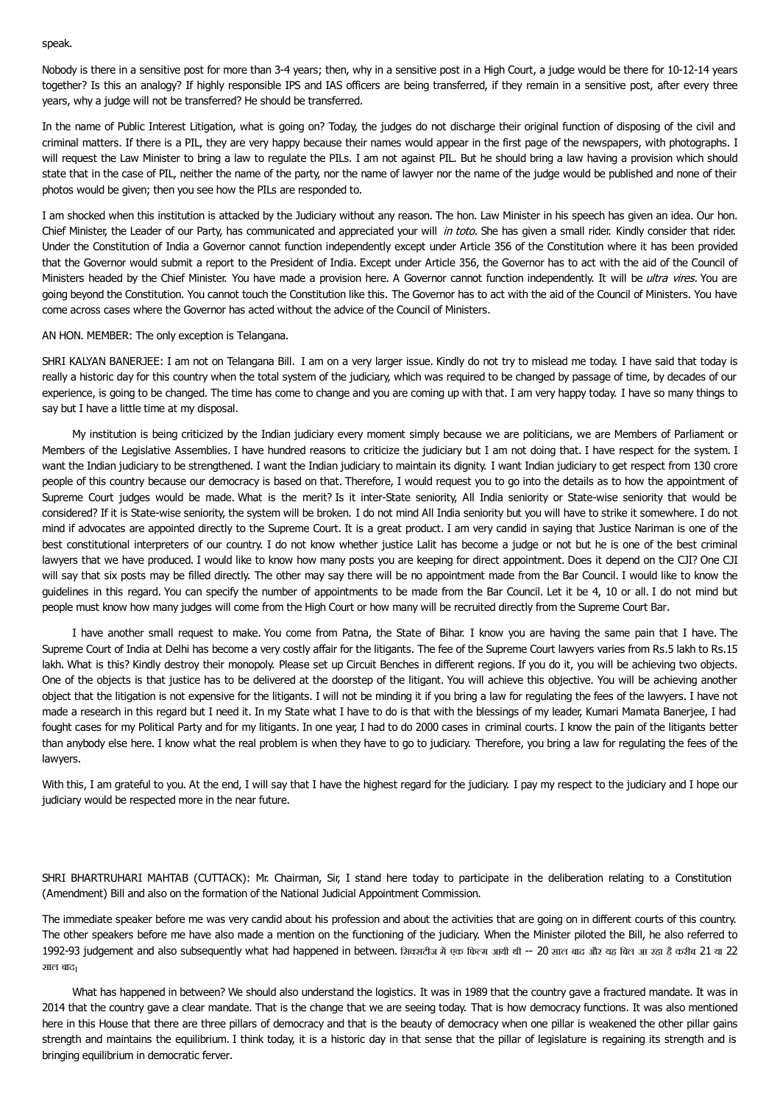speak.

Nobody is there in a sensitive post for more than 3-4 years; then, why in a sensitive post in a High Court, a judge would be there for 10-12-14 years together? Is this an analogy? If highly responsible IPS and IAS officers are being transferred, if they remain in a sensitive post, after every three years, why a judge will not be transferred? He should be transferred.

In the name of Public Interest Litigation, what is going on? Today, the judges do not discharge their original function of disposing of the civil and criminal matters. If there is a PIL, they are very happy because their names would appear in the first page of the newspapers, with photographs. I will request the Law Minister to bring a law to regulate the PILs. I am not against PIL. But he should bring a law having a provision which should state that in the case of PIL, neither the name of the party, nor the name of lawyer nor the name of the judge would be published and none of their photos would be given; then you see how the PILs are responded to.

I am shocked when this institution is attacked by the Judiciary without any reason. The hon. Law Minister in his speech has given an idea. Our hon. Chief Minister, the Leader of our Party, has communicated and appreciated your will in toto. She has given a small rider. Kindly consider that rider. Under the Constitution of India a Governor cannot function independently except under Article 356 of the Constitution where it has been provided that the Governor would submit a report to the President of India. Except under Article 356, the Governor has to act with the aid of the Council of Ministers headed by the Chief Minister. You have made a provision here. A Governor cannot function independently. It will be ultra vires. You are going beyond the Constitution. You cannot touch the Constitution like this. The Governor has to act with the aid of the Council of Ministers. You have come across cases where the Governor has acted without the advice of the Council of Ministers.

### AN HON. MEMBER: The only exception is Telangana.

SHRI KALYAN BANERJEE: I am not on Telangana Bill. I am on a very larger issue. Kindly do not try to mislead me today. I have said that today is really a historic day for this country when the total system of the judiciary, which was required to be changed by passage of time, by decades of our experience, is going to be changed. The time has come to change and you are coming up with that. I am very happy today. I have so many things to say but I have a little time at my disposal.

My institution is being criticized by the Indian judiciary every moment simply because we are politicians, we are Members of Parliament or Members of the Legislative Assemblies. I have hundred reasons to criticize the judiciary but I am not doing that. I have respect for the system. I want the Indian judiciary to be strengthened. I want the Indian judiciary to maintain its dignity. I want Indian judiciary to get respect from 130 crore people of this country because our democracy is based on that. Therefore, I would request you to go into the details as to how the appointment of Supreme Court judges would be made. What is the merit? Is it inter-State seniority, All India seniority or State-wise seniority that would be considered? If it is State-wise seniority, the system will be broken. I do not mind All India seniority but you will have to strike it somewhere. I do not mind if advocates are appointed directly to the Supreme Court. It is a great product. I am very candid in saying that Justice Nariman is one of the best constitutional interpreters of our country. I do not know whether justice Lalit has become a judge or not but he is one of the best criminal lawyers that we have produced. I would like to know how many posts you are keeping for direct appointment. Does it depend on the CJI? One CJI will say that six posts may be filled directly. The other may say there will be no appointment made from the Bar Council. I would like to know the guidelines in this regard. You can specify the number of appointments to be made from the Bar Council. Let it be 4, 10 or all. I do not mind but people must know how many judges will come from the High Court or how many will be recruited directly from the Supreme Court Bar.

I have another small request to make. You come from Patna, the State of Bihar. I know you are having the same pain that I have. The Supreme Court of India at Delhi has become a very costly affair for the litigants. The fee of the Supreme Court lawyers varies from Rs.5 lakh to Rs.15 lakh. What is this? Kindly destroy their monopoly. Please set up Circuit Benches in different regions. If you do it, you will be achieving two objects. One of the objects is that justice has to be delivered at the doorstep of the litigant. You will achieve this objective. You will be achieving another object that the litigation is not expensive for the litigants. I will not be minding it if you bring a law for regulating the fees of the lawyers. I have not made a research in this regard but I need it. In my State what I have to do is that with the blessings of my leader, Kumari Mamata Banerjee, I had fought cases for my Political Party and for my litigants. In one year, I had to do 2000 cases in criminal courts. I know the pain of the litigants better than anybody else here. I know what the real problem is when they have to go to judiciary. Therefore, you bring a law for regulating the fees of the lawyers.

With this, I am grateful to you. At the end, I will say that I have the highest regard for the judiciary. I pay my respect to the judiciary and I hope our judiciary would be respected more in the near future.

SHRI BHARTRUHARI MAHTAB (CUTTACK): Mr. Chairman, Sir, I stand here today to participate in the deliberation relating to a Constitution (Amendment) Bill and also on the formation of the National Judicial Appointment Commission.

The immediate speaker before me was very candid about his profession and about the activities that are going on in different courts of this country. The other speakers before me have also made a mention on the functioning of the judiciary. When the Minister piloted the Bill, he also referred to 1992-93 judgement and also subsequently what had happened in between. सिक्सटीज में एक फिल्म आयी थी -- 20 साल बाद और यह बिल आ रहा है करीब 21 या 22 साल बाद

What has happened in between? We should also understand the logistics. It was in 1989 that the country gave a fractured mandate. It was in 2014 that the country gave a clear mandate. That is the change that we are seeing today. That is how democracy functions. It was also mentioned here in this House that there are three pillars of democracy and that is the beauty of democracy when one pillar is weakened the other pillar gains strength and maintains the equilibrium. I think today, it is a historic day in that sense that the pillar of legislature is regaining its strength and is bringing equilibrium in democratic ferver.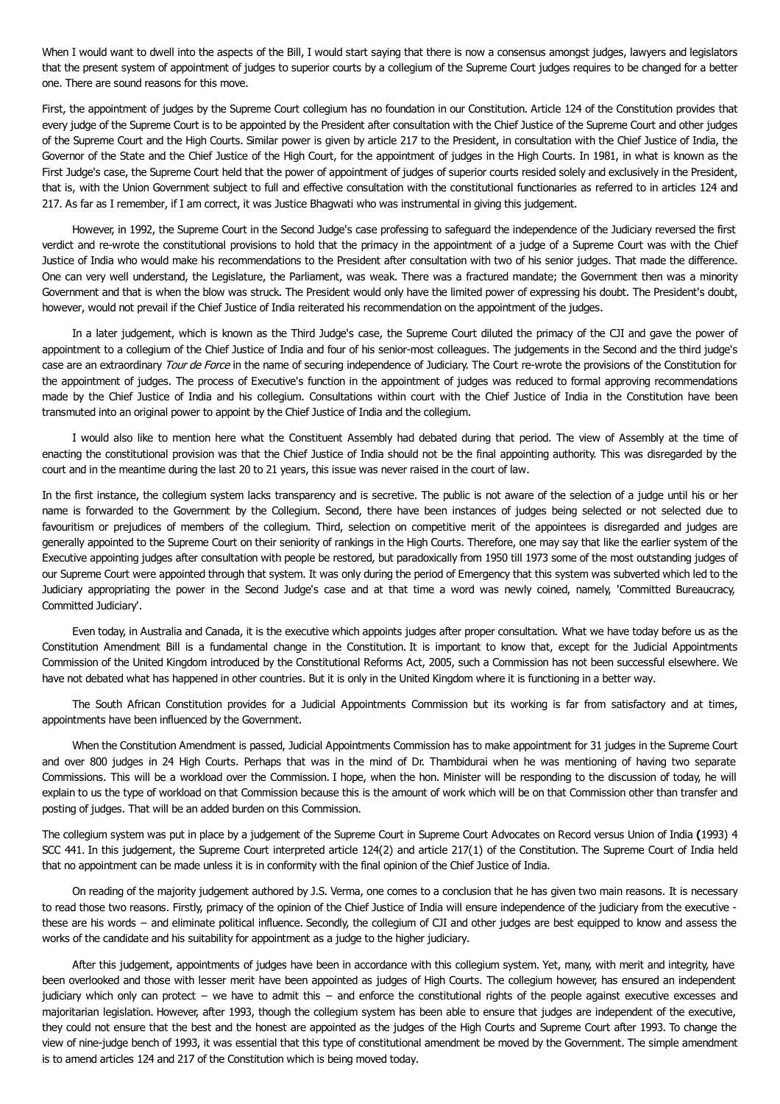When I would want to dwell into the aspects of the Bill, I would start saying that there is now a consensus amongst judges, lawyers and legislators that the present system of appointment of judges to superior courts by a collegium of the Supreme Court judges requires to be changed for a better one. There are sound reasons for this move.

First, the appointment of judges by the Supreme Court collegium has no foundation in our Constitution. Article 124 of the Constitution provides that every judge of the Supreme Court is to be appointed by the President after consultation with the Chief Justice of the Supreme Court and other judges of the Supreme Court and the High Courts. Similar power is given by article 217 to the President, in consultation with the Chief Justice of India, the Governor of the State and the Chief Justice of the High Court, for the appointment of judges in the High Courts. In 1981, in what is known as the First Judge's case, the Supreme Court held that the power of appointment of judges of superior courts resided solely and exclusively in the President, that is, with the Union Government subject to full and effective consultation with the constitutional functionaries as referred to in articles 124 and 217. As far as I remember, if I am correct, it was Justice Bhagwati who was instrumental in giving this judgement.

However, in 1992, the Supreme Court in the Second Judge's case professing to safeguard the independence of the Judiciary reversed the first verdict and re-wrote the constitutional provisions to hold that the primacy in the appointment of a judge of a Supreme Court was with the Chief Justice of India who would make his recommendations to the President after consultation with two of his senior judges. That made the difference. One can very well understand, the Legislature, the Parliament, was weak. There was a fractured mandate; the Government then was a minority Government and that is when the blow was struck. The President would only have the limited power of expressing his doubt. The President's doubt, however, would not prevail if the Chief Justice of India reiterated his recommendation on the appointment of the judges.

In a later judgement, which is known as the Third Judge's case, the Supreme Court diluted the primacy of the CJI and gave the power of appointment to a collegium of the Chief Justice of India and four of his senior-most colleagues. The judgements in the Second and the third judge's case are an extraordinary Tour de Force in the name of securing independence of Judiciary. The Court re-wrote the provisions of the Constitution for the appointment of judges. The process of Executive's function in the appointment of judges was reduced to formal approving recommendations made by the Chief Justice of India and his collegium. Consultations within court with the Chief Justice of India in the Constitution have been transmuted into an original power to appoint by the Chief Justice of India and the collegium.

I would also like to mention here what the Constituent Assembly had debated during that period. The view of Assembly at the time of enacting the constitutional provision was that the Chief Justice of India should not be the final appointing authority. This was disregarded by the court and in the meantime during the last 20 to 21 years, this issue was never raised in the court of law.

In the first instance, the collegium system lacks transparency and is secretive. The public is not aware of the selection of a judge until his or her name is forwarded to the Government by the Collegium. Second, there have been instances of judges being selected or not selected due to favouritism or prejudices of members of the collegium. Third, selection on competitive merit of the appointees is disregarded and judges are generally appointed to the Supreme Court on their seniority of rankings in the High Courts. Therefore, one may say that like the earlier system of the Executive appointing judges after consultation with people be restored, but paradoxically from 1950 till 1973 some of the most outstanding judges of our Supreme Court were appointed through that system. It was only during the period of Emergency that this system was subverted which led to the Judiciary appropriating the power in the Second Judge's case and at that time a word was newly coined, namely, 'Committed Bureaucracy, Committed Judiciary'.

Even today, in Australia and Canada, it is the executive which appoints judges after proper consultation. What we have today before us as the Constitution Amendment Bill is a fundamental change in the Constitution. It is important to know that, except for the Judicial Appointments Commission of the United Kingdom introduced by the Constitutional Reforms Act, 2005, such a Commission has not been successful elsewhere. We have not debated what has happened in other countries. But it is only in the United Kingdom where it is functioning in a better way.

The South African Constitution provides for a Judicial Appointments Commission but its working is far from satisfactory and at times, appointments have been influenced by the Government.

When the Constitution Amendment is passed, Judicial Appointments Commission has to make appointment for 31 judges in the Supreme Court and over 800 judges in 24 High Courts. Perhaps that was in the mind of Dr. Thambidurai when he was mentioning of having two separate Commissions. This will be a workload over the Commission. I hope, when the hon. Minister will be responding to the discussion of today, he will explain to us the type of workload on that Commission because this is the amount of work which will be on that Commission other than transfer and posting of judges. That will be an added burden on this Commission.

The collegium system was put in place by a judgement of the Supreme Court in Supreme Court Advocates on Record versus Union of India **(**1993) 4 SCC 441. In this judgement, the Supreme Court interpreted article 124(2) and article 217(1) of the Constitution. The Supreme Court of India held that no appointment can be made unless it is in conformity with the final opinion of the Chief Justice of India.

On reading of the majority judgement authored by J.S. Verma, one comes to a conclusion that he has given two main reasons. It is necessary to read those two reasons. Firstly, primacy of the opinion of the Chief Justice of India will ensure independence of the judiciary from the executive these are his words − and eliminate political influence. Secondly, the collegium of CJI and other judges are best equipped to know and assess the works of the candidate and his suitability for appointment as a judge to the higher judiciary.

After this judgement, appointments of judges have been in accordance with this collegium system. Yet, many, with merit and integrity, have been overlooked and those with lesser merit have been appointed as judges of High Courts. The collegium however, has ensured an independent judiciary which only can protect − we have to admit this − and enforce the constitutional rights of the people against executive excesses and majoritarian legislation. However, after 1993, though the collegium system has been able to ensure that judges are independent of the executive, they could not ensure that the best and the honest are appointed as the judges of the High Courts and Supreme Court after 1993. To change the view of nine-judge bench of 1993, it was essential that this type of constitutional amendment be moved by the Government. The simple amendment is to amend articles 124 and 217 of the Constitution which is being moved today.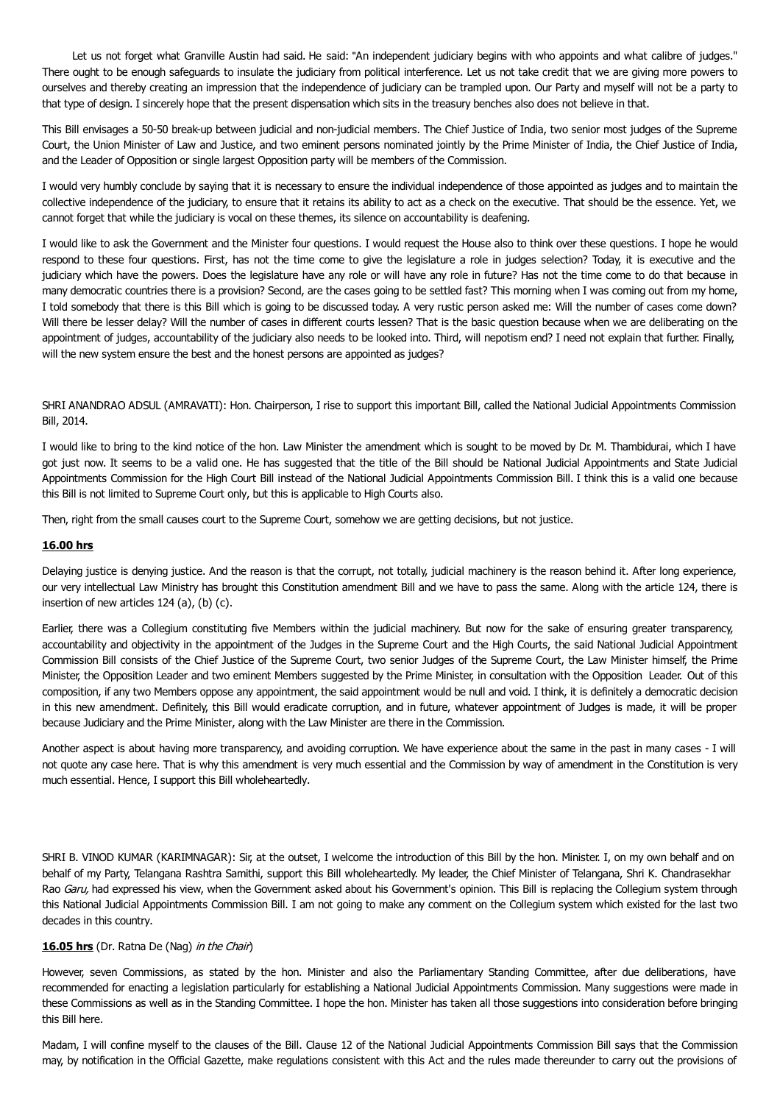Let us not forget what Granville Austin had said. He said: "An independent judiciary begins with who appoints and what calibre of judges." There ought to be enough safeguards to insulate the judiciary from political interference. Let us not take credit that we are giving more powers to ourselves and thereby creating an impression that the independence of judiciary can be trampled upon. Our Party and myself will not be a party to that type of design. I sincerely hope that the present dispensation which sits in the treasury benches also does not believe in that.

This Bill envisages a 50-50 break-up between judicial and non-judicial members. The Chief Justice of India, two senior most judges of the Supreme Court, the Union Minister of Law and Justice, and two eminent persons nominated jointly by the Prime Minister of India, the Chief Justice of India, and the Leader of Opposition or single largest Opposition party will be members of the Commission.

I would very humbly conclude by saying that it is necessary to ensure the individual independence of those appointed as judges and to maintain the collective independence of the judiciary, to ensure that it retains its ability to act as a check on the executive. That should be the essence. Yet, we cannot forget that while the judiciary is vocal on these themes, its silence on accountability is deafening.

I would like to ask the Government and the Minister four questions. I would request the House also to think over these questions. I hope he would respond to these four questions. First, has not the time come to give the legislature a role in judges selection? Today, it is executive and the judiciary which have the powers. Does the legislature have any role or will have any role in future? Has not the time come to do that because in many democratic countries there is a provision? Second, are the cases going to be settled fast? This morning when I was coming out from my home, I told somebody that there is this Bill which is going to be discussed today. A very rustic person asked me: Will the number of cases come down? Will there be lesser delay? Will the number of cases in different courts lessen? That is the basic question because when we are deliberating on the appointment of judges, accountability of the judiciary also needs to be looked into. Third, will nepotism end? I need not explain that further. Finally, will the new system ensure the best and the honest persons are appointed as judges?

SHRI ANANDRAO ADSUL (AMRAVATI): Hon. Chairperson, I rise to support this important Bill, called the National Judicial Appointments Commission Bill, 2014.

I would like to bring to the kind notice of the hon. Law Minister the amendment which is sought to be moved by Dr. M. Thambidurai, which I have got just now. It seems to be a valid one. He has suggested that the title of the Bill should be National Judicial Appointments and State Judicial Appointments Commission for the High Court Bill instead of the National Judicial Appointments Commission Bill. I think this is a valid one because this Bill is not limited to Supreme Court only, but this is applicable to High Courts also.

Then, right from the small causes court to the Supreme Court, somehow we are getting decisions, but not justice.

## **16.00 hrs**

Delaying justice is denying justice. And the reason is that the corrupt, not totally, judicial machinery is the reason behind it. After long experience, our very intellectual Law Ministry has brought this Constitution amendment Bill and we have to pass the same. Along with the article 124, there is insertion of new articles 124 (a), (b) (c).

Earlier, there was a Collegium constituting five Members within the judicial machinery. But now for the sake of ensuring greater transparency, accountability and objectivity in the appointment of the Judges in the Supreme Court and the High Courts, the said National Judicial Appointment Commission Bill consists of the Chief Justice of the Supreme Court, two senior Judges of the Supreme Court, the Law Minister himself, the Prime Minister, the Opposition Leader and two eminent Members suggested by the Prime Minister, in consultation with the Opposition Leader. Out of this composition, if any two Members oppose any appointment, the said appointment would be null and void. I think, it is definitely a democratic decision in this new amendment. Definitely, this Bill would eradicate corruption, and in future, whatever appointment of Judges is made, it will be proper because Judiciary and the Prime Minister, along with the Law Minister are there in the Commission.

Another aspect is about having more transparency, and avoiding corruption. We have experience about the same in the past in many cases - I will not quote any case here. That is why this amendment is very much essential and the Commission by way of amendment in the Constitution is very much essential. Hence, I support this Bill wholeheartedly.

SHRI B. VINOD KUMAR (KARIMNAGAR): Sir, at the outset, I welcome the introduction of this Bill by the hon. Minister. I, on my own behalf and on behalf of my Party, Telangana Rashtra Samithi, support this Bill wholeheartedly. My leader, the Chief Minister of Telangana, Shri K. Chandrasekhar Rao Garu, had expressed his view, when the Government asked about his Government's opinion. This Bill is replacing the Collegium system through this National Judicial Appointments Commission Bill. I am not going to make any comment on the Collegium system which existed for the last two decades in this country.

## **16.05 hrs** (Dr. Ratna De (Nag) in the Chair)

However, seven Commissions, as stated by the hon. Minister and also the Parliamentary Standing Committee, after due deliberations, have recommended for enacting a legislation particularly for establishing a National Judicial Appointments Commission. Many suggestions were made in these Commissions as well as in the Standing Committee. I hope the hon. Minister has taken all those suggestions into consideration before bringing this Bill here.

Madam, I will confine myself to the clauses of the Bill. Clause 12 of the National Judicial Appointments Commission Bill says that the Commission may, by notification in the Official Gazette, make regulations consistent with this Act and the rules made thereunder to carry out the provisions of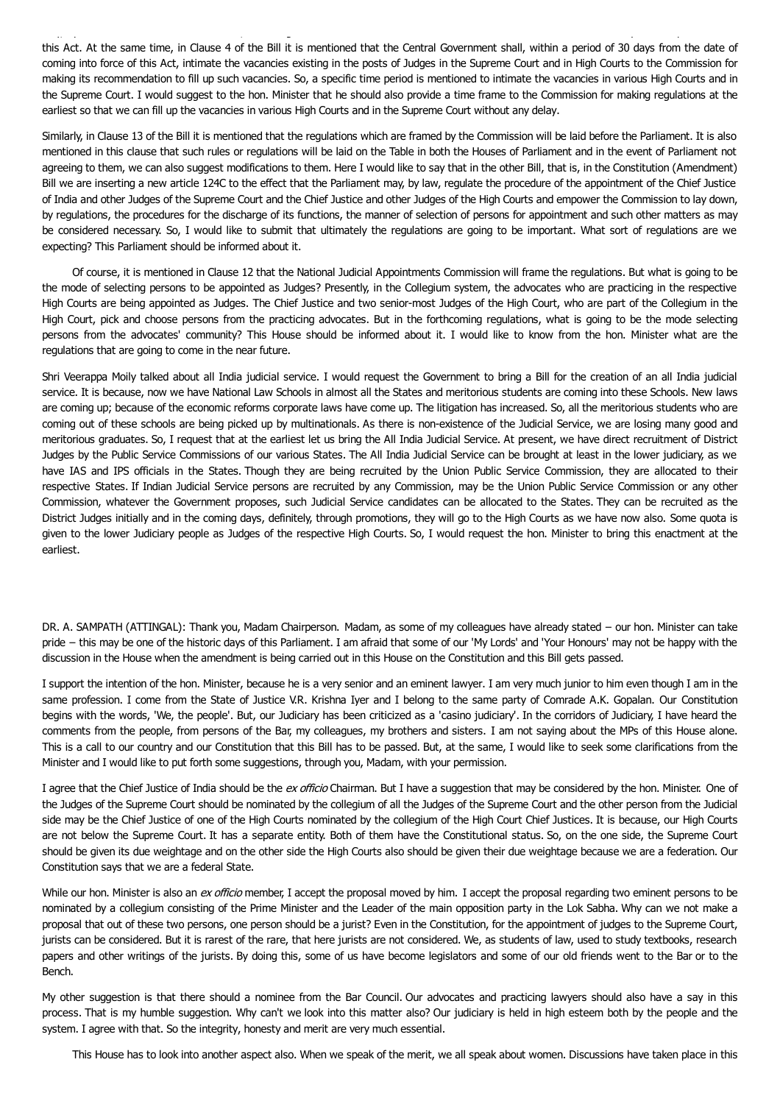this Act. At the same time, in Clause 4 of the Bill it is mentioned that the Central Government shall, within a period of 30 days from the date of coming into force of this Act, intimate the vacancies existing in the posts of Judges in the Supreme Court and in High Courts to the Commission for making its recommendation to fill up such vacancies. So, a specific time period is mentioned to intimate the vacancies in various High Courts and in the Supreme Court. I would suggest to the hon. Minister that he should also provide a time frame to the Commission for making regulations at the earliest so that we can fill up the vacancies in various High Courts and in the Supreme Court without any delay.

may, by notification in the Official Gazette, make regulations consistent with this Act and the rules made thereunder to carry out the provisions of

Similarly, in Clause 13 of the Bill it is mentioned that the regulations which are framed by the Commission will be laid before the Parliament. It is also mentioned in this clause that such rules or regulations will be laid on the Table in both the Houses of Parliament and in the event of Parliament not agreeing to them, we can also suggest modifications to them. Here I would like to say that in the other Bill, that is, in the Constitution (Amendment) Bill we are inserting a new article 124C to the effect that the Parliament may, by law, regulate the procedure of the appointment of the Chief Justice of India and other Judges of the Supreme Court and the Chief Justice and other Judges of the High Courts and empower the Commission to lay down, by regulations, the procedures for the discharge of its functions, the manner of selection of persons for appointment and such other matters as may be considered necessary. So, I would like to submit that ultimately the regulations are going to be important. What sort of regulations are we expecting? This Parliament should be informed about it.

Of course, it is mentioned in Clause 12 that the National Judicial Appointments Commission will frame the regulations. But what is going to be the mode of selecting persons to be appointed as Judges? Presently, in the Collegium system, the advocates who are practicing in the respective High Courts are being appointed as Judges. The Chief Justice and two senior-most Judges of the High Court, who are part of the Collegium in the High Court, pick and choose persons from the practicing advocates. But in the forthcoming regulations, what is going to be the mode selecting persons from the advocates' community? This House should be informed about it. I would like to know from the hon. Minister what are the regulations that are going to come in the near future.

Shri Veerappa Moily talked about all India judicial service. I would request the Government to bring a Bill for the creation of an all India judicial service. It is because, now we have National Law Schools in almost all the States and meritorious students are coming into these Schools. New laws are coming up; because of the economic reforms corporate laws have come up. The litigation has increased. So, all the meritorious students who are coming out of these schools are being picked up by multinationals. As there is non-existence of the Judicial Service, we are losing many good and meritorious graduates. So, I request that at the earliest let us bring the All India Judicial Service. At present, we have direct recruitment of District Judges by the Public Service Commissions of our various States. The All India Judicial Service can be brought at least in the lower judiciary, as we have IAS and IPS officials in the States. Though they are being recruited by the Union Public Service Commission, they are allocated to their respective States. If Indian Judicial Service persons are recruited by any Commission, may be the Union Public Service Commission or any other Commission, whatever the Government proposes, such Judicial Service candidates can be allocated to the States. They can be recruited as the District Judges initially and in the coming days, definitely, through promotions, they will go to the High Courts as we have now also. Some quota is given to the lower Judiciary people as Judges of the respective High Courts. So, I would request the hon. Minister to bring this enactment at the earliest.

DR. A. SAMPATH (ATTINGAL): Thank you, Madam Chairperson. Madam, as some of my colleagues have already stated − our hon. Minister can take pride − this may be one of the historic days of this Parliament. I am afraid that some of our 'My Lords' and 'Your Honours' may not be happy with the discussion in the House when the amendment is being carried out in this House on the Constitution and this Bill gets passed.

I support the intention of the hon. Minister, because he is a very senior and an eminent lawyer. I am very much junior to him even though I am in the same profession. I come from the State of Justice V.R. Krishna Iyer and I belong to the same party of Comrade A.K. Gopalan. Our Constitution begins with the words, 'We, the people'. But, our Judiciary has been criticized as a 'casino judiciary'. In the corridors of Judiciary, I have heard the comments from the people, from persons of the Bar, my colleagues, my brothers and sisters. I am not saying about the MPs of this House alone. This is a call to our country and our Constitution that this Bill has to be passed. But, at the same, I would like to seek some clarifications from the Minister and I would like to put forth some suggestions, through you, Madam, with your permission.

I agree that the Chief Justice of India should be the ex officio Chairman. But I have a suggestion that may be considered by the hon. Minister. One of the Judges of the Supreme Court should be nominated by the collegium of all the Judges of the Supreme Court and the other person from the Judicial side may be the Chief Justice of one of the High Courts nominated by the collegium of the High Court Chief Justices. It is because, our High Courts are not below the Supreme Court. It has a separate entity. Both of them have the Constitutional status. So, on the one side, the Supreme Court should be given its due weightage and on the other side the High Courts also should be given their due weightage because we are a federation. Our Constitution says that we are a federal State.

While our hon. Minister is also an ex officio member, I accept the proposal moved by him. I accept the proposal regarding two eminent persons to be nominated by a collegium consisting of the Prime Minister and the Leader of the main opposition party in the Lok Sabha. Why can we not make a proposal that out of these two persons, one person should be a jurist? Even in the Constitution, for the appointment of judges to the Supreme Court, jurists can be considered. But it is rarest of the rare, that here jurists are not considered. We, as students of law, used to study textbooks, research papers and other writings of the jurists. By doing this, some of us have become legislators and some of our old friends went to the Bar or to the Bench.

My other suggestion is that there should a nominee from the Bar Council. Our advocates and practicing lawyers should also have a say in this process. That is my humble suggestion. Why can't we look into this matter also? Our judiciary is held in high esteem both by the people and the system. I agree with that. So the integrity, honesty and merit are very much essential.

This House has to look into another aspect also. When we speak of the merit, we all speak about women. Discussions have taken place in this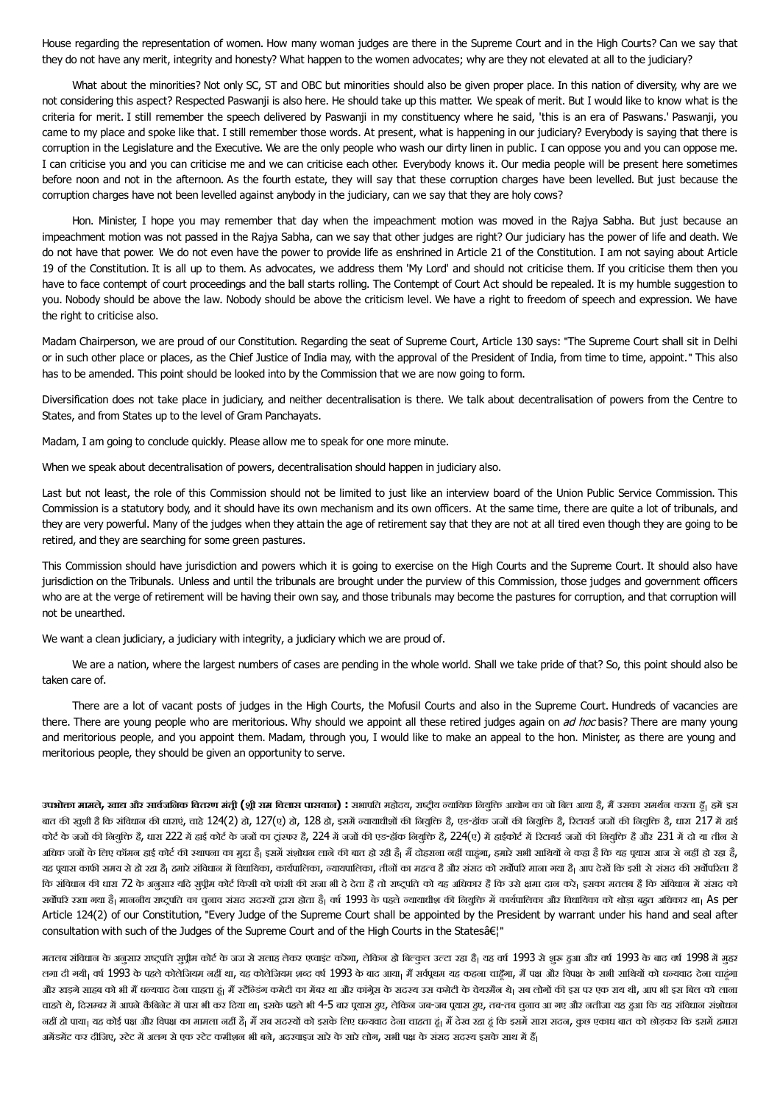House regarding the representation of women. How many woman judges are there in the Supreme Court and in the High Courts? Can we say that they do not have any merit, integrity and honesty? What happen to the women advocates; why are they not elevated at all to the judiciary?

What about the minorities? Not only SC, ST and OBC but minorities should also be given proper place. In this nation of diversity, why are we not considering this aspect? Respected Paswanji is also here. He should take up this matter. We speak of merit. But I would like to know what is the criteria for merit. I still remember the speech delivered by Paswanji in my constituency where he said, 'this is an era of Paswans.' Paswanji, you came to my place and spoke like that. I still remember those words. At present, what is happening in our judiciary? Everybody is saying that there is corruption in the Legislature and the Executive. We are the only people who wash our dirty linen in public. I can oppose you and you can oppose me. I can criticise you and you can criticise me and we can criticise each other. Everybody knows it. Our media people will be present here sometimes before noon and not in the afternoon. As the fourth estate, they will say that these corruption charges have been levelled. But just because the corruption charges have not been levelled against anybody in the judiciary, can we say that they are holy cows?

Hon. Minister, I hope you may remember that day when the impeachment motion was moved in the Rajya Sabha. But just because an impeachment motion was not passed in the Rajya Sabha, can we say that other judges are right? Our judiciary has the power of life and death. We do not have that power. We do not even have the power to provide life as enshrined in Article 21 of the Constitution. I am not saying about Article 19 of the Constitution. It is all up to them. As advocates, we address them 'My Lord' and should not criticise them. If you criticise them then you have to face contempt of court proceedings and the ball starts rolling. The Contempt of Court Act should be repealed. It is my humble suggestion to you. Nobody should be above the law. Nobody should be above the criticism level. We have a right to freedom of speech and expression. We have the right to criticise also.

Madam Chairperson, we are proud of our Constitution. Regarding the seat of Supreme Court, Article 130 says: "The Supreme Court shall sit in Delhi or in such other place or places, as the Chief Justice of India may, with the approval of the President of India, from time to time, appoint." This also has to be amended. This point should be looked into by the Commission that we are now going to form.

Diversification does not take place in judiciary, and neither decentralisation is there. We talk about decentralisation of powers from the Centre to States, and from States up to the level of Gram Panchayats.

Madam, I am going to conclude quickly. Please allow me to speak for one more minute.

When we speak about decentralisation of powers, decentralisation should happen in judiciary also.

Last but not least, the role of this Commission should not be limited to just like an interview board of the Union Public Service Commission. This Commission is a statutory body, and it should have its own mechanism and its own officers. At the same time, there are quite a lot of tribunals, and they are very powerful. Many of the judges when they attain the age of retirement say that they are not at all tired even though they are going to be retired, and they are searching for some green pastures.

This Commission should have jurisdiction and powers which it is going to exercise on the High Courts and the Supreme Court. It should also have jurisdiction on the Tribunals. Unless and until the tribunals are brought under the purview of this Commission, those judges and government officers who are at the verge of retirement will be having their own say, and those tribunals may become the pastures for corruption, and that corruption will not be unearthed.

We want a clean judiciary, a judiciary with integrity, a judiciary which we are proud of.

We are a nation, where the largest numbers of cases are pending in the whole world. Shall we take pride of that? So, this point should also be taken care of.

There are a lot of vacant posts of judges in the High Courts, the Mofusil Courts and also in the Supreme Court. Hundreds of vacancies are there. There are young people who are meritorious. Why should we appoint all these retired judges again on ad hoc basis? There are many young and meritorious people, and you appoint them. Madam, through you, I would like to make an appeal to the hon. Minister, as there are young and meritorious people, they should be given an opportunity to serve.

उपभोक्ता मामले, खाद्य और सार्वजनिक वितरण मंत्री (श्री राम विलास पासवान) : सभापति मढोदन, राष्ट्रीय ठायाकि मिल आया आप है, मैं उसका समर्थन करता ढूँ। ढमें इस बात की ख़ुशी है कि संविधान की धाराएं, वाहे 124(2) हो, 127(ए) हो, 128 हो, इसमें न्यायाधीशों की नियुक्ति हैं, एड-हॉक जजों की नियुक्ति हैं, रिटायर्ड जजों की नियुक्ति हैं, धारा 217 में हाई कोर्ट के जजों की नियुक्ति है, धारा 222 में हाई कोर्ट के जजों का 222 महाक को बाल कर कर हमाई को बाल की बाल कर हुआ अधिक जजों के लिए कॉमन हाई कोर्ट की स्थापना का मुदा है| इसमें संशोधन लाने हो बात है। बात हो है कि बात हैंदिया का बात है कि यह पूथास आज से नहीं हो रहा है, यह पूयास काफी समय से हो रहा है<sub>।</sub> हमारे संविधान में विधायिका, कायपालिका, तीनों का महत्व है और संसद को सर्वोपरे माना गया है<sub>।</sub> आप देखें कि इसी से संसद की सर्वोपरिता है कि संविधान की धारा 72 के अनुसार यदि सुपीम कोर्ट किसी को फांसी की सजा है तो राख सह अधिकार है कि उसे क्षमा दान करे। इसका मतलब है कि संविधान में संसद को सर्वोपरि रखा गया है<sub>।</sub> माननीय राष्ट्रपति का चुनाव संसद सदस्यों द्वारा होता है<sub>।</sub> वर्ष 1993 के पढ़त रायाधीश की नियुक्ति में कार्यपालिका और विधायिका को थोड़ा बहुत अधिकार था<sub>।</sub> As per Article 124(2) of our Constitution, "Every Judge of the Supreme Court shall be appointed by the President by warrant under his hand and seal after consultation with such of the Judges of the Supreme Court and of the High Courts in the States a El"

मतलब संविधान के अनुसार राष्ट्रपति सुप्रीम कोर्ट के जज से सलाह लेकर एवाइंट करेगा, लेकिन हो बिल्कुल उत्टा रहा है। यह वर्ष 1993 से शुरू हुआ और वर्ष 1993 के बाद वर्ष 1998 में मुहर लगा दी गयी<sub>।</sub> वर्ष 1993 के पहले कोलेजियम नहीं था, यह कोलेजियम शब्द वर्ष 1993 के बाद आया<sub>।</sub> मैं यह कहना चाहँगा, मैं पक्ष और विपक्ष के सभी साथियों को धन्यवाद देना चाहंगा और खड़गे साहब को भी मैं धन्यवाद देना चाहता हूं। मैं रटैंन्डिंग कमेटी का मौबर था और कांग्रेस कर कर थी का सब लोग को इस पर एक राय थी, आप भी इस बिल को लाना चाहते थे, दिसम्बर में आपने कैबिनेट में पास भी कर दिया था। इसके पढ़ते भी 4-5 बार पुवास हुए, तब-तब चुनाव जा गए और नतीजा यह हुआ कि यह संविधान संशोधन नहीं हो पाया<sub>।</sub> यह कोई पक्ष और विपक्ष का मामला नहीं है<sub>।</sub> मैं सब सदस्यों को इसके लिए धन्यवाद देना चाहता हूं। मैं देख रहा हूं कि इसमें सारा सदन, कुछ एकाध बात को छोड़कर कि इसमें हमारा अमेंडमेंट कर दीजिए, स्टेट में अलग से एक स्टेट कमीशन भी बने, अदरवाइज सारे के सारे लोग, सभी पक्ष के संसद सदस्य इसके साथ में हैं|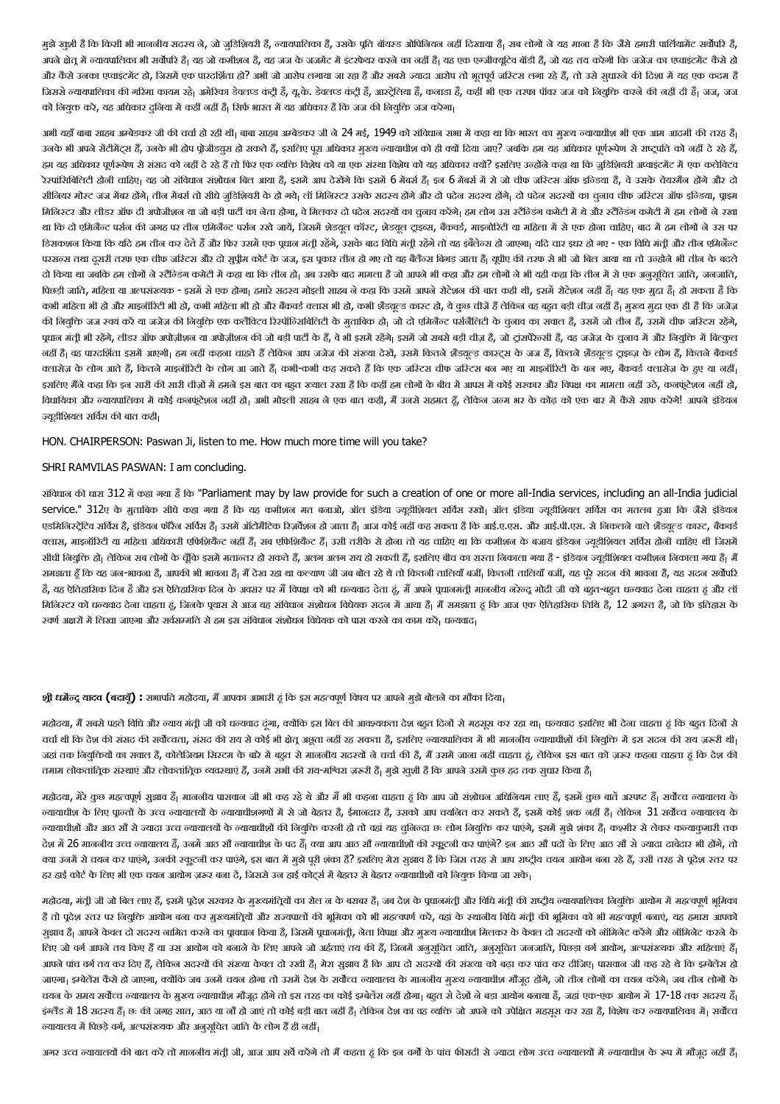मुझे खुशी है कि किसी भी माननीय सदस्य ने, जो जुडिशियरी है, न्यायपालिका है, उसके पूति बॉयरड ओपिनियन जहां सब लोग को बात का है कि जैसे हमारी पार्लियामेंट सर्वोपरि है, अपने क्षेत्र में न्यायपालिका भी सर्वोपरि है| यह जो कमीशन है, यह जजेरह करनेका नहिने हैं| यह एक एकोट बॉडी है, जो यह तय करेगी कि जजेज का एप्वाइंटमेंट कैसे हो और कैसे उनका एवाइंटमेंट हो, जिसमें एक पारदर्शिता हो? अभी जो आरोप लगाया अधिकार आरोप तो भूतपूर्व जरिटस लगा रहे हैं, तो उसे सुधारने की दिशा में यह एक कदम है जिससे न्यायपालिका की गरिमा कायम रहे। अमेरिका डेवलप्ड कंट्री है, जरूर के उन्हों के उन्ही सी एक तरफा पॉवर जज को नियुक्ति करने की नहीं दी है। जज, जज को नियुक्त करे, यह अधिकार दुनिया में कहीं नहीं है। सिर्फ भारत में यह अधिकार है कि जज की नियुक्ति जज करेगा।

अभी यहाँ बाबा साहब अम्बेडकर जी की चर्चा हो रही थी। बाबा साहब अम्बेड कर अपने संधिया सभा में कहा था कि भारत का मख्य न्यायाधीश भी एक आम आदमी की तरह हैं। उनके भी अपने सेंटीमेंट्स हैं, उनके भी होप प्रोजीडय़स हो सकते हैं, इसलिए पूरा अधिकार मुख्य न्यायाधीश को ही क्यो किया जाए? जबकि हम यह अधिकार पूर्णरूपेण से राष्ट्रपति को नहीं दे रहे हैं, हम यह अधिकार पूर्णरूपेण से संसद को नहीं दे रहे हैं तो फिर एक व्यक्ति पकोष को यह अधिकार पर अपले उन्होंने कहा था कि जुडिशियरी अप्वाइंटमेंट में एक कलेक्टिव रेरपांसिबिलिटी होनी चाहिए। यह जो संविधान संशोधन बिल आया है, इसमें आप देखा है। इन 6 मबर्स में से जो चीफ जरिटस ऑफ इन्डिया है, वे उसके चेयरमैन होने और दो सीनियर मोस्ट जज मैबर होंगे। तीन मैबर्स तो सीधे जडिशियरी के हो गये। लॉ मिनिस्टर उसके सदय होंगे को पतेज सदय होने वा चुनाव चीफ जस्टिस ऑफ इन्डिया, प्राइम मिनिस्टर और लीडर ऑफ दी अपोजीशन या जो बड़ी पार्टी का नेता होगा, वे सिलकर दो पदेन सत्र का चुनाव करेंगे का का का का का नेता का का का का का का का का चुनावा का का चुनावा क था कि दो एमिनेंन्ट पर्सन की जगह पर तीन एमिनेंन्ट पर्सन रखे जायें, जिसमें शेडयूल टाइवर, बैकर्ज, माइनोरिटी या महिला में से एक होना चाहिए। बाद में हम लोगों ने उस पर डिसकशन किया कि यदि हम तीन कर देते हैं और फिर उसमें एक पधान मंती रहेंगे, उसके बाद विधि मंती रहेंगे रहें। उसके उत्तर बार इधर हो गए - एक विधि मंती और तीन एमिनेंन्ट परसन्स तथा दूसरी तरफ एक चीफ जरिटस और दो सुप्रीम कोर्ट के जज, इस पुकार तीन हो गए तो यह बलैन्स बिजन को बल आया था जिस उन्होने भी तीन के बदले भी जो बिल अया था तो उन्होने भी तीन के बदले दो किया था जबकि हम लोगों ने स्टैंन्डिंग कमेटी में कहा था कि तीन हो। अब उसके बाद मामला है जो आपने भी कहा और जबके अब उसके बाद मुझे का अब उसके बाद मुझे का अनुसूचित जाति, जनजाति, पिछड़ी जाति, महिला या अल्पसंख्यक - इसमें से एक होगा। हमारे सदस मोइली साहब ने कहा कि उसमें थी, अपने सेएक महा बात कहा है। बात एक मुदा है। हो सकता है कि कभी महिला भी हो और माइनॉरिटी भी हो, कभी महिला भी हो और बैंकबर्ड कतरा हो, कि कै बड़े करने के बहुल करने चीज़ नहीं हैं। मुख्य मुदा एक ही हैं कि जजेज़ की नियुक्ति जज स्वयं करें या जजेज़ की नियुक्ति एक कलैविटव रिस्पॉन्सिबिकिटी जो दो एमजेल्ट पर्सनेंदिटी के चुनाव का सवाल हैं, उसमें जो तीन हैं, उसमें चीफ जरिटस रहेंगे, पूधान मंत्री भी रहेंगे, लीडर ऑफ अपोज़ीशन या अपोज़ीशन की जो बड़ी बड़ी बड़े को अबसे बड़ी करतीज़ है, जो ट्रांसपेरेच्सी है, वह जजेज़ के चुनाव में और नियुक्ति में बिल्कुल नहीं हैं। वह पारदर्शिता इसमें आएगी। हम नहीं कहना चाहते हैं लेकिन आप जजेज की संस्कर को संपादन करना करना करना कर<br>जहाँ हैं। वह पारदर्शिता इसमें अएगी। हम नहीं कहना चाहते हैं लेकिन आप जजेज की संस्करण को संस्कृत के लोग हैं। कहन क्लासेज के लोग आते हैं, कितने माइनॉरिटी के लोग आ जाते हैं। कभी-कभी कह सकते हैं कि एक जरिटस बज गए या माइनॉरिटी के बन गए, बैंकवर्ड क्लासेज के हुए या नहीं। इसलिए मैंने कहा कि इन सारी की सारी चीज़ों में हमने इस बात का बहुत रुखात रखा है कि कही करने की बात की बात की बात कहा का बात कहा हो का बात कहा हो हो, कनफूटेशन नहीं हो, विधायिका और न्यायपालिका में कोई कनफूटेशन नहीं हो। अभी मोइली साहब नेएक की, मैं उनसे सहमत हूँ, लेकिन जन्म भर के कोढ़ को एक बार में कैसे साफ करेंगे! आपने इंडियन ज्यूडीशियल सर्विस की बात कही।

HON. CHAIRPERSON: Paswan Ji, listen to me. How much more time will you take?

#### SHRI RAMVILAS PASWAN: I am concluding.

संविधान की धारा 312 में कहा गया है कि "Parliament may by law provide for such a creation of one or more all-India services, including an all-India judicial service." 312ए के मुताबिक सीधे कहा गया है कि यह कमीशन मत बनाओ, ऑल इंडिया सर्वस रखो ऑल इंडिया ज्यूडीशियल सर्विस का मतलब हुआ कि जैसे इंडियन एडमिनिस्ट्रेटिव सर्विस है, इंडियन फॉरैन सर्विस है। उसमें ऑटोमैटिक रिज़वीश हो जाता है। कह सकता है कि आई.ए.एस. और आई.पी.एस. से निकलने वाले शैडय़ूल्ड कास्ट, बैकवर्ड क्लास, माइनॉरिटी या महिला अधिकारी एफिशियैंन्ट नहीं हैं। उसके से होना तो यह चाहिए था कि कमीशन के बजाय इंडियन ज्यडीशियल सर्विस होनी चाहिए थी जिसमें सीधी नियुक्ति हो लेकिन सब लोगों के चूँकि इसमें मतान्तर हो सकते हैं, अलग हो सकती हैं, इसलिए बीच का रास्ता निकाला नगा आले अलग अलग अलग है। अलग अलग सकता है, मैं समझता हँ कि यह जन-भावना है, आपकी भी भावना है| मैं देख रहा था कल्याण जी जब बोल रहे थे तो कितनी तालयाँ बजी जब जी अपना बाला जा उद्धार सतन सवेपरि है, यह ऐतिहासिक दिन है और इस ऐतिहासिक दिन के अवसर पर मैं विपक्ष को भी धरनवाद देता हं, मैं अपने पाननीय जरेन्द्र मोदी जी को बहत-बहत धन्यवाद देना चाहता ह.ं और लॉ मिजिस्टर को धन्यवाद देना चाहता हूं, जिनके पूयास से आज यह संविधान संशोधन सिवक सतन माल में बाज सक पेसिडमिक तिथि है, 12 अगस्त है, जो कि इतिहास के रवर्ण अक्षरों में लिखा जाएगा और सर्वसम्मति से हम इस संविधान संशोधन विधेयक को पास करने का काम करें। धन्यवाद।

## **श्री धर्मेन्द्र <mark>यादव (बदायूँ) :</mark> सभाप**ति महोदया, मैं आपका आभारी हूं कि इस महत्वपूर्ण विषय पर आपने मुझे बोलने का मौका दिया<sub>।</sub>

महोदया, मैं सबसे पहले विधि और न्याय मंत्री जी को धन्यवाद दंजा, तथोंकि इस बिल की आवश्यकता देश कर रहा था धन्यवाद इसलाए भी देना चाहता ढूं कि बहुत दिनों से चर्चा थी कि देश की संसद की सर्वोच्चता, संसद की राय से कोई भी क्षेत्र अछूता नहीं रह सकता है, इसलिए न्यायपालिका में भी माननीय कार्याशों की लियुक्ति में इस सदन की राय ज़रूरी थी<sub>।</sub> जहां तक नियुक्तियों का सवाल है, कोलेजियम सिस्टम के बारे में बहत से मानवारी माननी को है, मैं उसमें जाना नहीं बहता हूं, लेकिन इस बात को ज़रूर कहना चाहता हूं कि देश की तमाम लोकतांतिूक संस्थाएं और लोकतांतिूक व्यवस्थाएं हैं, उनमें सभी की राय-मश्चिरा ज़रूरी है। मुझे खुर्शी है कि आपने उसमें कुछ हद तक सुधार किया है|

महोदया, मेरे कुछ महत्वपूर्ण सुझाव हैं| माननीय पासवान जी भी कह रहे थे और मैं भी कहना चाहता हूं कि आप जो संशोधन आप के अपने अपने हो सर्वोच्च लाए हैं, इसमें कुछ बातें अस्पष्ट हैं| सर्वोच्च लाए हैं, इसमें कुछ बातें अस्पष्ट हैं| .<br>न्यायाधीश के लिए पान्तों के उच्च न्यायालयों के न्यायाधीशगणों में से जो बेहतर है, ईमानदार है, उसको आप चयनित कर सक ज्यायाधीशों और आठ सौ से ज्यादा उच्च न्यायालयों के ज्यायाधीशों की विवर्ता कर चालिज हैं। काल कर पाएंग, करनी करनी क्ला करनी है। कश्मीर से लेकर कन्याकुमारी तक देश में 26 माननीय उच्च न्यायालय हैं, उनमें आठ सौ न्यायाधीश के पद हो का आठ सबायाधीशों की रखदा आठ सबार कर सबाद दावदा आगे आठ सौ है। अपना दावेदार भी होंगे, तो क्या उनमें से चयन कर पाएंगे, उनकी स्कूटनी कर पाएंगे, इस बात में मुझे पूरी शंका है? इसलिए मेरा सुझाव है कि जिस तरह से जार समुझेप तरह सेपरेश स्तर सेप पर पर पर पर पर हर हाई कोर्ट के लिए भी एक चयन आयोग ज़रूर बना दें, जिससे उन हाई कोट्स में बेहतर से बेहतर न्यायाधीशों को नियुक्त किया जा सके।

महोदया, मंत्री जी बिल लाए हैं, इसमें पूढेश सरकार के मुख्यमंत्रियों का रोल के बराबर है| जब देश के पूढी समेत के बराबर हैं। का का क्ला कर का का क्ला का कहत्वपूर्ण भूमिका है तो पढेश रतर पर नियकि आयोग बना कर मख्यमंतियों और राज्यपतों की भ्रमिका को भी महत्वपर्ण करें, वहां के रथानीय विधि मंती की भ्रमिका को भी महत्वपर्ण बनाएं, यह हमारा आपको सुझाव है| आपने केवल दो सदस्य नामित करने का पावधान किया है, जिसमें पूधानमंती, नेता विपक्ष और मुख्य न्यायाधीश मिलकर के केवल दो सदस्यों को नॉमिनेट करेंगे और नॉमिनेट करने के तिए जो वर्ग आपने तय किए हैं या उस आयोग को बनाने के लिए आपने जो आर्यात अनुस्रकि जाती, अनुसूचित जनजाति, पिछड़ा वर्ग आयोग, अल्पसंख्यक और महिलाएं हैं| आपने पांच वर्ग तय कर दिए हैं, लेकिन सदस्यों की संख्या केवल दो रखी है। मेरा सुझाव है कि आप दो सदयन कर क्ला कर दाजा कर रहे आ है। इस्बेलेंस हो जाएगा। इम्बेलेंस कैसे हो जाएगा, क्योंकि जब उनमें चयन होगा तो उसमें देश के सर्वोच्चलय के माननीय मुख्य ज्यायाधीश मौजद होंगे, जो तीन लोगों का चयन करेंगे। जब तीन लोगों के चयन के समय सर्वोच्च न्यायालय के मुख्य न्यायाधीश मौजूद होंगे तो इस तरह का कोई इम्बेलेंस नहीं ना, बहुत से देशों ने बड़ा आयोग बनाया है, जहां एक-एक आयोग में 17-18 तक सदस्य हैं| इंग्लैंड में 18 सदस्य हैं। छः की जगह सात, आठ या जो हो जाएं तो कोई बड़ी बात नहीं हो लेकिन देश कर बात का का का बचायपालका में। सर्वोच्च :यायालय मिपछड़ेवग4, अ7पसंPयक और अनुसिूचत जाित के लोग ह'ही नहB

अगर उच्च न्यायालयों की बात करें तो माननीय मंती जी, आज आप सर्वे करेंगे तो मैं कहता को बात की सत्ती से जायात करन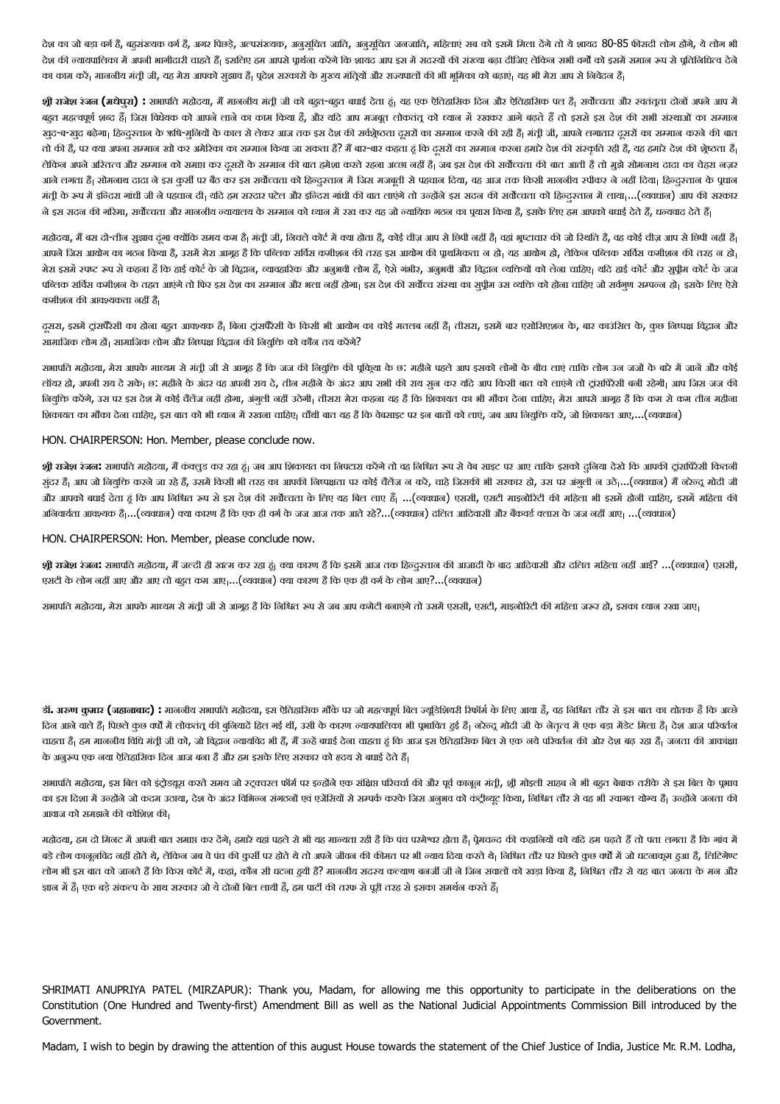देश का जो बड़ा वर्ग है, बहसंख्यक वर्ग है, अगर पिछड़े, अल्पसंख्यक, अजुसति, अजुसूचित जनजाति, महिलाएं सब को इसमें मिला देंगे तो ये शायद 80-85 फीसदी लोग होंगे, ये लोग भी देश की न्यायपालिका में अपनी भागीदारी चाहते हैं| इसलिए हम आपसी पूर्शना करेंगे की सत्य करने करना का करगे का का कलगा करना करना समय में पूर्तिनिधित्व देने का काम करें। माननीय मंत्री जी, यह मेरा आपको सुझाव हैं। पूरेश सरकारों के मुद्रिय और राज्यपालों की भी भूमिका को बढ़ाएं। यह भी मेरा आप से निवेदन हैं।

**श्री राजेश रंजन <b>(म**धेपुरा) : सभापति महोदया, मैं माननीय मंतूी जी को बहुत-बहुत बधाई देता हूं। यह एक घटनीय बहुत और राजे को बहुत बहुत बाजे आप में बहुत महत्वपूर्ण शब्द हैं| जिस विधेयक को आपने लाने लान काम किया है, और यदि आगेका आयान में रखकर अगे बढ़ते हैं तो इससे इस देश की सभी संस्थाओं का सम्मान खुद-ब-खुद बढ़ेगा। हिन्दुस्तान के ऋषि-मुनियों के काल से लेकर आज तक इस देश की सबेज करने करने का स्नी करनेकर का सम्मान करने का सामान करने का सामान करने का बात तो की है, पर क्या अपना समान खो कर अमेरिका का समान किया जा सकता है? मैं बार-बार कहता हूं कि दूसरो का समान करना क लेकिन अपने अरितत्व और सम्मान को समाप्त कर दूसरों के सम्मान की बात हमेशा करता अबड़ी हैं। जब इस देश की सवेतदात की बात आती है तो मुझे सोमनाथ दादा का चेहरा नज़र आने लगता हैं। सोमनाथ दादा ने इस कुर्सी पर बैठ कर इस सर्वोच्चता को हिन्दुस्तान में जिस मजबूती से एकदान कर किसी माननीय स्पीकर ने नहीं दिया। हिन्दुस्तान के पूधान मंती के रूप में इन्दिरा गांधी जी ने पहचान दी। यदि हम सरदार पटेल और इन्द्रा गांधी की बात लाएंगे तो उन्होंने इस सदन को हम्दराल में लाया...(व्यवधान) आप की सरकार ने इस सदन की गरिमा, सर्वोच्चता और माननीय न्यायालय के सम्मान को हयान कर यह जो न्यायिक गठन का पूचास किया है, इसके लिए हम आपको बधाई देते हैं, धन्यवाद देते हैं|

महोदया, मैं बस दो-तीन सुझाव दंगा क्योंकि समय कम है| मंत्री जी, निचले कोर्ट में क्या होता और है। वहां भीज़ कर हैवाज़ की जो क्या है, कह कोई चीज़ आप से छिपी नहीं है| आपने जिस आयोग का गठन किया है, उसमें मेरा आगृह है कि पब्लिक सर्विस कमीशन कि उद्यायोग का था जाते था था थिमक पहल कमीशन का तरह न हो। मेरा इसमें रुपल रूप से कहना है कि हाई कोर्ट के जो विदान, व्यवहारिक और आगे और आज बली और विदान व्यवस्थित कोटल कोटमान कोट के जज कोट और सुपीम कोर्ट के जज पब्लिक सर्विस कमीशन के तहत आएंगे तो फिर इस देश का समान और भला नहीं होगा। इस देश की सर्वाम का समान का सबला का इसके प्रस्पलन हो। इसके लिए ऐसे कमीशन की आवश्यकता नहीं है।

दूसरा, इसमें ट्रांसपरैसी का होना बहुत आवश्यक हैं। बिना ट्रांसपरैसी के किसी भी आयोग का ही हैं। तीसरा, इसमें बार एसोसिएशन के, बार काउंसिल के, कुछ निष्पक्ष विद्वान और सामाजिक लोग हों। सामाजिक लोग और निष्पक्ष विद्वान की नियुक्ति को कौन तय करेंगे?

सभापति महोदया, मेरा आपके माध्यम से मंती जी से आगृह है कि जज की नियुक्ति की पूर्वचा कर अपने आप इसको लोगों के बीच लाएं ताकि लोग उन जजों के बारे में जानें और कोई लॉयर हो, अपनी राय दे सके। छ: महीने के अंदर वह अपनी राय दे, तीन महीने के अदं राय समय कर यि आप कर यिक कर यह आप राय कर यह क्या। आप जिस जज की लियुक्ति करेंगे, उस पर इस देश में कोई चैलेंज नहीं होगा, अंगुली नहीं उठेगी। तीसरा मेरा कहना यह है कि बाद करना क शिकायत का मौका देना चाहिए, इस बात को भी ध्यान में रखना चाहिए। चौथी बात यह है कि वेबसाइट पर इन बातों को लाएं, जब आप नियुक्ति करें, जो शिकायत आए,...(व्यवधान)

HON. CHAIRPERSON: Hon. Member, please conclude now.

**श्री <mark>राजेश</mark> रंजन:** सभापति महोदया, मैं कंक्लुड कर रहा हूं। जब आप शिकायत का निपटारा करेंगे तो कह निसे हरू कर साइट पर आए ताकि इसको दुनिया देखे कि आपकी ट्रांसपिरेसी कितनी संदर है। आप जो नियक्ति करने जा रहे हैं, उसमें किसी भी तरह का आपकी निएक्षता पर कोई चैलेंज न करें, करनेजा रहने, उस पर अगती न उठे,...(व्यवधान) मैं नरेन्द्र मोदी जी और आपको बधाई देता हूं कि आप निश्चित रूप से इस देश की सर्वोचता के लिए यह बिल लाए हैं . ..(व्यवधान) एससी, एसटी माइनोरिटी की महिला भी इसमें होनी चाहिए, इसमें महिला की अनिवार्यता आवश्यक है|...(व्यवधान) क्या कारण है कि एक ही वर्ग के जज आज तक आते रहे?...(व्यवधान) दलित आदिवासी और बैंकवर्ड क्लास के जज नहीं आए| ...(व्यवधान)

HON. CHAIRPERSON: Hon. Member, please conclude now.

**श्री <mark>राजेश</mark> रंजन: सभाप**ति महोदया, मैं जल्दी ही खतम कर रहा हूं। क्या कारण है कि इसमें आज तक बिजाजी कर आज तक बहुएत महिला नहीं आई?ं ...(व्यवधान) एससी, एसटी के लोग नहीं आए और आए तो बहुत कम आए ...(व्यवधान) क्या कारण है कि एक ही वर्ग के लोग आए?...(व्यवधान)

सभापति महोदया, मेरा आपके माध्यम से मंत्री जी से आगृह है कि निश्चित रूप से जब आप कमेटी बनाएंगे तो उसमें एसटी, सहनोरिटी की महिला जरूर हो, इसका ध्यान रखा जाए।

**डॉ. अरुण कुमार (जहाजाबाद) :** माननीय सभापति महोदया, इस ऐतिहासिक मौके पर जो महत्वपूर्ण बिल ज्यूडिशियरी रिफॉर्म के लिए आया है, वह निश्चित तौर से इस बात का द्योतक है कि अच्छे दिन आने वाले हैं। पिछले कुछ वर्षों में लोकतंत की बुनियादें हित गई थीं, उसी के कारण नयायपालिका भी पुभावित हुई है। जब उसके उसना है के कारण परिवर्तन चाहता है| हम माननीय विधि मंत्री जी को, जो विद्रान न्यायविद भी हैं, मैं उन्हें बधाई देना चाहता हूं कि आज इस ऐतिहासिक बिल से एक नये परिवर्तन की ओर देश बढ़ रहा है| जनता की आकांक्षा के अनुरूप एक नया ऐतिहासिक दिन आज बना है और हम इसके लिए सरकार को हृदय से बधाई देते हैं।

सभापति महोदया, इस बिल को इंट्रोडयूस करते समय जो स्ट्रत्कल फॉर्म पर इंग्लेंड पर कार करते की और पूर्व फास करते का अब कहन बबाक तरीके से इस बिल के पूभाव का इस दिशा में उन्होंने जो कदम उठाया, देश के अंदर विभिन्न संगठनों एवं एजेंसियों से सम्पर्क करके जिस को कंट्रीबट किया, निश्चित तौर से वह भी स्वागत योग्य हैं। उन्होंने जनता की आवाज को समझने की कोशिश की

महोदया, हम दो मिनट में अपनी बात समाप्त कर देंगे| हमारे यहां पहले से भी यह मान्यता रही है कि पंच पड़ते था को बाद कर कर कर बाद कर हम पढ़ते हैं तो पता लगता है कि गांव में बड़े लोग कानूनविद नहीं होते थे, लेकिन जब वे पंच की कुर्सी पर होते थे तो अपने जीवन पर भी ज्याय करते थे। निश्चित तौर पर पिछले कुछ वर्षों में जो घटनाकूम हुआ है, लिटिगेण्ट लोग भी इस बात को जानते हैं कि किस कोर्ट में, कहां, कौन सी घटना हथी है? माननीय सदस्य कल्याण बनर्जी जी जे जिस को बात की सब बात जनता के मन और घटना है मन और से यह बात जनता के मन और ज्ञान में हैं। एक बड़े संकल्प के साथ सरकार जो ये दोनों बिल लायी है, हम पार्टी की तरफ से परी तरह से इसका समर्थन करते हैं।

SHRIMATI ANUPRIYA PATEL (MIRZAPUR): Thank you, Madam, for allowing me this opportunity to participate in the deliberations on the Constitution (One Hundred and Twenty-first) Amendment Bill as well as the National Judicial Appointments Commission Bill introduced by the Government.

Madam, I wish to begin by drawing the attention of this august House towards the statement of the Chief Justice of India, Justice Mr. R.M. Lodha,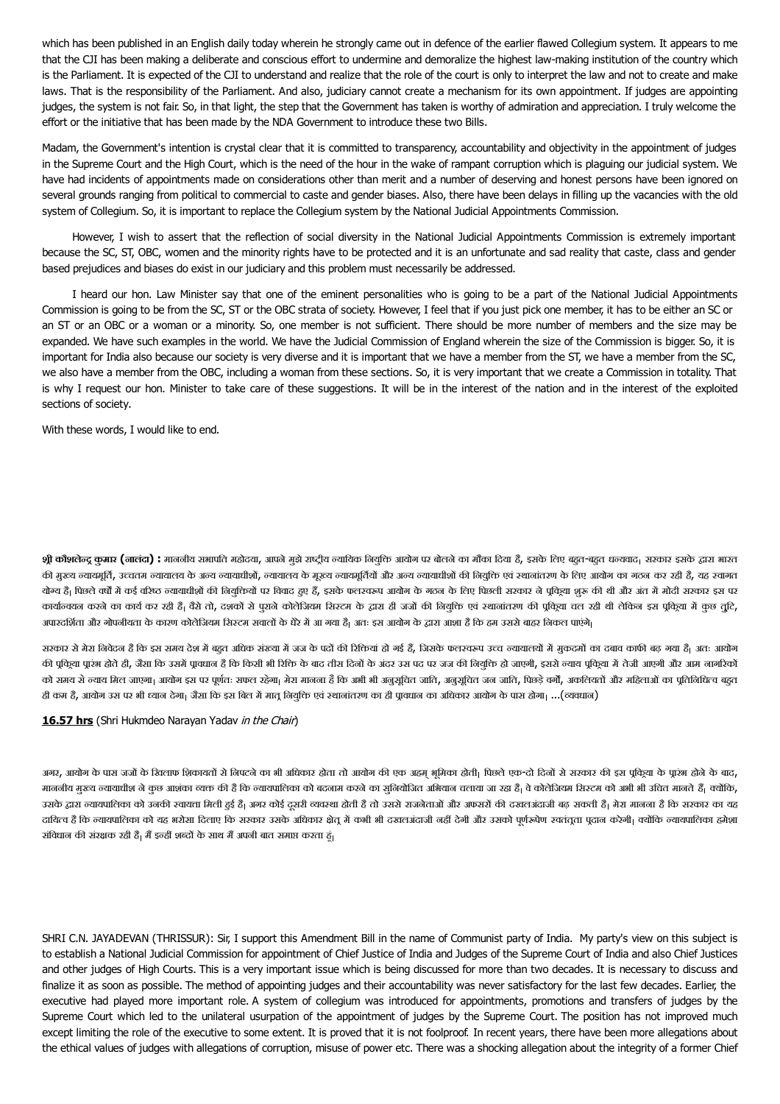which has been published in an English daily today wherein he strongly came out in defence of the earlier flawed Collegium system. It appears to me that the CJI has been making a deliberate and conscious effort to undermine and demoralize the highest law-making institution of the country which is the Parliament. It is expected of the CJI to understand and realize that the role of the court is only to interpret the law and not to create and make laws. That is the responsibility of the Parliament. And also, judiciary cannot create a mechanism for its own appointment. If judges are appointing judges, the system is not fair. So, in that light, the step that the Government has taken is worthy of admiration and appreciation. I truly welcome the effort or the initiative that has been made by the NDA Government to introduce these two Bills.

Madam, the Government's intention is crystal clear that it is committed to transparency, accountability and objectivity in the appointment of judges in the Supreme Court and the High Court, which is the need of the hour in the wake of rampant corruption which is plaguing our judicial system. We have had incidents of appointments made on considerations other than merit and a number of deserving and honest persons have been ignored on several grounds ranging from political to commercial to caste and gender biases. Also, there have been delays in filling up the vacancies with the old system of Collegium. So, it is important to replace the Collegium system by the National Judicial Appointments Commission.

However, I wish to assert that the reflection of social diversity in the National Judicial Appointments Commission is extremely important because the SC, ST, OBC, women and the minority rights have to be protected and it is an unfortunate and sad reality that caste, class and gender based prejudices and biases do exist in our judiciary and this problem must necessarily be addressed.

I heard our hon. Law Minister say that one of the eminent personalities who is going to be a part of the National Judicial Appointments Commission is going to be from the SC, ST or the OBC strata of society. However, I feel that if you just pick one member, it has to be either an SC or an ST or an OBC or a woman or a minority. So, one member is not sufficient. There should be more number of members and the size may be expanded. We have such examples in the world. We have the Judicial Commission of England wherein the size of the Commission is bigger. So, it is important for India also because our society is very diverse and it is important that we have a member from the ST, we have a member from the SC, we also have a member from the OBC, including a woman from these sections. So, it is very important that we create a Commission in totality. That is why I request our hon. Minister to take care of these suggestions. It will be in the interest of the nation and in the interest of the exploited sections of society.

With these words, I would like to end.

**श्री कौशलेन्द्र कुमार (नालंदा) : माननी**य सभापति महोदया, आपने मुझे राष्ट्रीय न्यायिक नियुक्ति आयोग पर बोलने का मौका दिया है, इसके लिए बहुत-बहुत धन्यवाद। सरकार इसके द्वारा भारत की मुख्य न्यायमूर्ति, उच्चतम न्यायालय के अन्य न्यायाधीशों, न्यायालय के मूख्य जयायत्रायको को वियुक्ति एवं स्थानांतरण के लिए आयोग का गठन कर रही है, यह स्वागत योग्य है| पिछले वर्षों में कई वरिष्ठ न्यायाधीशों की नियुक्तियों पर विवाद हुए हैं, इसके फलरस्वर आयोग के गठन के अलभ करकार का पर काल में मोदी सरकार इस पर कार्यान्वयन करने का कार्य कर रही है| वैसे तो, दशकों से पुराने कोलेजियम सिटरम के द्रावज को जब जब करनी बाल पहुला करना हुए कहा पुरिज्य में कुछ तुटि, अपारदर्शिता और गोपनीयता के कारण कोलेजियम सिस्टम सवालों के घेरे में आ गया है<sub>।</sub> अतः इस आयोग के द्वारा आशा है कि हम उससे बाहर निकल पाएंगे<sub>।</sub>

सरकार से मेरा निवेदन है कि इस समय देश में बहुत अधिक संख्या में जज के पदों की रिकियां हो अर्ड हैं, जिसके फलस्वरूप उच्च न्यायालयों में मकदमों का दबाव काफी बढ़ गया हैं। अतः आयोग की पूकिया प्रारंभ होते ही, जैसा कि उसमें प्रावधान है कि किसी भी रिक्ति के बाद ते अंदर उस पद पर जज की विचूकि हो जाएगी, इससे न्याय पूकिया में तेजी आएगी और आम नागरिकों को समय से ल्याय मिल जाएगा। आयोग इस पर पूर्णतः सफल रहेगा। मेरा मानना है कि अभी भी अनुसूचित जन जाति, पछड़े वर्गे, अकलियतों और महिलाओं का प्रतिनिधित्व बहुत ही कम है, आयोग उस पर भी ध्यान देगा। जैसा कि इस बिल में मातू नियुक्ति एवं स्थानांतरण का ही प्रावधान का अधिकार आयोग के पास होगा। ...(व्यवधान)

## **16.57 hrs** (Shri Hukmdeo Narayan Yadav in the Chair)

अगर, आयोग के पास जजों के खिलाफ शिकायतों से निपटने का भी अधिकार होता जाता आयोग को अधिकार होता जिला के पास क्षेत कला कला करने के बाद, से अधिकार के पास होने के बाद, माननीय मुख्य न्यायाधीश ने कुछ आशंका व्यक्त की है कि न्यायपालिका को बदनाम करने का सुबना जा रहा है। वेकोलेजियम सिस्टम को अभी भी उचित मानते हैं। क्योंकि, उसके द्वारा न्यायपालिका को उनकी स्वायत्ता मिली हुई है| अगर कोई दूसरी व्यवस्था होतो उससे उससे उससे उससे उसका का बढ़ सकती है। मेरा मानना है कि सरकार का यह दायित्व है कि न्यायपालिका को यह भरोसा दिलाए कि सरकार उसके अधिकार क्षेत में कभी भी दखलअंदाजी नहीं देगी और उसको पूर्णकपेण स्वतंत्ता पुदान करेगी। क्योंकि न्यायपालिका हमेशा संविधान की संरक्षक रही है। मैं इन्हीं शब्दों के साथ मैं अपनी बात समाप्त करता हूं।

SHRI C.N. JAYADEVAN (THRISSUR): Sir, I support this Amendment Bill in the name of Communist party of India. My party's view on this subject is to establish a National Judicial Commission for appointment of Chief Justice of India and Judges of the Supreme Court of India and also Chief Justices and other judges of High Courts. This is a very important issue which is being discussed for more than two decades. It is necessary to discuss and finalize it as soon as possible. The method of appointing judges and their accountability was never satisfactory for the last few decades. Earlier, the executive had played more important role. A system of collegium was introduced for appointments, promotions and transfers of judges by the Supreme Court which led to the unilateral usurpation of the appointment of judges by the Supreme Court. The position has not improved much except limiting the role of the executive to some extent. It is proved that it is not foolproof. In recent years, there have been more allegations about the ethical values of judges with allegations of corruption, misuse of power etc. There was a shocking allegation about the integrity of a former Chief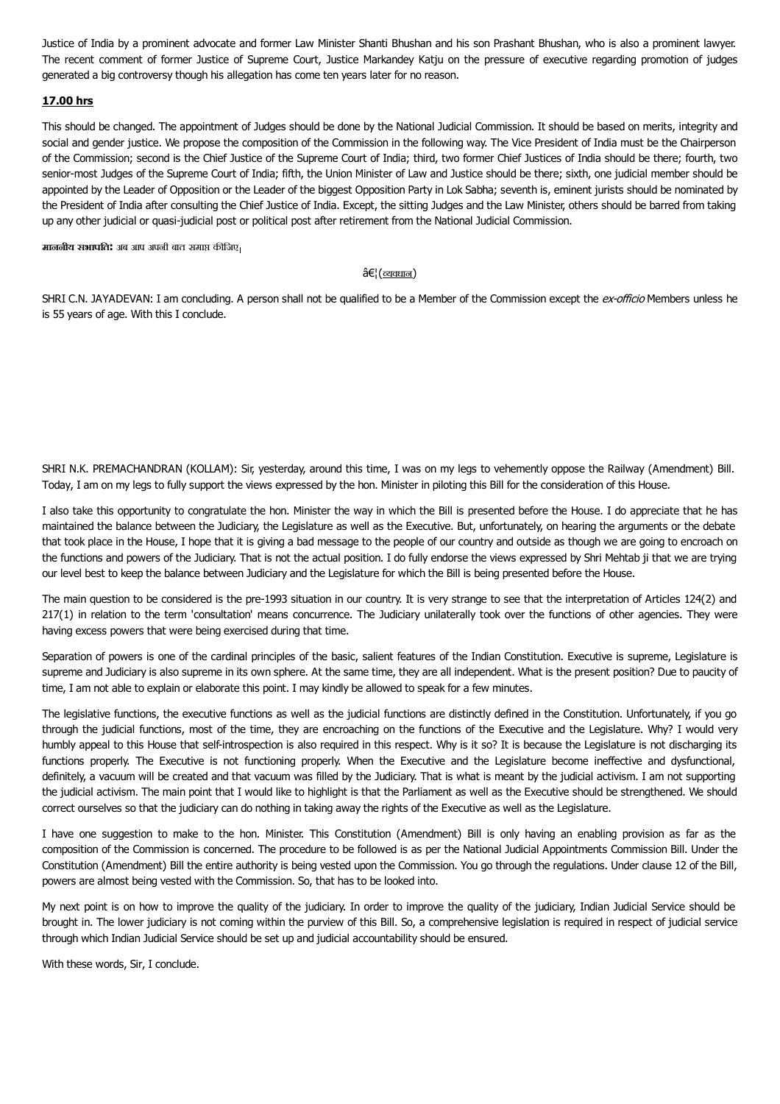Justice of India by a prominent advocate and former Law Minister Shanti Bhushan and his son Prashant Bhushan, who is also a prominent lawyer. The recent comment of former Justice of Supreme Court, Justice Markandey Katju on the pressure of executive regarding promotion of judges generated a big controversy though his allegation has come ten years later for no reason.

# **17.00 hrs**

This should be changed. The appointment of Judges should be done by the National Judicial Commission. It should be based on merits, integrity and social and gender justice. We propose the composition of the Commission in the following way. The Vice President of India must be the Chairperson of the Commission; second is the Chief Justice of the Supreme Court of India; third, two former Chief Justices of India should be there; fourth, two senior-most Judges of the Supreme Court of India; fifth, the Union Minister of Law and Justice should be there; sixth, one judicial member should be appointed by the Leader of Opposition or the Leader of the biggest Opposition Party in Lok Sabha; seventh is, eminent jurists should be nominated by the President of India after consulting the Chief Justice of India. Except, the sitting Judges and the Law Minister, others should be barred from taking up any other judicial or quasi-judicial post or political post after retirement from the National Judicial Commission.

**माननीय सभापति:** अब आप अपनी बात समाप्त कीजिए।

## $\hat{a}\in$ ¦ $(\underline{\text{equation}})$

SHRI C.N. JAYADEVAN: I am concluding. A person shall not be qualified to be a Member of the Commission except the ex-officio Members unless he is 55 years of age. With this I conclude.

SHRI N.K. PREMACHANDRAN (KOLLAM): Sir, yesterday, around this time, I was on my legs to vehemently oppose the Railway (Amendment) Bill. Today, I am on my legs to fully support the views expressed by the hon. Minister in piloting this Bill for the consideration of this House.

I also take this opportunity to congratulate the hon. Minister the way in which the Bill is presented before the House. I do appreciate that he has maintained the balance between the Judiciary, the Legislature as well as the Executive. But, unfortunately, on hearing the arguments or the debate that took place in the House, I hope that it is giving a bad message to the people of our country and outside as though we are going to encroach on the functions and powers of the Judiciary. That is not the actual position. I do fully endorse the views expressed by Shri Mehtab ji that we are trying our level best to keep the balance between Judiciary and the Legislature for which the Bill is being presented before the House.

The main question to be considered is the pre-1993 situation in our country. It is very strange to see that the interpretation of Articles 124(2) and 217(1) in relation to the term 'consultation' means concurrence. The Judiciary unilaterally took over the functions of other agencies. They were having excess powers that were being exercised during that time.

Separation of powers is one of the cardinal principles of the basic, salient features of the Indian Constitution. Executive is supreme, Legislature is supreme and Judiciary is also supreme in its own sphere. At the same time, they are all independent. What is the present position? Due to paucity of time, I am not able to explain or elaborate this point. I may kindly be allowed to speak for a few minutes.

The legislative functions, the executive functions as well as the judicial functions are distinctly defined in the Constitution. Unfortunately, if you go through the judicial functions, most of the time, they are encroaching on the functions of the Executive and the Legislature. Why? I would very humbly appeal to this House that self-introspection is also required in this respect. Why is it so? It is because the Legislature is not discharging its functions properly. The Executive is not functioning properly. When the Executive and the Legislature become ineffective and dysfunctional, definitely, a vacuum will be created and that vacuum was filled by the Judiciary. That is what is meant by the judicial activism. I am not supporting the judicial activism. The main point that I would like to highlight is that the Parliament as well as the Executive should be strengthened. We should correct ourselves so that the judiciary can do nothing in taking away the rights of the Executive as well as the Legislature.

I have one suggestion to make to the hon. Minister. This Constitution (Amendment) Bill is only having an enabling provision as far as the composition of the Commission is concerned. The procedure to be followed is as per the National Judicial Appointments Commission Bill. Under the Constitution (Amendment) Bill the entire authority is being vested upon the Commission. You go through the regulations. Under clause 12 of the Bill, powers are almost being vested with the Commission. So, that has to be looked into.

My next point is on how to improve the quality of the judiciary. In order to improve the quality of the judiciary, Indian Judicial Service should be brought in. The lower judiciary is not coming within the purview of this Bill. So, a comprehensive legislation is required in respect of judicial service through which Indian Judicial Service should be set up and judicial accountability should be ensured.

With these words, Sir, I conclude.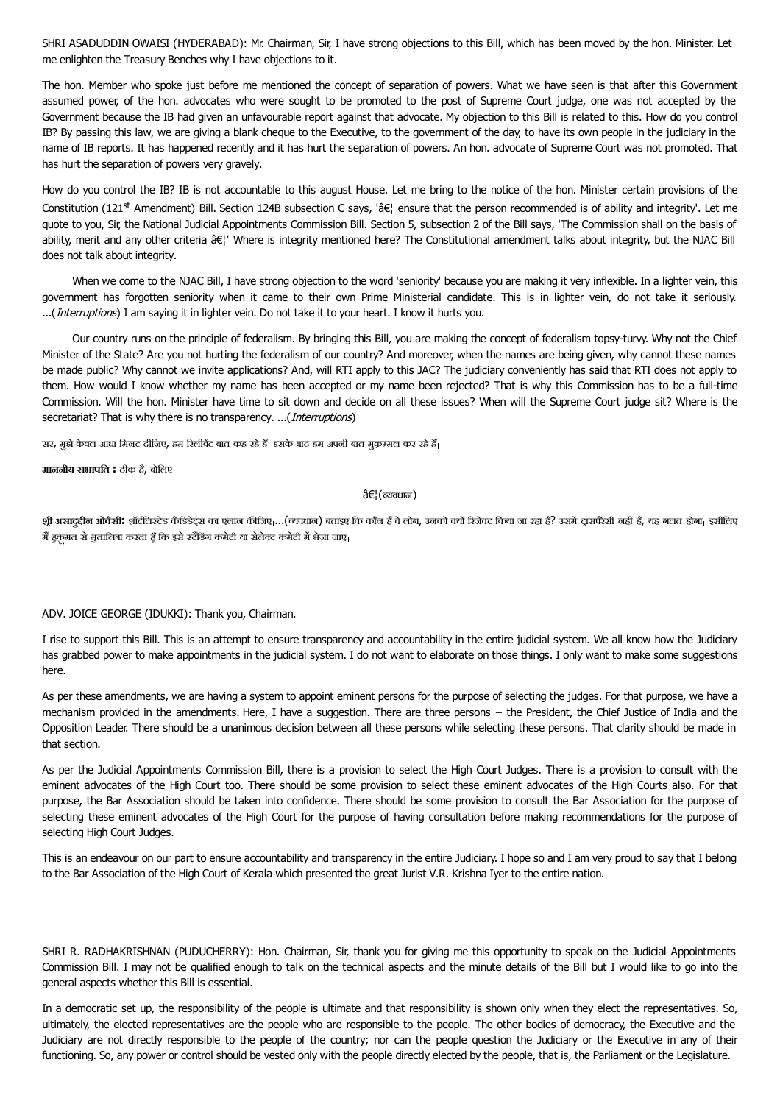SHRI ASADUDDIN OWAISI (HYDERABAD): Mr. Chairman, Sir, I have strong objections to this Bill, which has been moved by the hon. Minister. Let me enlighten the Treasury Benches why I have objections to it.

The hon. Member who spoke just before me mentioned the concept of separation of powers. What we have seen is that after this Government assumed power, of the hon. advocates who were sought to be promoted to the post of Supreme Court judge, one was not accepted by the Government because the IB had given an unfavourable report against that advocate. My objection to this Bill is related to this. How do you control IB? By passing this law, we are giving a blank cheque to the Executive, to the government of the day, to have its own people in the judiciary in the name of IB reports. It has happened recently and it has hurt the separation of powers. An hon. advocate of Supreme Court was not promoted. That has hurt the separation of powers very gravely.

How do you control the IB? IB is not accountable to this august House. Let me bring to the notice of the hon. Minister certain provisions of the Constitution (121st Amendment) Bill. Section 124B subsection C says, '… ensure that the person recommended is of ability and integrity'. Let me quote to you, Sir, the National Judicial Appointments Commission Bill. Section 5, subsection 2 of the Bill says, 'The Commission shall on the basis of ability, merit and any other criteria â€!' Where is integrity mentioned here? The Constitutional amendment talks about integrity, but the NJAC Bill does not talk about integrity.

When we come to the NJAC Bill, I have strong objection to the word 'seniority' because you are making it very inflexible. In a lighter vein, this government has forgotten seniority when it came to their own Prime Ministerial candidate. This is in lighter vein, do not take it seriously. ...(*Interruptions*) I am saying it in lighter vein. Do not take it to your heart. I know it hurts you.

Our country runs on the principle of federalism. By bringing this Bill, you are making the concept of federalism topsy-turvy. Why not the Chief Minister of the State? Are you not hurting the federalism of our country? And moreover, when the names are being given, why cannot these names be made public? Why cannot we invite applications? And, will RTI apply to this JAC? The judiciary conveniently has said that RTI does not apply to them. How would I know whether my name has been accepted or my name been rejected? That is why this Commission has to be a full-time Commission. Will the hon. Minister have time to sit down and decide on all these issues? When will the Supreme Court judge sit? Where is the secretariat? That is why there is no transparency. ...(*Interruptions*)

सर, मुझे केवल आधा मिनट दीजिए, हम रिलीवेंट बात कह रहे हैं| इसके बाद हम अपनी बात मुक़म्मल कर रहे हैं|

**माननीय सभापित :** ठीक ह,ैबोिलए

## $\hat{\mathrm{a}} \in$ ¦ ( $\overline{\mathrm{c} \mathrm{a} \mathrm{a} \mathrm{u} \mathrm{a}}$ )

**श्री <mark>असादुदीन ओवैसी:</mark> शॉ**टीलस्टेड कैंडिडेट्स का एलान कीजिए,...(व्यवधान) बताइए कि कौन हें बनो के किलेकि किया जा रहा है? उसमें ट्रांसपैरेसी नहीं है, यह गलत होगा<sub>।</sub> इसीलिए मैं हुक़मत से मुतालिबा करता हूँ कि इसे स्टैंडिंग कमेटी या सेलेक्ट कमेटी में भेजा जाए।

### ADV. JOICE GEORGE (IDUKKI): Thank you, Chairman.

I rise to support this Bill. This is an attempt to ensure transparency and accountability in the entire judicial system. We all know how the Judiciary has grabbed power to make appointments in the judicial system. I do not want to elaborate on those things. I only want to make some suggestions here.

As per these amendments, we are having a system to appoint eminent persons for the purpose of selecting the judges. For that purpose, we have a mechanism provided in the amendments. Here, I have a suggestion. There are three persons – the President, the Chief Justice of India and the Opposition Leader. There should be a unanimous decision between all these persons while selecting these persons. That clarity should be made in that section.

As per the Judicial Appointments Commission Bill, there is a provision to select the High Court Judges. There is a provision to consult with the eminent advocates of the High Court too. There should be some provision to select these eminent advocates of the High Courts also. For that purpose, the Bar Association should be taken into confidence. There should be some provision to consult the Bar Association for the purpose of selecting these eminent advocates of the High Court for the purpose of having consultation before making recommendations for the purpose of selecting High Court Judges.

This is an endeavour on our part to ensure accountability and transparency in the entire Judiciary. I hope so and I am very proud to say that I belong to the Bar Association of the High Court of Kerala which presented the great Jurist V.R. Krishna Iyer to the entire nation.

SHRI R. RADHAKRISHNAN (PUDUCHERRY): Hon. Chairman, Sir, thank you for giving me this opportunity to speak on the Judicial Appointments Commission Bill. I may not be qualified enough to talk on the technical aspects and the minute details of the Bill but I would like to go into the general aspects whether this Bill is essential.

In a democratic set up, the responsibility of the people is ultimate and that responsibility is shown only when they elect the representatives. So, ultimately, the elected representatives are the people who are responsible to the people. The other bodies of democracy, the Executive and the Judiciary are not directly responsible to the people of the country; nor can the people question the Judiciary or the Executive in any of their functioning. So, any power or control should be vested only with the people directly elected by the people, that is, the Parliament or the Legislature.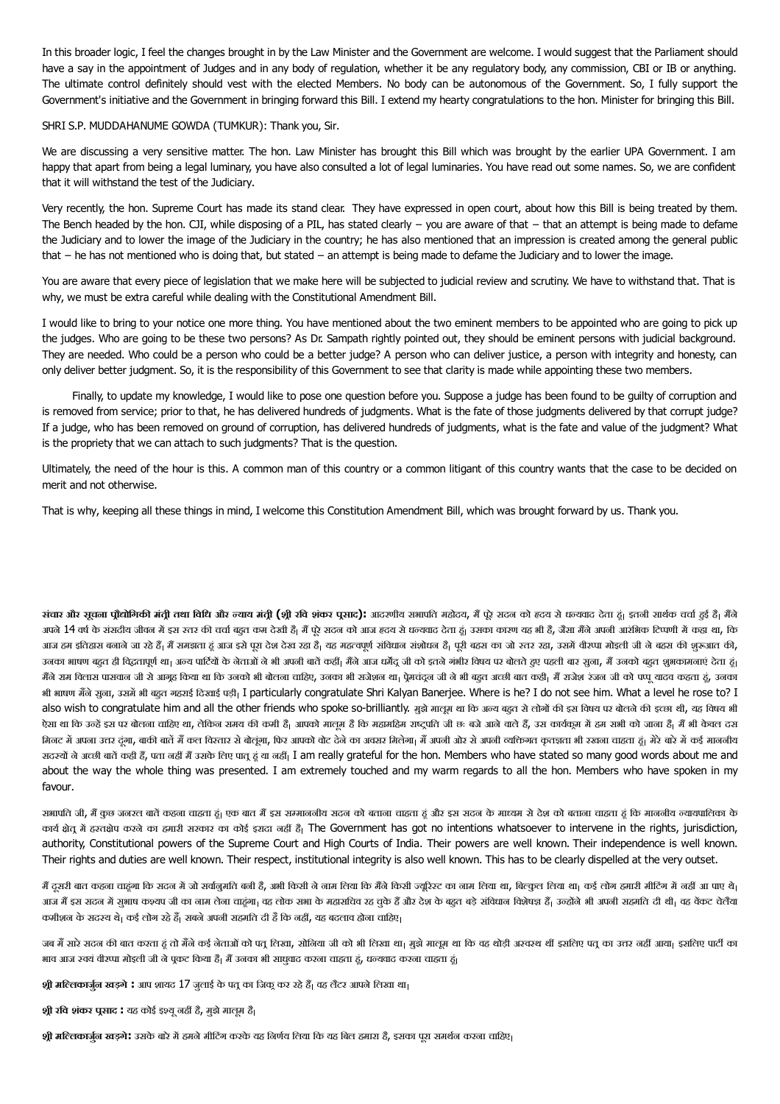In this broader logic, I feel the changes brought in by the Law Minister and the Government are welcome. I would suggest that the Parliament should have a say in the appointment of Judges and in any body of regulation, whether it be any regulatory body, any commission, CBI or IB or anything. The ultimate control definitely should vest with the elected Members. No body can be autonomous of the Government. So, I fully support the Government's initiative and the Government in bringing forward this Bill. I extend my hearty congratulations to the hon. Minister for bringing this Bill.

### SHRI S.P. MUDDAHANUME GOWDA (TUMKUR): Thank you, Sir.

We are discussing a very sensitive matter. The hon. Law Minister has brought this Bill which was brought by the earlier UPA Government. I am happy that apart from being a legal luminary, you have also consulted a lot of legal luminaries. You have read out some names. So, we are confident that it will withstand the test of the Judiciary.

Very recently, the hon. Supreme Court has made its stand clear. They have expressed in open court, about how this Bill is being treated by them. The Bench headed by the hon. CJI, while disposing of a PIL, has stated clearly − you are aware of that − that an attempt is being made to defame the Judiciary and to lower the image of the Judiciary in the country; he has also mentioned that an impression is created among the general public that − he has not mentioned who is doing that, but stated − an attempt is being made to defame the Judiciary and to lower the image.

You are aware that every piece of legislation that we make here will be subjected to judicial review and scrutiny. We have to withstand that. That is why, we must be extra careful while dealing with the Constitutional Amendment Bill.

I would like to bring to your notice one more thing. You have mentioned about the two eminent members to be appointed who are going to pick up the judges. Who are going to be these two persons? As Dr. Sampath rightly pointed out, they should be eminent persons with judicial background. They are needed. Who could be a person who could be a better judge? A person who can deliver justice, a person with integrity and honesty, can only deliver better judgment. So, it is the responsibility of this Government to see that clarity is made while appointing these two members.

Finally, to update my knowledge, I would like to pose one question before you. Suppose a judge has been found to be guilty of corruption and is removed from service; prior to that, he has delivered hundreds of judgments. What is the fate of those judgments delivered by that corrupt judge? If a judge, who has been removed on ground of corruption, has delivered hundreds of judgments, what is the fate and value of the judgment? What is the propriety that we can attach to such judgments? That is the question.

Ultimately, the need of the hour is this. A common man of this country or a common litigant of this country wants that the case to be decided on merit and not otherwise.

That is why, keeping all these things in mind, I welcome this Constitution Amendment Bill, which was brought forward by us. Thank you.

संचार और सूचना प्रौद्योगिकी मंत्री तथा विधि और न्याय मंत्री (श्री रवि शंकर पूसाद): आदराणीय सभापति महोदय, मैं ऐरे सदन को हृदय से धन्यवाद देता हूं। इतनी सार्थक चर्चा ढुई हैं। मैंने अपने 14 वर्ष के संसदीय जीवन में इस स्तर की चर्चा बढ़त कम देखी है। मैं परे अपने देता है। उसका कारण यह भी हैं, जैसा मैंने अपनी आरंभिक टिप्पणी में कहा था, कि आज हम इतिहास बनाने जा रहे हैं। मैं समझता हं आज इसे पूरा देश देख रहा है। जब संखोद को परिका का जो साथ रहा, उसमें वीरप्पा मोइली जी ने बहस की शुरूआत की, उनका भाषण बहुत ही विद्धतापूर्ण था<sub>।</sub> अन्य पार्टियों के नेताओं ने भी उपनी बातों को अपनी बाती को अपनी बातक बहुत आज बहुए आज बहुत आज बहुत आज बहुत असला बहुत शुभकामनाएं देता हं। मैंने राम विलास पासवान जी से आगृह किया था कि उनको भी बोलना चाहिए, उनका भी सजेशन था जी जाने बहुत आरका आज की को पर्यायादव कहता हं, उनका कहता हं, उनका भी भाषण मन'ेसुना, उसमभी बह)त गहराई िदखाई पड़ी I particularly congratulate Shri Kalyan Banerjee. Where is he? I do not see him. What a level he rose to? I also wish to congratulate him and all the other friends who spoke so-brilliantly. मुझे मालूम था कि अल्य बहुत से लोगों की इस विषय पर बोलने की इच्छा थी, यह विषय भी ऐसा था कि उन्हें इस पर बोलना चाहिए था, लेकिन समय की कमी है<sub>।</sub> आपको मालूम है कि महामहिम राजरी छः बजे आने चल करने क<br>ऐसा था कि उन्हें इस पर बोलना चाहिए था, लेकिन समय की कमी है<sub>।</sub> आपको मालूम से कि महामहिम राजरी छः बजे बजे को मिनट में अपना उत्तर दंना, बाकी बातें में कल विस्तार से बोलंगा, फिर आपको वोट सेआपको आपको आपको अवसर का अवसर बाहता है। मेरे बारे में कई माननीय सदस्यों ने अच्छी बातें कही हैं, पता नहीं मैं उसके लिए पात हूं या नहीं, I am really grateful for the hon. Members who have stated so many good words about me and about the way the whole thing was presented. I am extremely touched and my warm regards to all the hon. Members who have spoken in my favour.

सभापति जी, मैं कछ जनरल बातें कहना चाहता हं। एक बात में इस समननीय सदन के आरक्ष के सदन के सदन के बहुत सकता चाहता है कि माननीय न्यायपालिका के कार्य क्षेत में हस्तक्षेप करने का हमारी सरकार का कोई इरादा नहीं है। The Government has got no intentions whatsoever to intervene in the rights, jurisdiction, authority, Constitutional powers of the Supreme Court and High Courts of India. Their powers are well known. Their independence is well known. Their rights and duties are well known. Their respect, institutional integrity is also well known. This has to be clearly dispelled at the very outset.

मैं दूसरी बात कहना चाहंगा कि सदन में जो सर्वानुमति बनी है, अभी किसी की का किसी ज्यूरिस्ट का नाम लिया था, बिल्कुल लिया था। कई लोग हमारी मीटिंग में नहीं आ पाए थे। आज मैं इस सदन में सुभाष कश्यप जी का नाम लेना चाहना। वह लोक सभा के महासिच रह चुके हैं अधिक विशेषज्ञ हैं। उन्होंने भी अपनी सहमति दी थी। वह वेंकट चेलैया कमीशन के सदस्य थे। कई लोग रहे हैं। सबने अपनी सहमति दी है कि नहीं, यह बदलाव होना चाहिए।

जब मैं सारे सदन की बात करता हूं तो मैंने कई नेताओं को पत लिखा, सोकी भी तिखा था, मझे मालम था कि वह थोड़ी अरबस थीं इसलिए पत का उत्तर नहीं आया। इसलिए पार्टी का भाव आज रुवयं वीरप्पा मोइली जी ने पूकट किया है। मैं उनका भी साधुवाद करना चाहता हूं, धन्यवाद करना चाहता हूं।

<mark>श्री मल्लिकार्जुन खड़गे **:** आप शायद 17 जुलाई के पत्र का जिकू कर रहे हैं<sub>।</sub> वह लैटर आपने लिखा था<sub>।</sub></mark>

**श्री रवि शंकर प्र्रसाद :** यह कोई इश्यू नहीं हैं, मुझे मालूम हैं<sub>।</sub>

**श्री <mark>म</mark>त्लिकार्जुन खड़गे:** उसके बारे में हमने मीटिंग करके यह निर्णय लिया कि यह बिल हमारा है, इसका पूरा समर्थन करना चाहिए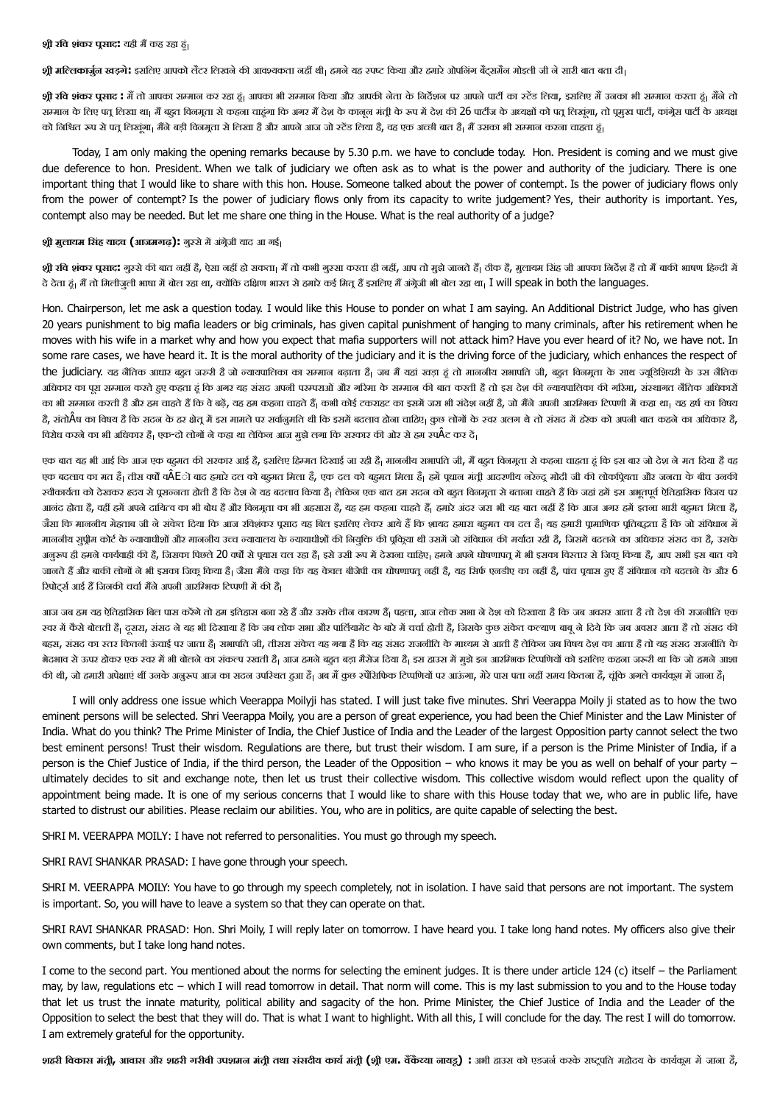**श्री <b>म**िलकार्जुन खड़गे : इसलिए आपको लैटर लिखने की आवश्यकता नहीं थी<sub>।</sub> हमने यह देण्य और हमारे ओपलिंग बैट्समैन मोइली जी ने सारी बात बता दी।

**श्री रवि शंकर प्रसाद <del>:</del> मैं** तो आपका सम्मान कर रहा हूं। आपका आरका और आपकी तो के लिर्देशन पर आपने पार्टी का पार्टी करने करने ह.<br>श्री रवि शंकर प्रसाद : मैं तो आपका सम्मान कर रहा हूं। आपका भी सम्मान किया और आपके पार्टी का सम्मान के लिए पत लिखा था। मैं बहत विनमता से कहना चाहंगा कि अगर में देश की 26 पत्नी के अध्यक्षों को पत लिखंगा, तो पमख पार्टी, कांगेस पार्टी के अध्यक्ष को निश्चित रूप से पतू लिखूंगा। मैंने बड़ी विनमूता से लिखा है और आपने आज जो स्टेंड लिया है, कह एक अच्छी बात है| मैं उसका भी सम्मान करना चाहता हूं।

Today, I am only making the opening remarks because by 5.30 p.m. we have to conclude today. Hon. President is coming and we must give due deference to hon. President. When we talk of judiciary we often ask as to what is the power and authority of the judiciary. There is one important thing that I would like to share with this hon. House. Someone talked about the power of contempt. Is the power of judiciary flows only from the power of contempt? Is the power of judiciary flows only from its capacity to write judgement? Yes, their authority is important. Yes, contempt also may be needed. But let me share one thing in the House. What is the real authority of a judge?

## **श्री मुलायम सिंह यादव (आजमगढ़):** गुस्से में अंग्रेज़ी याद आ गई।

**श्री रवि शंकर पूसाद:** गुस्से की बात नहीं है, ऐसा नहीं हो सकता <sub>में</sub> तो कभी गुस्सा करता ही जाएं तो मुझे जानते हैं<sub>।</sub> ठीक है, मुलायम सिंह जी आपका निर्देश हैं तो मैं बाकी भाषण हिन्दी में दे देता हूं। मैं तो मिलीजुली भाषा में बोल रहा था, क्योंकि दक्षिण भारत से हमारे कई वित हैं इसलिए मैं अंगेजी भी बोल रहा था। I will speak in both the languages.

Hon. Chairperson, let me ask a question today. I would like this House to ponder on what I am saying. An Additional District Judge, who has given 20 years punishment to big mafia leaders or big criminals, has given capital punishment of hanging to many criminals, after his retirement when he moves with his wife in a market why and how you expect that mafia supporters will not attack him? Have you ever heard of it? No, we have not. In some rare cases, we have heard it. It is the moral authority of the judiciary and it is the driving force of the judiciary, which enhances the respect of the judiciary. यह नैतिक आधार बहुत जरुरी है जो न्यायपालिका का सम्मान बढ़ाता है। जब मैं यहां खड़ा हं तो माननीय सभापति जी, बहुत विनमता के साथ ज्यडिशियरी के उस नैतिक अधिकार का परा सम्मान करते हए कहता हूं कि अगर यह संसद अपनी परमपराओं और गरिमा के सम्मान को बात करता है कि अगर क्षत को अपना क्षत करता करता करता करता क का भी सम्मान करती है और हम चाहते हैं कि वे बढ़ें, यह हम कहना चाहते हैं। कभी कोई टकराहट का इसमें जरा भी संदेश नहीं है, जो मैंने अपनी आरम्भिक टिप्पणी में कहा था। यह हर्ष का विषय है, संतोÂष का विषय है कि सदन के हर क्षेतू में इस मामले पर सर्वानुमति थी कि इसमें बदलाव होना चाहिए। कुछ लोगों के स्वर अलग थे तो संसद में हरेक को अपनी बात कहने का अधिकार है, विरोध करने का भी अधिकार हैं। एक-दो लोगों ने कहा था लेकिन आज मुझे लगा कि सरकार की ओर से हम स्पÂट कर दें।

एक बात यह भी आई कि आज एक बहमत की सरकार आई है, इसलिए हिम्मत दिखाई जा रही है। माननीय सभापति जी, मैं बहत विनमता से कहना चाहता हूं कि इस बार जो देश ने मत दिया है वह एक बदलाव का मत है<sub>।</sub> तीस वर्षों वÂEो बाद हमारे दल को बहुमत को बहुमत मिला है<sub>।</sub> हमें पूधान मंती आदरणीय नरेन्द्र मोदी जी की लोकप्रियता और जनता के बीच उनकी स्वीकार्यता को देखकर हृदय से पूसन्नता होती है कि देश ने यह बदलाव किया है। तेकिन का कहान को बदल का बहुत हम हम का का हम हम अभूतपूर्व ऐतिहासिक विजय पर आनंद होता है, वहीं हमें अपने दायित्व का भी बोध है और विनमूता का भी अहसा हमके अहम का बहना हमारे बहुमार किया है, जैसा कि माननीय मेहताब जी ने संकेत दिया कि आज रविशंकर पूसाद यह बिल इसिल आयें हैं कि शायद हमारा बहुमत का दल हैं। यह हमारी पूमाणिक पूतिबद्धता है कि जो संविधान में माननीय सुप्रीम कोर्ट के न्यायाधीशों और माननीय उच्च न्यायालय के न्यायाधीशों की विवृक्ति की प्रकिया थी उसमें जो पहला क्लाया बंदलने का अधिकार संसद का है, उसके अनुरूप ही हमने कार्यवाही की है, जिसका पिछले 20 वर्षों से पूयास चल रहा हैं। इसे सब वाल बात को अपने घोषणापत्र में भी इसका विस्तार से जिकू किया है, आप सभी इस बात को जानते हैं और बाकी लोगों ने भी इसका जिक किया है। जैसा मैंने कहा कि यह बाज पत्नी है, उस समय पत्नी हैं, जब पहला को बदल के यह का अंध हुए हैं संविधान को बदलने के और 6 रिपोर्ट्स आई हैं जिनकी चर्चा मैंने अपनी आरम्भिक टिप्पणी में की है।

आज जब हम यह ऐतिहासिक बिल पास करेंगे तो हम डतिहास बना रहे हैं और उसके तीन कारण हैं। पहला, आज नेदार को बहुत कारण हम को बहुत को राजनी एक क्वारण हम कर आता है तो देश की राजनीति एक स्वर में कैसे बोलती हैं। दसरा, संसद ने यह भी दिखाया है कि जब लोक सभा और पार्लियमेंट के बारे को बारे को बारेमचचा बाबूने के बारे के बारे समय का अवसर आता है तो संसद की बहस, संसद का रतर कितनी ऊंचाई पर जाता हैं। सभापति जी, तीसरा संकेत यह गया है कि सहयम सेआती हैलेक अब विषय देश का आता है तो यह संसद राजनीति के भेदभाव से ऊपर होकर एक रचर में भी बोलने का संकल्प रखती हैं। आज हमने बहुत बड़ा मैं उस हाउस में मझे इन आरम्भिक टिप्पणियों को इसलेए कहना जरूरी था कि जो हमने आशा की थी, जो हमारी अपेक्षाएं थीं उनके अनुरूप आज का सदन उपरिशत हुआ हैं। अब में अब अप्रजा, अप्रवास पता नहीं समय कितना है, चूंकि अगले कार्यकुम में जाना है।

I will only address one issue which Veerappa Moilyji has stated. I will just take five minutes. Shri Veerappa Moily ji stated as to how the two eminent persons will be selected. Shri Veerappa Moily, you are a person of great experience, you had been the Chief Minister and the Law Minister of India. What do you think? The Prime Minister of India, the Chief Justice of India and the Leader of the largest Opposition party cannot select the two best eminent persons! Trust their wisdom. Regulations are there, but trust their wisdom. I am sure, if a person is the Prime Minister of India, if a person is the Chief Justice of India, if the third person, the Leader of the Opposition − who knows it may be you as well on behalf of your party − ultimately decides to sit and exchange note, then let us trust their collective wisdom. This collective wisdom would reflect upon the quality of appointment being made. It is one of my serious concerns that I would like to share with this House today that we, who are in public life, have started to distrust our abilities. Please reclaim our abilities. You, who are in politics, are quite capable of selecting the best.

SHRI M. VEERAPPA MOILY: I have not referred to personalities. You must go through my speech.

SHRI RAVI SHANKAR PRASAD: I have gone through your speech.

SHRI M. VEERAPPA MOILY: You have to go through my speech completely, not in isolation. I have said that persons are not important. The system is important. So, you will have to leave a system so that they can operate on that.

SHRI RAVI SHANKAR PRASAD: Hon. Shri Moily, I will reply later on tomorrow. I have heard you. I take long hand notes. My officers also give their own comments, but I take long hand notes.

I come to the second part. You mentioned about the norms for selecting the eminent judges. It is there under article 124 (c) itself − the Parliament may, by law, regulations etc − which I will read tomorrow in detail. That norm will come. This is my last submission to you and to the House today that let us trust the innate maturity, political ability and sagacity of the hon. Prime Minister, the Chief Justice of India and the Leader of the Opposition to select the best that they will do. That is what I want to highlight. With all this, I will conclude for the day. The rest I will do tomorrow. I am extremely grateful for the opportunity.

श<mark>हरी विकास मंत्री, आवास और शहरी गरीबी उपशमल मंत्री तथा संसदीय कार्य मंत्री (श्री एम. वैंकैरया लायडू) :</mark> अभी हाउस को एडजर्ल करके राष्ट्रपति महोदय के कार्यकूम में जाला है,